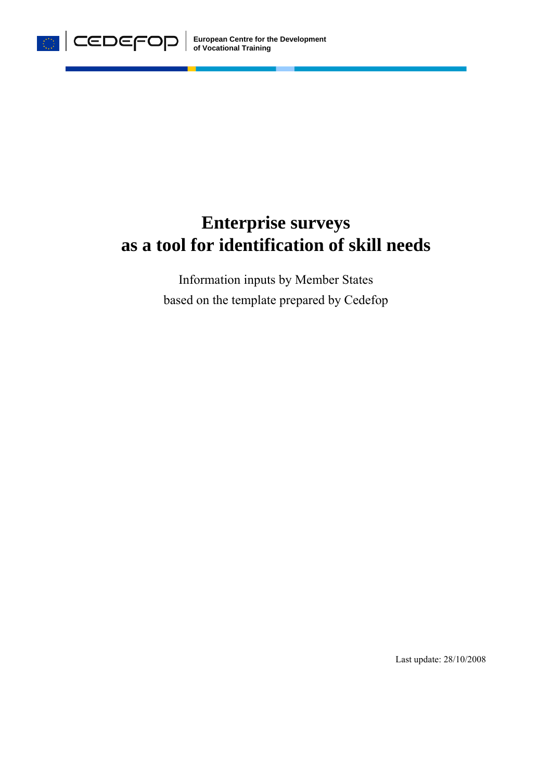

# **Enterprise surveys as a tool for identification of skill needs**

Information inputs by Member States based on the template prepared by Cedefop

Last update: 28/10/2008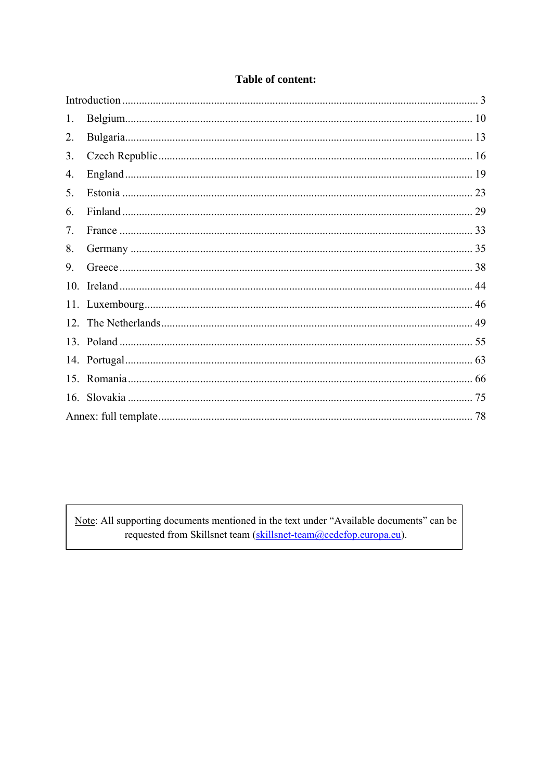| 1.              |    |
|-----------------|----|
| 2.              |    |
| 3.              |    |
| 4.              |    |
| 5.              |    |
| 6.              |    |
| 7 <sub>1</sub>  |    |
| 8.              |    |
| 9.              |    |
| 10 <sub>l</sub> |    |
|                 |    |
|                 |    |
|                 |    |
|                 |    |
|                 |    |
|                 | 75 |
|                 |    |

### Table of content:

Note: All supporting documents mentioned in the text under "Available documents" can be requested from Skillsnet team (skillsnet-team@cedefop.europa.eu).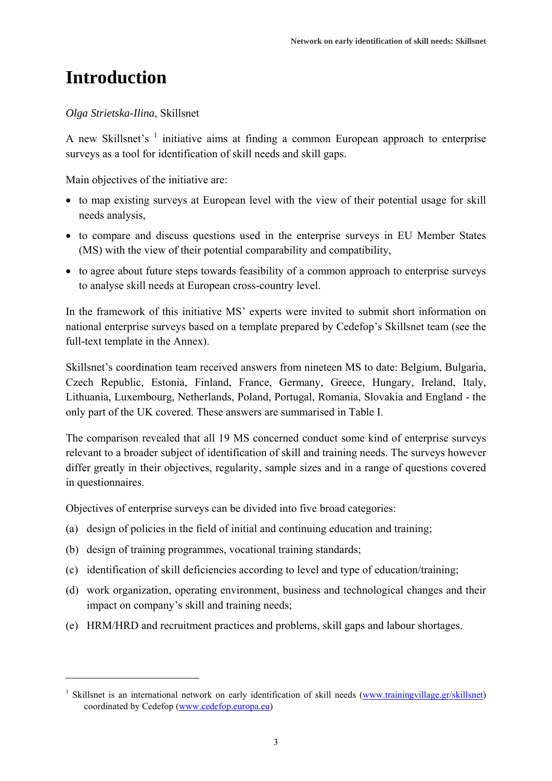### **Introduction**

1

### *Olga Strietska-Ilina*, Skillsnet

A new Skillsnet's  $1$  initiative aims at finding a common European approach to enterprise surveys as a tool for identification of skill needs and skill gaps.

Main objectives of the initiative are:

- to map existing surveys at European level with the view of their potential usage for skill needs analysis,
- to compare and discuss questions used in the enterprise surveys in EU Member States (MS) with the view of their potential comparability and compatibility,
- to agree about future steps towards feasibility of a common approach to enterprise surveys to analyse skill needs at European cross-country level.

In the framework of this initiative MS' experts were invited to submit short information on national enterprise surveys based on a template prepared by Cedefop's Skillsnet team (see the full-text template in the Annex).

Skillsnet's coordination team received answers from nineteen MS to date: Belgium, Bulgaria, Czech Republic, Estonia, Finland, France, Germany, Greece, Hungary, Ireland, Italy, Lithuania, Luxembourg, Netherlands, Poland, Portugal, Romania, Slovakia and England - the only part of the UK covered. These answers are summarised in Table I.

The comparison revealed that all 19 MS concerned conduct some kind of enterprise surveys relevant to a broader subject of identification of skill and training needs. The surveys however differ greatly in their objectives, regularity, sample sizes and in a range of questions covered in questionnaires.

Objectives of enterprise surveys can be divided into five broad categories:

- (a) design of policies in the field of initial and continuing education and training;
- (b) design of training programmes, vocational training standards;
- (c) identification of skill deficiencies according to level and type of education/training;
- (d) work organization, operating environment, business and technological changes and their impact on company's skill and training needs;
- (e) HRM/HRD and recruitment practices and problems, skill gaps and labour shortages.

<sup>&</sup>lt;sup>1</sup> Skillsnet is an international network on early identification of skill needs (www.trainingvillage.gr/skillsnet) coordinated by Cedefop (www.cedefop.europa.eu)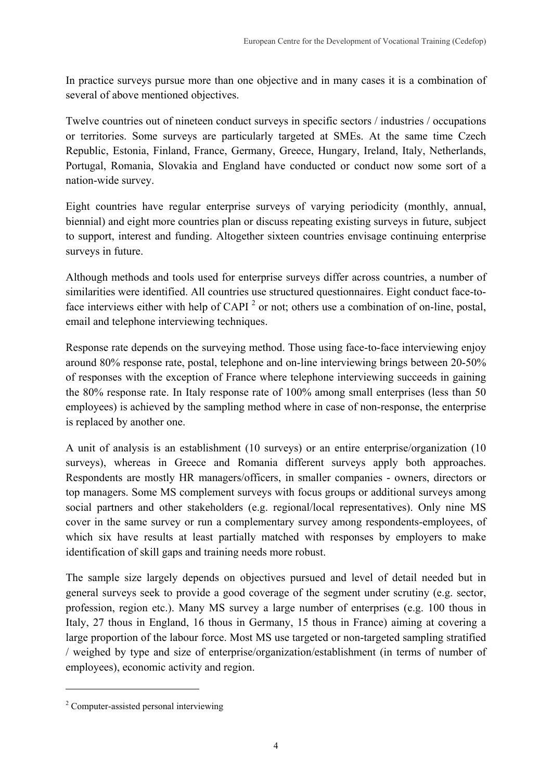In practice surveys pursue more than one objective and in many cases it is a combination of several of above mentioned objectives.

Twelve countries out of nineteen conduct surveys in specific sectors / industries / occupations or territories. Some surveys are particularly targeted at SMEs. At the same time Czech Republic, Estonia, Finland, France, Germany, Greece, Hungary, Ireland, Italy, Netherlands, Portugal, Romania, Slovakia and England have conducted or conduct now some sort of a nation-wide survey.

Eight countries have regular enterprise surveys of varying periodicity (monthly, annual, biennial) and eight more countries plan or discuss repeating existing surveys in future, subject to support, interest and funding. Altogether sixteen countries envisage continuing enterprise surveys in future.

Although methods and tools used for enterprise surveys differ across countries, a number of similarities were identified. All countries use structured questionnaires. Eight conduct face-toface interviews either with help of CAPI<sup>2</sup> or not; others use a combination of on-line, postal, email and telephone interviewing techniques.

Response rate depends on the surveying method. Those using face-to-face interviewing enjoy around 80% response rate, postal, telephone and on-line interviewing brings between 20-50% of responses with the exception of France where telephone interviewing succeeds in gaining the 80% response rate. In Italy response rate of 100% among small enterprises (less than 50 employees) is achieved by the sampling method where in case of non-response, the enterprise is replaced by another one.

A unit of analysis is an establishment (10 surveys) or an entire enterprise/organization (10 surveys), whereas in Greece and Romania different surveys apply both approaches. Respondents are mostly HR managers/officers, in smaller companies - owners, directors or top managers. Some MS complement surveys with focus groups or additional surveys among social partners and other stakeholders (e.g. regional/local representatives). Only nine MS cover in the same survey or run a complementary survey among respondents-employees, of which six have results at least partially matched with responses by employers to make identification of skill gaps and training needs more robust.

The sample size largely depends on objectives pursued and level of detail needed but in general surveys seek to provide a good coverage of the segment under scrutiny (e.g. sector, profession, region etc.). Many MS survey a large number of enterprises (e.g. 100 thous in Italy, 27 thous in England, 16 thous in Germany, 15 thous in France) aiming at covering a large proportion of the labour force. Most MS use targeted or non-targeted sampling stratified / weighed by type and size of enterprise/organization/establishment (in terms of number of employees), economic activity and region.

1

<sup>&</sup>lt;sup>2</sup> Computer-assisted personal interviewing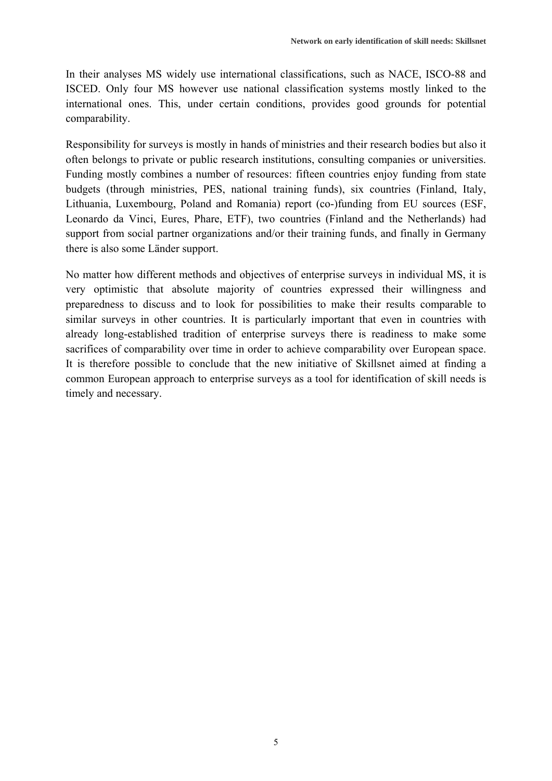In their analyses MS widely use international classifications, such as NACE, ISCO-88 and ISCED. Only four MS however use national classification systems mostly linked to the international ones. This, under certain conditions, provides good grounds for potential comparability.

Responsibility for surveys is mostly in hands of ministries and their research bodies but also it often belongs to private or public research institutions, consulting companies or universities. Funding mostly combines a number of resources: fifteen countries enjoy funding from state budgets (through ministries, PES, national training funds), six countries (Finland, Italy, Lithuania, Luxembourg, Poland and Romania) report (co-)funding from EU sources (ESF, Leonardo da Vinci, Eures, Phare, ETF), two countries (Finland and the Netherlands) had support from social partner organizations and/or their training funds, and finally in Germany there is also some Länder support.

No matter how different methods and objectives of enterprise surveys in individual MS, it is very optimistic that absolute majority of countries expressed their willingness and preparedness to discuss and to look for possibilities to make their results comparable to similar surveys in other countries. It is particularly important that even in countries with already long-established tradition of enterprise surveys there is readiness to make some sacrifices of comparability over time in order to achieve comparability over European space. It is therefore possible to conclude that the new initiative of Skillsnet aimed at finding a common European approach to enterprise surveys as a tool for identification of skill needs is timely and necessary.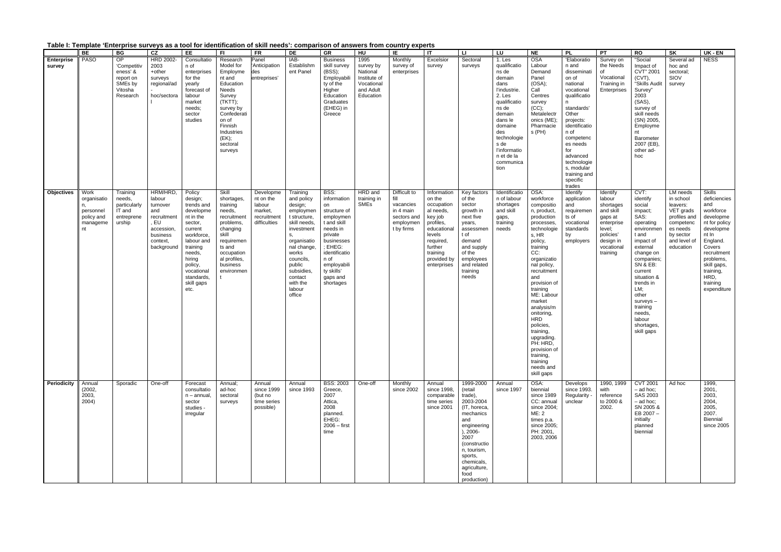|  |  |  |  |  | Table I: Template 'Enterprise surveys as a tool for identification of skill needs': comparison of answers from country experts |  |
|--|--|--|--|--|--------------------------------------------------------------------------------------------------------------------------------|--|
|--|--|--|--|--|--------------------------------------------------------------------------------------------------------------------------------|--|

|                             | BE                                                                     | BG                                                                                  | CZ                                                                                                            | EE                                                                                                                                                                                                       | FL.                                                                                                                                                                                  | <b>FR</b>                                                                  | DE                                                                                                                                                                                                                       | GR                                                                                                                                                                                                   | HU                                                                                    | IE                                                                                       | $\mathsf{I}$                                                                                                                                                        | <b>LI</b>                                                                                                                                                                                                            | LU                                                                                                                                                                                                                    | <b>NE</b>                                                                                                                                                                                                                                                                                                                                                                                                  | <b>PL</b>                                                                                                                                                                                                                                                               | PT                                                                                                                                  | <b>RO</b>                                                                                                                                                                                                                                                                        | SK                                                                                                                                | UK - EN                                                                                                                                                                                                                |
|-----------------------------|------------------------------------------------------------------------|-------------------------------------------------------------------------------------|---------------------------------------------------------------------------------------------------------------|----------------------------------------------------------------------------------------------------------------------------------------------------------------------------------------------------------|--------------------------------------------------------------------------------------------------------------------------------------------------------------------------------------|----------------------------------------------------------------------------|--------------------------------------------------------------------------------------------------------------------------------------------------------------------------------------------------------------------------|------------------------------------------------------------------------------------------------------------------------------------------------------------------------------------------------------|---------------------------------------------------------------------------------------|------------------------------------------------------------------------------------------|---------------------------------------------------------------------------------------------------------------------------------------------------------------------|----------------------------------------------------------------------------------------------------------------------------------------------------------------------------------------------------------------------|-----------------------------------------------------------------------------------------------------------------------------------------------------------------------------------------------------------------------|------------------------------------------------------------------------------------------------------------------------------------------------------------------------------------------------------------------------------------------------------------------------------------------------------------------------------------------------------------------------------------------------------------|-------------------------------------------------------------------------------------------------------------------------------------------------------------------------------------------------------------------------------------------------------------------------|-------------------------------------------------------------------------------------------------------------------------------------|----------------------------------------------------------------------------------------------------------------------------------------------------------------------------------------------------------------------------------------------------------------------------------|-----------------------------------------------------------------------------------------------------------------------------------|------------------------------------------------------------------------------------------------------------------------------------------------------------------------------------------------------------------------|
| <b>Enterprise</b><br>survey | PASO                                                                   | <b>OP</b><br>'Competitiv<br>eness' &<br>report on<br>SMEs by<br>Vitosha<br>Research | HRD 2002-<br>2003<br>+other<br>surveys<br>regional/ad<br>hoc/sectora                                          | Consultatio<br>n of<br>enterprises<br>for the<br>yearly<br>forecast of<br>labour<br>market<br>needs;<br>sector<br>studies                                                                                | Research<br>Model for<br>Employme<br>nt and<br>Education<br>Needs<br>Survey<br>(TKTT);<br>survey by<br>Confederati<br>on of<br>Finnish<br>Industries<br>(EK);<br>sectoral<br>surveys | Panel<br>'Anticipation<br>des<br>entreprises'                              | IAB-<br>Establishm<br>ent Panel                                                                                                                                                                                          | <b>Business</b><br>skill survey<br>(BSS);<br>Employabili<br>ty of the<br>Higher<br>Education<br>Graduates<br>(EHEG) in<br>Greece                                                                     | 1995<br>survey by<br>National<br>Institute of<br>Vocational<br>and Adult<br>Education | Monthly<br>survey of<br>enterprises                                                      | Excelsior<br>survey                                                                                                                                                 | Sectoral<br>surveys                                                                                                                                                                                                  | 1. Les<br>qualificatio<br>ns de<br>demain<br>dans<br>l'industrie.<br>2. Les<br>qualificatio<br>ns de<br>demain<br>dans le<br>domaine<br>des<br>technologie<br>s de<br>l'informatio<br>n et de la<br>communica<br>tion | <b>OSA</b><br>Labour<br>Demand<br>Panel<br>(OSA);<br>Call<br>Centres<br>survey<br>(CC);<br>Metalelectr<br>onics (ME);<br>Pharmacie<br>s(PH)                                                                                                                                                                                                                                                                | 'Elaboratio<br>n and<br>disseminati<br>on of<br>national<br>vocational<br>qualificatio<br>n<br>standards'<br>Other<br>projects:<br>identificatio<br>n of<br>competenc<br>es needs<br>for<br>advanced<br>technologie<br>s, modular<br>training and<br>specific<br>trades | Survey on<br>the Needs<br>of<br>Vocational<br>Training in<br>Enterprises                                                            | "Social<br>Impact of<br><b>CVT" 2001</b><br>(CVT),<br>"Skills Audit<br>Survey"<br>2003<br>(SAS),<br>survey of<br>skill needs<br>(SN) 2005,<br>Employme<br>nt<br>Barometer<br>2007 (EB),<br>other ad-<br>hoc                                                                      | Several ad<br>hoc and<br>sectoral;<br>SIOV<br>survey                                                                              | <b>NESS</b>                                                                                                                                                                                                            |
| <b>Objectives</b>           | Work<br>organisatio<br>n,<br>personnel<br>policy and<br>manageme<br>nt | Training<br>needs,<br>particularly<br>IT and<br>entreprene<br>urship                | HRM/HRD,<br>labour<br>turnover<br>and<br>recruitment<br>EU<br>accession<br>business<br>context,<br>background | Policy<br>design;<br>trends and<br>developme<br>nt in the<br>sector,<br>current<br>workforce,<br>labour and<br>training<br>needs,<br>hiring<br>policy,<br>vocational<br>standards,<br>skill gaps<br>etc. | Skill<br>shortages,<br>training<br>needs,<br>recruitment<br>problems,<br>changing<br>skill<br>requiremen<br>ts and<br>occupation<br>al profiles,<br>business<br>environmen           | Developme<br>nt on the<br>labour<br>market,<br>recruitment<br>difficulties | Training<br>and policy<br>design;<br>employmen<br>t structure,<br>skill needs,<br>investment<br>s.<br>organisatio<br>nal change.<br>works<br>councils,<br>public<br>subsidies<br>contact<br>with the<br>labour<br>office | BSS:<br>information<br>on<br>structure of<br>employmen<br>t and skill<br>needs in<br>private<br>businesses<br>: EHEG:<br>identificatio<br>n of<br>employabili<br>ty skills'<br>gaps and<br>shortages | HRD and<br>training in<br>SMEs                                                        | Difficult to<br>fill<br>vacancies<br>in 4 main<br>sectors and<br>employmen<br>t by firms | Information<br>on the<br>occupation<br>al needs,<br>key job<br>profiles,<br>educational<br>levels<br>required,<br>further<br>training<br>provided by<br>enterprises | Key factors<br>of the<br>sector<br>growth in<br>next five<br>years,<br>assessmen<br>t of<br>demand<br>and supply<br>of the<br>employees<br>and related<br>training<br>needs                                          | Identificatio<br>n of labour<br>shortages<br>and skill<br>gaps,<br>training<br>needs                                                                                                                                  | OSA:<br>workforce<br>compositio<br>n, product,<br>production<br>processes,<br>technologie<br>s, HR<br>policy,<br>training<br>CC:<br>organizatio<br>nal policy,<br>recruitment<br>and<br>provision of<br>training<br>ME: Labour<br>market<br>analysis/m<br>onitoring,<br><b>HRD</b><br>policies,<br>training,<br>upgrading.<br>PH: HRD,<br>provision of<br>training,<br>training<br>needs and<br>skill gaps | Identify<br>application<br>and<br>requiremen<br>ts of<br>vocational<br>standards<br>by<br>employers                                                                                                                                                                     | Identify<br>labour<br>shortages<br>and skill<br>gaps at<br>enterprise<br>level;<br>policies'<br>design in<br>vocational<br>training | CVT:<br>identify<br>social<br>impact;<br>SAS:<br>operating<br>environmen<br>t and<br>impact of<br>external<br>change on<br>companies;<br>SN & EB:<br>current<br>situation &<br>trends in<br>LM;<br>other<br>surveys-<br>training<br>needs,<br>labour<br>shortages,<br>skill gaps | LM needs<br>in school<br>leavers:<br>VET grads<br>profiles and<br>competenc<br>es needs<br>by sector<br>and level of<br>education | <b>Skills</b><br>deficiencies<br>and<br>workforce<br>developme<br>nt for policy<br>developme<br>nt In<br>England.<br>Covers<br>recruitment<br>problems,<br>skill gaps,<br>training,<br>HRD,<br>training<br>expenditure |
| Periodicity                 | Annual<br>(2002,<br>2003,<br>2004)                                     | Sporadic                                                                            | One-off                                                                                                       | Forecast<br>consultatio<br>$n -$ annual,<br>sector<br>studies -<br>irregular                                                                                                                             | Annual:<br>ad-hoc<br>sectoral<br>surveys                                                                                                                                             | Annual<br>since 1999<br>(but no<br>time series<br>possible)                | Annual<br>since 1993                                                                                                                                                                                                     | <b>BSS: 2003</b><br>Greece,<br>2007<br>Attica,<br>2008<br>planned.<br>EHEG:<br>$2006 - first$<br>time                                                                                                | One-off                                                                               | Monthly<br>since 2002                                                                    | Annual<br>since 1998,<br>comparable<br>time series<br>since 2001                                                                                                    | 1999-2000<br>(retail<br>trade),<br>2003-2004<br>(IT, horeca,<br>mechanics<br>and<br>engineering<br>$), 2006-$<br>2007<br>(constructio<br>n, tourism,<br>sports,<br>chemicals,<br>agriculture,<br>food<br>production) | Annual<br>since 1997                                                                                                                                                                                                  | OSA:<br>biennial<br>since 1989<br>CC: annual<br>since 2004;<br>ME: 2<br>times p.a.<br>since 2005;<br>PH: 2001,<br>2003, 2006                                                                                                                                                                                                                                                                               | Develops<br>since 1993.<br>Regularity -<br>unclear                                                                                                                                                                                                                      | 1990, 1999<br>with<br>reference<br>to 2000 &<br>2002.                                                                               | <b>CVT 2001</b><br>$-$ ad hoc;<br>SAS 2003<br>$-$ ad hoc;<br>SN 2005 &<br>EB 2007-<br>initially<br>planned<br>biennial                                                                                                                                                           | Ad hoc                                                                                                                            | 1999,<br>2001,<br>2003,<br>2004,<br>2005,<br>2007.<br>Biennial<br>since 2005                                                                                                                                           |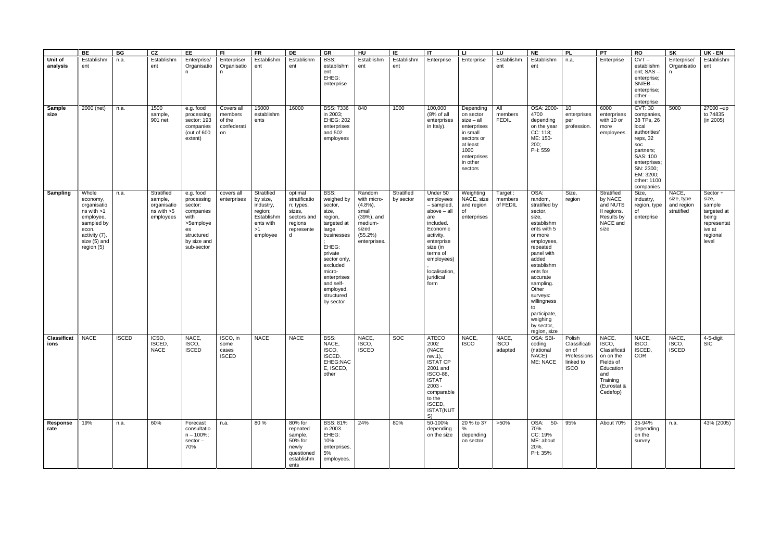|                            | BE                                                                                                                                    | BG           | CZ                                                              | EE                                                                                                                    | FI.                                                  | <b>FR</b>                                                                                   | DE                                                                                           | GR                                                                                                                                                                                                                    | $H$ U                                                                                                    | IE                      | IT                                                                                                                                                                                        | <b>LI</b>                                                                                                                                 | LU                              | $N_{E}$                                                                                                                                                                                                                                                                                              | <b>PL</b>                                                                  | $\overline{PT}$                                                                                                     | RO                                                                                                                                                                                    | SK                                              | UK - EN                                                                                           |
|----------------------------|---------------------------------------------------------------------------------------------------------------------------------------|--------------|-----------------------------------------------------------------|-----------------------------------------------------------------------------------------------------------------------|------------------------------------------------------|---------------------------------------------------------------------------------------------|----------------------------------------------------------------------------------------------|-----------------------------------------------------------------------------------------------------------------------------------------------------------------------------------------------------------------------|----------------------------------------------------------------------------------------------------------|-------------------------|-------------------------------------------------------------------------------------------------------------------------------------------------------------------------------------------|-------------------------------------------------------------------------------------------------------------------------------------------|---------------------------------|------------------------------------------------------------------------------------------------------------------------------------------------------------------------------------------------------------------------------------------------------------------------------------------------------|----------------------------------------------------------------------------|---------------------------------------------------------------------------------------------------------------------|---------------------------------------------------------------------------------------------------------------------------------------------------------------------------------------|-------------------------------------------------|---------------------------------------------------------------------------------------------------|
| Unit of<br>analysis        | Establishm<br>ent                                                                                                                     | n.a.         | Establishm<br>ent                                               | Enterprise/<br>Organisatio<br>n.                                                                                      | Enterprise/<br>Organisatio<br>n                      | Establishm<br>ent                                                                           | Establishm<br>ent                                                                            | BSS:<br>establishm<br>ent<br>EHEG:<br>enterprise                                                                                                                                                                      | Establishm<br>ent                                                                                        | Establishm<br>ent       | Enterprise                                                                                                                                                                                | Enterprise                                                                                                                                | Establishm<br>ent               | Establishm<br>ent                                                                                                                                                                                                                                                                                    | n.a.                                                                       | Enterprise                                                                                                          | $CVT -$<br>establishm<br>ent; SAS-<br>enterprise;<br>$SN/EB$ –<br>enterprise;<br>other -<br>enterprise                                                                                | Enterprise/<br>Organisatio                      | Establishm<br>ent                                                                                 |
| Sample<br>size             | 2000 (net)                                                                                                                            | n.a.         | 1500<br>sample,<br>901 net                                      | e.g. food<br>processing<br>sector: 193<br>companies<br>(out of 600<br>extent)                                         | Covers all<br>members<br>of the<br>confederati<br>on | 15000<br>establishm<br>ents                                                                 | 16000                                                                                        | <b>BSS: 7336</b><br>in 2003;<br><b>EHEG: 202</b><br>enterprises<br>and 502<br>employees                                                                                                                               | 840                                                                                                      | 1000                    | 100,000<br>(8% of all<br>enterprises<br>in Italy).                                                                                                                                        | Depending<br>on sector<br>$size - all$<br>enterprises<br>in small<br>sectors or<br>at least<br>1000<br>enterprises<br>in other<br>sectors | All<br>members<br><b>FEDIL</b>  | OSA: 2000-<br>4700<br>depending<br>on the year<br>CC: 118;<br>ME: 150-<br>200;<br>PH: 559                                                                                                                                                                                                            | 10<br>enterprises<br>per<br>profession.                                    | 6000<br>enterprises<br>with 10 or<br>more<br>employees                                                              | <b>CVT: 30</b><br>companies,<br>38 TPs, 26<br>local<br>authorities'<br>reps, 32<br>soc<br>partners;<br>SAS: 100<br>enterprises;<br>SN: 2300;<br>EM: 3200;<br>other: 1100<br>companies | 5000                                            | $27000 - up$<br>to 74835<br>(in 2005)                                                             |
| Sampling                   | Whole<br>economy,<br>organisatio<br>$ns$ with $>1$<br>employee,<br>sampled by<br>econ.<br>activity (7),<br>size (5) and<br>region (5) | n.a.         | Stratified<br>sample,<br>organisatio<br>ns with >5<br>employees | e.g. food<br>processing<br>sector:<br>companies<br>with<br>>5employe<br>es<br>structured<br>by size and<br>sub-sector | covers all<br>enterprises                            | Stratified<br>by size,<br>industry,<br>region;<br>Establishm<br>ents with<br>>1<br>employee | optimal<br>stratificatio<br>n; types,<br>sizes,<br>sectors and<br>regions<br>represente<br>d | BSS:<br>weighed by<br>sector,<br>size,<br>region,<br>targeted at<br>large<br>businesses<br>EHEG:<br>private<br>sector only,<br>excluded<br>micro-<br>enterprises<br>and self-<br>employed,<br>structured<br>by sector | Random<br>with micro-<br>$(4.8\%)$<br>small<br>(39%), and<br>medium-<br>sized<br>(55.2%)<br>enterprises. | Stratified<br>by sector | Under 50<br>employees<br>- sampled,<br>above - all<br>are<br>included.<br>Economic<br>activity,<br>enterprise<br>size (in<br>terms of<br>employees)<br>localisation.<br>juridical<br>form | Weighting<br>NACE, size<br>and region<br>of<br>enterprises                                                                                | Target:<br>members<br>of FEDIL  | OSA:<br>random,<br>stratified by<br>sector,<br>size,<br>establishm<br>ents with 5<br>or more<br>employees,<br>repeated<br>panel with<br>added<br>establishm<br>ents for<br>accurate<br>sampling.<br>Other<br>surveys:<br>willingness<br>to<br>participate,<br>weighing<br>by sector,<br>region, size | Size,<br>region                                                            | Stratified<br>by NACE<br>and NUTS<br>II regions.<br>Results by<br>NACE and<br>size                                  | Size,<br>industry,<br>region, type<br>of<br>enterprise                                                                                                                                | NACE,<br>size, type<br>and region<br>stratified | Sector +<br>size,<br>sample<br>targeted at<br>being<br>representat<br>ive at<br>regional<br>level |
| <b>Classificat</b><br>ions | <b>NACE</b>                                                                                                                           | <b>ISCED</b> | ICSO,<br><b>ISCED</b><br><b>NACE</b>                            | NACE,<br>ISCO,<br><b>ISCED</b>                                                                                        | ISCO, in<br>some<br>cases<br><b>ISCED</b>            | <b>NACE</b>                                                                                 | <b>NACE</b>                                                                                  | BSS:<br>NACE,<br>ISCO,<br>ISCED.<br>EHEG:NAC<br>E, ISCED,<br>other                                                                                                                                                    | NACE,<br>ISCO,<br><b>ISCED</b>                                                                           | <b>SOC</b>              | ATECO<br>2002<br>(NACE<br>rev.1),<br><b>ISTAT CP</b><br>2001 and<br>ISCO-88,<br><b>ISTAT</b><br>$2003 -$<br>comparable<br>to the<br>ISCED,<br><b>ISTAT(NUT</b><br>S)                      | NACE,<br><b>ISCO</b>                                                                                                                      | NACE,<br><b>ISCO</b><br>adapted | OSA: SBI-<br>coding<br>(national<br>NACE)<br>ME: NACE                                                                                                                                                                                                                                                | Polish<br>Classificati<br>on of<br>Professions<br>linked to<br><b>ISCO</b> | NACE,<br>ISCO,<br>Classificati<br>on on the<br>Fields of<br>Education<br>and<br>Training<br>(Eurostat &<br>Cedefop) | NACE,<br>ISCO,<br>ISCED,<br>COR                                                                                                                                                       | NACE,<br>ISCO,<br><b>ISCED</b>                  | 4-5-digit<br><b>SIC</b>                                                                           |
| Response<br>rate           | 19%                                                                                                                                   | n.a.         | 60%                                                             | Forecast<br>consultatio<br>$n - 100\%$ ;<br>sector-<br>70%                                                            | n.a.                                                 | 80%                                                                                         | 80% for<br>repeated<br>sample,<br>50% for<br>newly<br>questioned<br>establishm<br>ents       | <b>BSS: 81%</b><br>in 2003.<br>EHEG:<br>10%<br>enterprises,<br>5%<br>employees.                                                                                                                                       | 24%                                                                                                      | 80%                     | 50-100%<br>depending<br>on the size                                                                                                                                                       | 20 % to 37<br>℅<br>depending<br>on sector                                                                                                 | $>50\%$                         | OSA: 50- 95%<br>70%<br>CC: 19%<br>ME: about<br>20%.<br>PH: 35%                                                                                                                                                                                                                                       |                                                                            | About 70%                                                                                                           | 25-94%<br>depending<br>on the<br>survey                                                                                                                                               | n.a.                                            | 43% (2005)                                                                                        |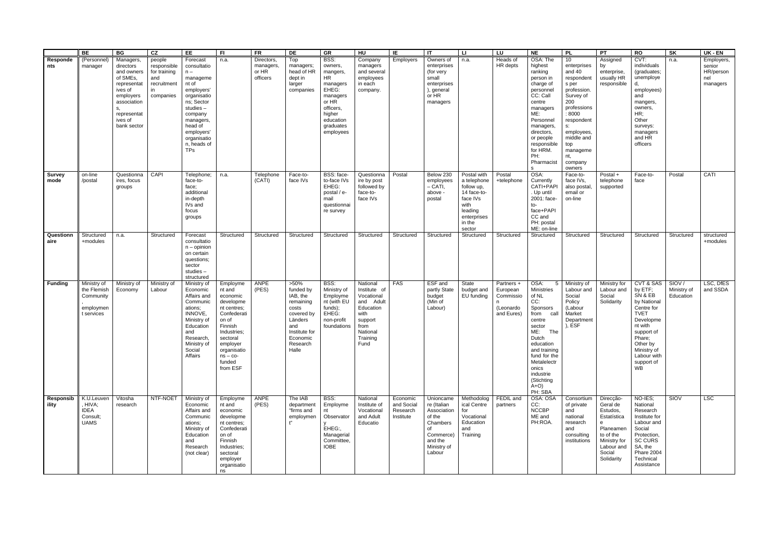|                    | BE                                                                 | BG                                                                                                                                                    | cz                                                                             | <b>EE</b>                                                                                                                                                                                                 | -FI                                                                                                                                                                                     | <b>FR</b>                                   | DE                                                                                                                                       | GR                                                                                                                                        | $\overline{\mathsf{H}}$                                                                                                     | ΙE                                              | IT                                                                                                                   | $\mathbf{H}$                                                                                                              | $\overline{\mathsf{L}}$                                        | $N_{E}$                                                                                                                                                                                                                                          | <b>PL</b>                                                                                                                                                                                                        | PT                                                                                                                                    | <b>RO</b>                                                                                                                                                                                        | $\overline{\mathsf{SK}}$          | UK - EN                                              |
|--------------------|--------------------------------------------------------------------|-------------------------------------------------------------------------------------------------------------------------------------------------------|--------------------------------------------------------------------------------|-----------------------------------------------------------------------------------------------------------------------------------------------------------------------------------------------------------|-----------------------------------------------------------------------------------------------------------------------------------------------------------------------------------------|---------------------------------------------|------------------------------------------------------------------------------------------------------------------------------------------|-------------------------------------------------------------------------------------------------------------------------------------------|-----------------------------------------------------------------------------------------------------------------------------|-------------------------------------------------|----------------------------------------------------------------------------------------------------------------------|---------------------------------------------------------------------------------------------------------------------------|----------------------------------------------------------------|--------------------------------------------------------------------------------------------------------------------------------------------------------------------------------------------------------------------------------------------------|------------------------------------------------------------------------------------------------------------------------------------------------------------------------------------------------------------------|---------------------------------------------------------------------------------------------------------------------------------------|--------------------------------------------------------------------------------------------------------------------------------------------------------------------------------------------------|-----------------------------------|------------------------------------------------------|
| Responde<br>nts    | (Personnel)<br>manager                                             | Managers,<br>directors<br>and owners<br>of SMEs,<br>representat<br>ives of<br>employers<br>association<br>s.<br>representat<br>ives of<br>bank sector | people<br>responsible<br>for training<br>and<br>recruitment<br>in<br>companies | Forecast<br>consultatio<br>$n -$<br>manageme<br>nt of<br>employers'<br>organisatio<br>ns; Sector<br>studies-<br>company<br>managers,<br>head of<br>employers'<br>organisatio<br>n, heads of<br><b>TPs</b> | n.a.                                                                                                                                                                                    | Directors<br>managers,<br>or HR<br>officers | Top<br>managers;<br>head of HR<br>dept in<br>larger<br>companies                                                                         | BSS:<br>owners,<br>mangers,<br>HR<br>managers<br>EHEG:<br>managers<br>or HR<br>officers,<br>higher<br>education<br>graduates<br>employees | Company<br>managers<br>and several<br>employees<br>in each<br>company.                                                      | Employers                                       | Owners of<br>enterprises<br>(for very<br>small<br>enterprises<br>), general<br>or HR<br>managers                     | n.a.                                                                                                                      | Heads of<br>HR depts                                           | OSA: The<br>highest<br>ranking<br>person in<br>charge of<br>personnel<br>CC: Call<br>centre<br>managers<br>ME:<br>Personnel<br>managers,<br>directors,<br>or people<br>responsible<br>for HRM.<br>PH:<br>Pharmacist<br>s                         | 10<br>enterprises<br>and 40<br>respondent<br>s per<br>profession.<br>Survey of<br>200<br>professions<br>: 8000<br>respondent<br>$S$ .<br>employees,<br>middle and<br>top<br>manageme<br>nt,<br>company<br>owners | Assigned<br>by<br>enterprise,<br>usually HR<br>responsible                                                                            | CVT:<br>individuals<br>(graduates;<br>unemploye<br>d.<br>employees)<br>and<br>mangers,<br>owners,<br>HR;<br>Other<br>surveys:<br>managers<br>and HR<br>officers                                  | n.a.                              | Employers,<br>senior<br>HR/person<br>nel<br>managers |
| Survey<br>mode     | on-line<br>/postal                                                 | Questionna<br>ires, focus<br>groups                                                                                                                   | CAPI                                                                           | Telephone;<br>face-to-<br>face;<br>additional<br>in-depth<br>IVs and<br>focus<br>groups                                                                                                                   | n.a.                                                                                                                                                                                    | Telephone<br>(CATI)                         | Face-to-<br>face IVs                                                                                                                     | BSS: face-<br>to-face IVs<br>EHEG:<br>postal / e-<br>mail<br>questionnai<br>re survey                                                     | Questionna<br>ire by post<br>followed by<br>face-to-<br>face IVs                                                            | Postal                                          | Below 230<br>employees<br>$-$ CATI,<br>above -<br>postal                                                             | Postal with<br>a telephone<br>follow up,<br>14 face-to-<br>face IVs<br>with<br>leading<br>enterprises<br>in the<br>sector | Postal<br>+telephone                                           | OSA:<br>Currently<br>CATI+PAPI<br>. Up until<br>2001: face-<br>to-<br>face+PAPI<br>CC and<br>PH: postal<br>ME: on-line                                                                                                                           | Face-to-<br>face IVs,<br>also postal,<br>email or<br>on-line                                                                                                                                                     | Postal $+$<br>telephone<br>supported                                                                                                  | Face-to-<br>face                                                                                                                                                                                 | Postal                            | CATI                                                 |
| Questionn<br>aire  | Structured<br>+modules                                             | n.a.                                                                                                                                                  | Structured                                                                     | Forecast<br>consultatio<br>$n -$ opinion<br>on certain<br>questions;<br>sector<br>studies-<br>structured                                                                                                  | Structured                                                                                                                                                                              | Structured                                  | Structured                                                                                                                               | Structured                                                                                                                                | Structured                                                                                                                  | Structured                                      | Structured                                                                                                           | Structured                                                                                                                | Structured                                                     | Structured                                                                                                                                                                                                                                       | Structured                                                                                                                                                                                                       | Structured                                                                                                                            | Structured                                                                                                                                                                                       | Structured                        | structured<br>+modules                               |
| <b>Funding</b>     | Ministry of<br>the Flemish<br>Community<br>employmen<br>t services | Ministry of<br>Economy                                                                                                                                | Ministry of<br>Labour                                                          | Ministry of<br>Economic<br>Affairs and<br>Communic<br>ations;<br>INNOVE,<br>Ministry of<br>Education<br>and<br>Research,<br>Ministry of<br>Social<br>Affairs                                              | Employme<br>nt and<br>economic<br>developme<br>nt centres;<br>Confederati<br>on of<br>Finnish<br>Industries;<br>sectoral<br>employer<br>organisatio<br>$ns - co-$<br>funded<br>from ESF | ANPE<br>(PES)                               | $>50\%$<br>funded by<br>IAB, the<br>remaining<br>costs<br>covered by<br>Länders<br>and<br>Institute for<br>Economic<br>Research<br>Halle | BSS:<br>Ministry of<br>Employme<br>nt (with EU<br>funds);<br>EHEG:<br>non-profit<br>foundations                                           | National<br>Institute of<br>Vocational<br>and Adult<br>Education<br>with<br>support<br>from<br>National<br>Training<br>Fund | <b>FAS</b>                                      | ESF and<br>partly State<br>budget<br>(Min of<br>Labour)                                                              | State<br>budget and<br>EU funding                                                                                         | Partners +<br>European<br>Commissio<br>(Leonardo<br>and Eures) | OSA:<br>$5\overline{)}$<br>Ministries<br>of NL<br>CC:<br>Sponsors<br>from<br>call<br>centre<br>sector<br>ME:<br>The<br>Dutch<br>education<br>and training<br>fund for the<br>Metalelectr<br>onics<br>industrie<br>(Stichting<br>$A+O$<br>PH: SBA | Ministry of<br>Labour and<br>Social<br>Policy<br>(Labour<br>Market<br>Department<br>), ESF                                                                                                                       | <b>Ministry for</b><br>Labour and<br>Social<br>Solidarity                                                                             | CVT & SAS<br>by ETF;<br>SN & EB<br>by National<br>Centre for<br><b>TVET</b><br>Developme<br>nt with<br>support of<br>Phare;<br>Other by<br>Ministry of<br>Labour with<br>support of<br><b>WB</b> | SIOV/<br>Ministry of<br>Education | LSC, DfES<br>and SSDA                                |
| Responsib<br>ility | K.U.Leuven<br>, HIVA;<br><b>IDEA</b><br>Consult;<br><b>UAMS</b>    | Vitosha<br>research                                                                                                                                   | NTF-NOET                                                                       | Ministry of<br>Economic<br>Affairs and<br>Communic<br>ations;<br>Ministry of<br>Education<br>and<br>Research<br>(not clear)                                                                               | Employme<br>nt and<br>economic<br>developme<br>nt centres;<br>Confederati<br>on of<br>Finnish<br>Industries;<br>sectoral<br>employer<br>organisatio<br>ns                               | ANPE<br>(PES)                               | The IAB<br>department<br>"firms and<br>employmen<br>ť,                                                                                   | BSS:<br>Employme<br>nt<br>Observator<br>EHEG:,<br>Managerial<br>Committee,<br><b>IOBE</b>                                                 | National<br>Institute of<br>Vocational<br>and Adult<br>Educatio                                                             | Economic<br>and Social<br>Research<br>Institute | Unioncame<br>re (Italian<br>Association<br>of the<br>Chambers<br>0f<br>Commerce)<br>and the<br>Ministry of<br>Labour | Methodolog<br>ical Centre<br>for<br>Vocational<br>Education<br>and<br>Training                                            | FEDIL and<br>partners                                          | OSA: OSA<br>CC:<br><b>NCCBP</b><br>ME and<br>PH:ROA.                                                                                                                                                                                             | Consortium<br>of private<br>and<br>national<br>research<br>and<br>consulting<br>institutions                                                                                                                     | Direcção-<br>Geral de<br>Estudos,<br>Estatística<br>e<br>Planeamen<br>to of the<br>Ministry for<br>Labour and<br>Social<br>Solidarity | NO-IES;<br>National<br>Research<br>Institute for<br>Labour and<br>Social<br>Protection,<br><b>SC CURS</b><br>SA, the<br>Phare 2004<br>Technical<br>Assistance                                    | <b>SIOV</b>                       | <b>LSC</b>                                           |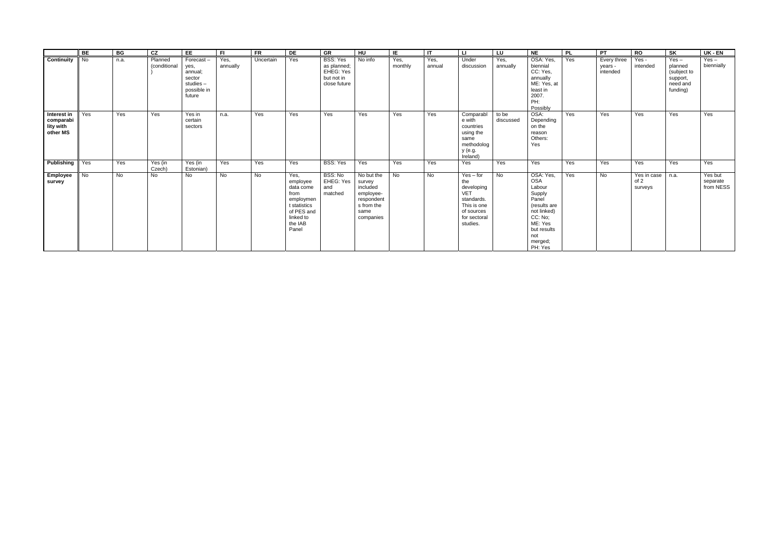|                                                   | <b>BE</b> | BG             | cz                      | EE                                                                          | FI.              | <b>FR</b> | DE                                                                                                                | GR                                                                 | $\overline{\mathsf{H}}$                                                                        | IE              | $\mathsf{I}$   | LI.                                                                                                                   | LU                 | <b>NE</b>                                                                                                                                             | <b>PL</b> | PT                                 | <b>RO</b>                      | SK                                                                    | $UK - EN$                        |
|---------------------------------------------------|-----------|----------------|-------------------------|-----------------------------------------------------------------------------|------------------|-----------|-------------------------------------------------------------------------------------------------------------------|--------------------------------------------------------------------|------------------------------------------------------------------------------------------------|-----------------|----------------|-----------------------------------------------------------------------------------------------------------------------|--------------------|-------------------------------------------------------------------------------------------------------------------------------------------------------|-----------|------------------------------------|--------------------------------|-----------------------------------------------------------------------|----------------------------------|
| Continuity                                        | No        | n.a.           | Planned<br>(conditional | Forecast-<br>yes,<br>annual;<br>sector<br>studies-<br>possible in<br>future | Yes,<br>annually | Uncertain | Yes                                                                                                               | BSS: Yes<br>as planned;<br>EHEG: Yes<br>but not in<br>close future | No info                                                                                        | Yes,<br>monthly | Yes,<br>annual | Under<br>discussion                                                                                                   | Yes,<br>annually   | OSA: Yes,<br>biennial<br>CC: Yes,<br>annually<br>ME: Yes, at<br>least in<br>2007.<br>PH:<br>Possibly                                                  | Yes       | Every three<br>years -<br>intended | Yes -<br>intended              | $Yes -$<br>planned<br>(subject to<br>support,<br>need and<br>funding) | $Yes -$<br>biennially            |
| Interest in<br>comparabi<br>lity with<br>other MS | Yes       | Yes            | Yes                     | Yes in<br>certain<br>sectors                                                | n.a.             | Yes       | Yes                                                                                                               | Yes                                                                | Yes                                                                                            | Yes             | Yes            | Comparabl<br>e with<br>countries<br>using the<br>same<br>methodolog<br>y (e.g.<br>Ireland)                            | to be<br>discussed | OSA:<br>Depending<br>on the<br>reason<br>Others:<br>Yes                                                                                               | Yes       | Yes                                | Yes                            | Yes                                                                   | Yes                              |
| <b>Publishing</b> Yes                             |           | Yes            | Yes (in<br>Czech)       | Yes (in<br>Estonian)                                                        | Yes              | Yes       | Yes                                                                                                               | BSS: Yes                                                           | Yes                                                                                            | Yes             | Yes            | Yes                                                                                                                   | Yes                | Yes                                                                                                                                                   | Yes       | Yes                                | Yes                            | Yes                                                                   | Yes                              |
| Employee<br>survey                                | <b>No</b> | $\overline{N}$ | No                      | <b>No</b>                                                                   | <b>No</b>        | <b>No</b> | Yes,<br>employee<br>data come<br>from<br>employmen<br>t statistics<br>of PES and<br>linked to<br>the IAB<br>Panel | BSS: No<br>EHEG: Yes<br>and<br>matched                             | No but the<br>survey<br>included<br>employee-<br>respondent<br>s from the<br>same<br>companies | <b>No</b>       | No             | $Yes - for$<br>the<br>developing<br><b>VET</b><br>standards.<br>This is one<br>of sources<br>for sectoral<br>studies. | $\overline{N}$     | OSA: Yes,<br><b>OSA</b><br>Labour<br>Supply<br>Panel<br>(results are<br>not linked)<br>CC: No;<br>ME: Yes<br>but results<br>not<br>merged;<br>PH: Yes | Yes       | $\overline{N}$                     | Yes in case<br>of 2<br>surveys | n.a.                                                                  | Yes but<br>separate<br>from NESS |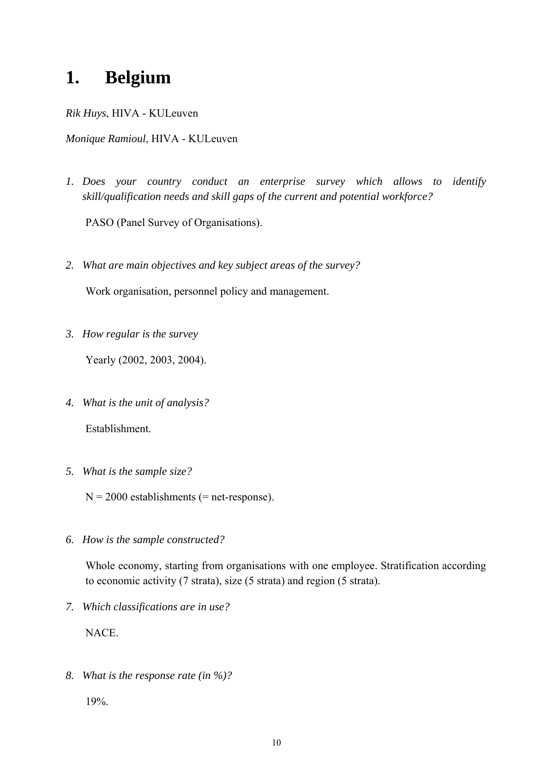## **1. Belgium**

*Rik Huys*, HIVA - KULeuven

*Monique Ramioul*, HIVA - KULeuven

*1. Does your country conduct an enterprise survey which allows to identify skill/qualification needs and skill gaps of the current and potential workforce?* 

PASO (Panel Survey of Organisations).

*2. What are main objectives and key subject areas of the survey?* 

Work organisation, personnel policy and management.

*3. How regular is the survey* 

Yearly (2002, 2003, 2004).

*4. What is the unit of analysis?* 

Establishment.

*5. What is the sample size?* 

 $N = 2000$  establishments (= net-response).

*6. How is the sample constructed?* 

Whole economy, starting from organisations with one employee. Stratification according to economic activity (7 strata), size (5 strata) and region (5 strata).

*7. Which classifications are in use?* 

NACE.

*8. What is the response rate (in %)?* 

19%.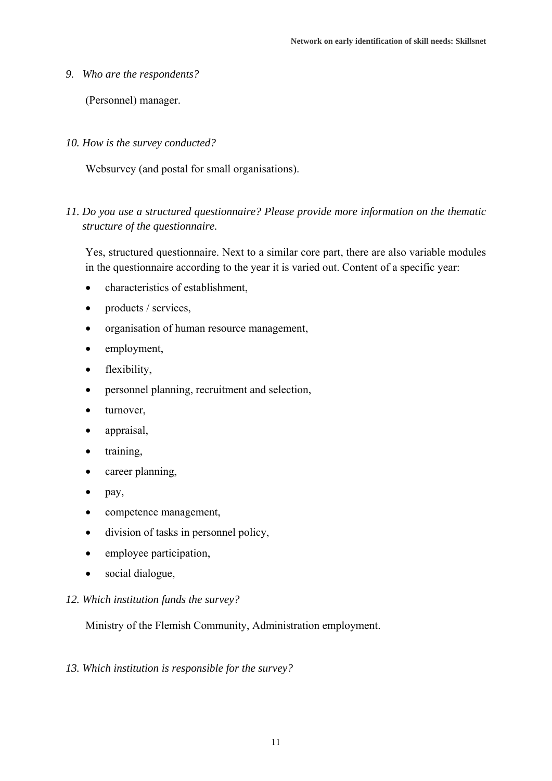*9. Who are the respondents?* 

(Personnel) manager.

*10. How is the survey conducted?* 

Websurvey (and postal for small organisations).

*11. Do you use a structured questionnaire? Please provide more information on the thematic structure of the questionnaire.* 

Yes, structured questionnaire. Next to a similar core part, there are also variable modules in the questionnaire according to the year it is varied out. Content of a specific year:

- characteristics of establishment,
- products / services,
- organisation of human resource management,
- employment,
- flexibility,
- personnel planning, recruitment and selection,
- turnover,
- appraisal,
- training,
- career planning,
- pay,
- competence management,
- division of tasks in personnel policy,
- employee participation,
- social dialogue,
- *12. Which institution funds the survey?*

Ministry of the Flemish Community, Administration employment.

#### *13. Which institution is responsible for the survey?*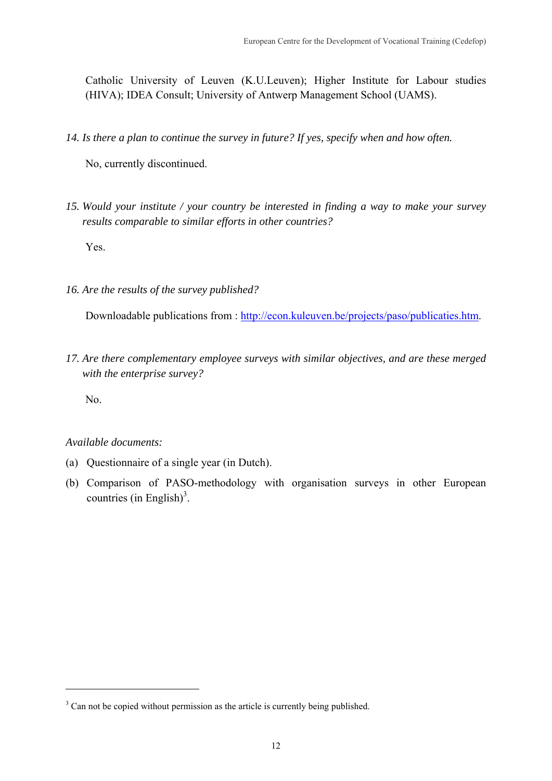Catholic University of Leuven (K.U.Leuven); Higher Institute for Labour studies (HIVA); IDEA Consult; University of Antwerp Management School (UAMS).

*14. Is there a plan to continue the survey in future? If yes, specify when and how often.* 

No, currently discontinued.

*15. Would your institute / your country be interested in finding a way to make your survey results comparable to similar efforts in other countries?* 

Yes.

*16. Are the results of the survey published?* 

Downloadable publications from : http://econ.kuleuven.be/projects/paso/publicaties.htm.

*17. Are there complementary employee surveys with similar objectives, and are these merged with the enterprise survey?* 

No.

1

### *Available documents:*

- (a) Questionnaire of a single year (in Dutch).
- (b) Comparison of PASO-methodology with organisation surveys in other European countries (in English)<sup>3</sup>.

<sup>&</sup>lt;sup>3</sup> Can not be copied without permission as the article is currently being published.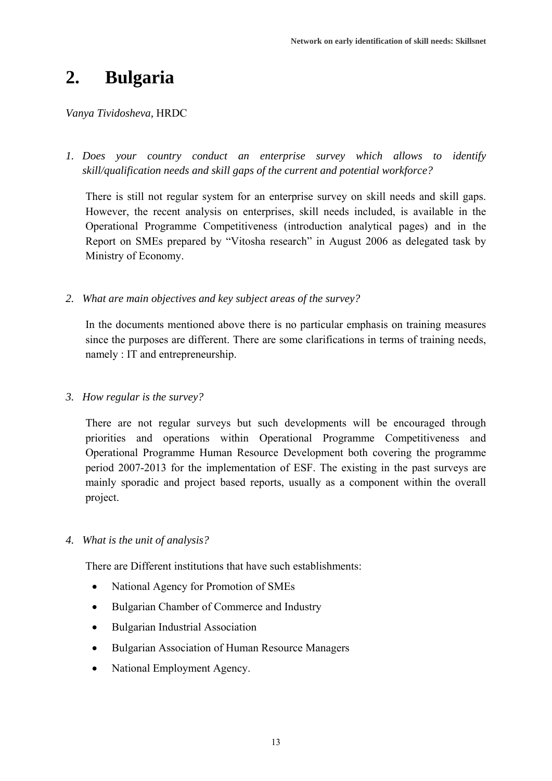## **2. Bulgaria**

### *Vanya Tividosheva,* HRDC

*1. Does your country conduct an enterprise survey which allows to identify skill/qualification needs and skill gaps of the current and potential workforce?* 

There is still not regular system for an enterprise survey on skill needs and skill gaps. However, the recent analysis on enterprises, skill needs included, is available in the Operational Programme Competitiveness (introduction analytical pages) and in the Report on SMEs prepared by "Vitosha research" in August 2006 as delegated task by Ministry of Economy.

*2. What are main objectives and key subject areas of the survey?* 

In the documents mentioned above there is no particular emphasis on training measures since the purposes are different. There are some clarifications in terms of training needs, namely : IT and entrepreneurship.

*3. How regular is the survey?* 

There are not regular surveys but such developments will be encouraged through priorities and operations within Operational Programme Competitiveness and Operational Programme Human Resource Development both covering the programme period 2007-2013 for the implementation of ESF. The existing in the past surveys are mainly sporadic and project based reports, usually as a component within the overall project.

### *4. What is the unit of analysis?*

There are Different institutions that have such establishments:

- National Agency for Promotion of SMEs
- Bulgarian Chamber of Commerce and Industry
- Bulgarian Industrial Association
- Bulgarian Association of Human Resource Managers
- National Employment Agency.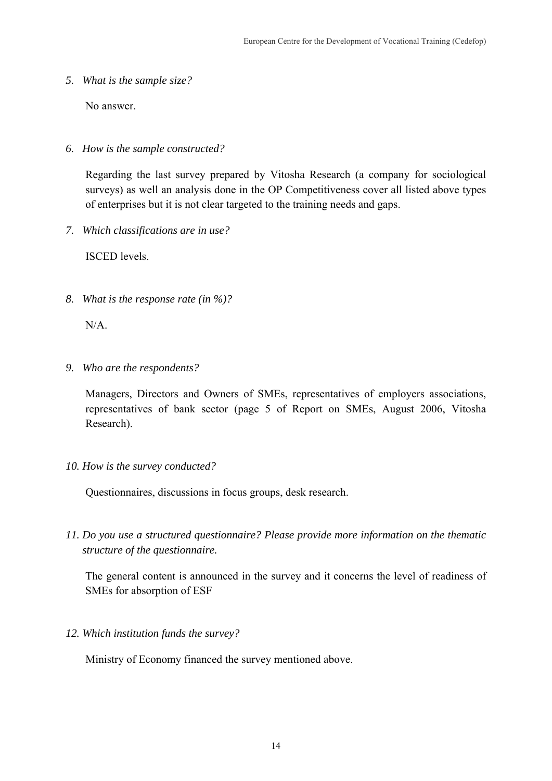*5. What is the sample size?* 

No answer.

*6. How is the sample constructed?* 

Regarding the last survey prepared by Vitosha Research (a company for sociological surveys) as well an analysis done in the OP Competitiveness cover all listed above types of enterprises but it is not clear targeted to the training needs and gaps.

*7. Which classifications are in use?* 

ISCED levels.

*8. What is the response rate (in %)?* 

N/A.

*9. Who are the respondents?* 

Managers, Directors and Owners of SMEs, representatives of employers associations, representatives of bank sector (page 5 of Report on SMEs, August 2006, Vitosha Research).

*10. How is the survey conducted?* 

Questionnaires, discussions in focus groups, desk research.

*11. Do you use a structured questionnaire? Please provide more information on the thematic structure of the questionnaire.* 

The general content is announced in the survey and it concerns the level of readiness of SMEs for absorption of ESF

*12. Which institution funds the survey?* 

Ministry of Economy financed the survey mentioned above.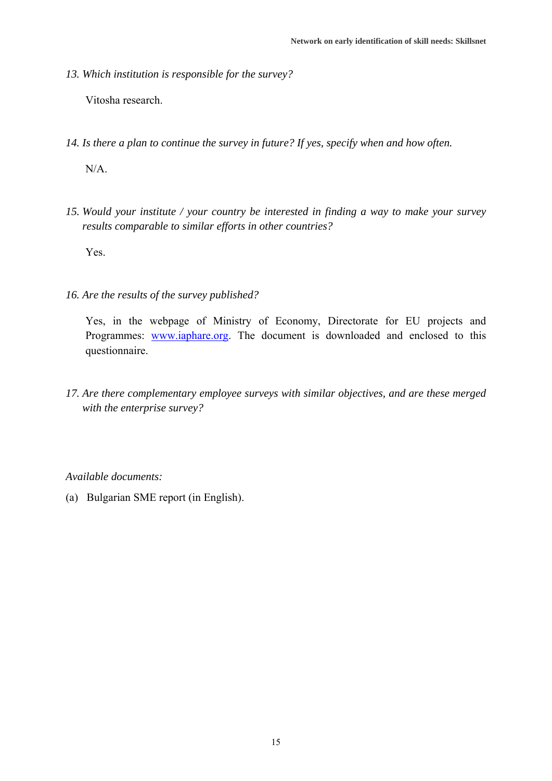*13. Which institution is responsible for the survey?* 

Vitosha research.

- *14. Is there a plan to continue the survey in future? If yes, specify when and how often.*   $N/A$ .
- *15. Would your institute / your country be interested in finding a way to make your survey results comparable to similar efforts in other countries?*

Yes.

*16. Are the results of the survey published?* 

Yes, in the webpage of Ministry of Economy, Directorate for EU projects and Programmes: www.iaphare.org. The document is downloaded and enclosed to this questionnaire.

*17. Are there complementary employee surveys with similar objectives, and are these merged with the enterprise survey?* 

*Available documents:* 

(a) Bulgarian SME report (in English).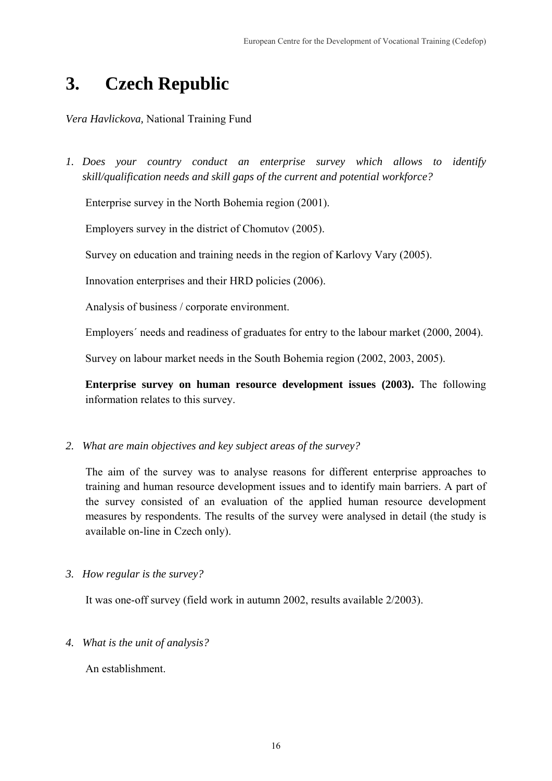# **3. Czech Republic**

*Vera Havlickova,* National Training Fund

*1. Does your country conduct an enterprise survey which allows to identify skill/qualification needs and skill gaps of the current and potential workforce?* 

Enterprise survey in the North Bohemia region (2001).

Employers survey in the district of Chomutov (2005).

Survey on education and training needs in the region of Karlovy Vary (2005).

Innovation enterprises and their HRD policies (2006).

Analysis of business / corporate environment.

Employers´ needs and readiness of graduates for entry to the labour market (2000, 2004).

Survey on labour market needs in the South Bohemia region (2002, 2003, 2005).

**Enterprise survey on human resource development issues (2003).** The following information relates to this survey.

*2. What are main objectives and key subject areas of the survey?* 

The aim of the survey was to analyse reasons for different enterprise approaches to training and human resource development issues and to identify main barriers. A part of the survey consisted of an evaluation of the applied human resource development measures by respondents. The results of the survey were analysed in detail (the study is available on-line in Czech only).

*3. How regular is the survey?* 

It was one-off survey (field work in autumn 2002, results available 2/2003).

*4. What is the unit of analysis?* 

An establishment.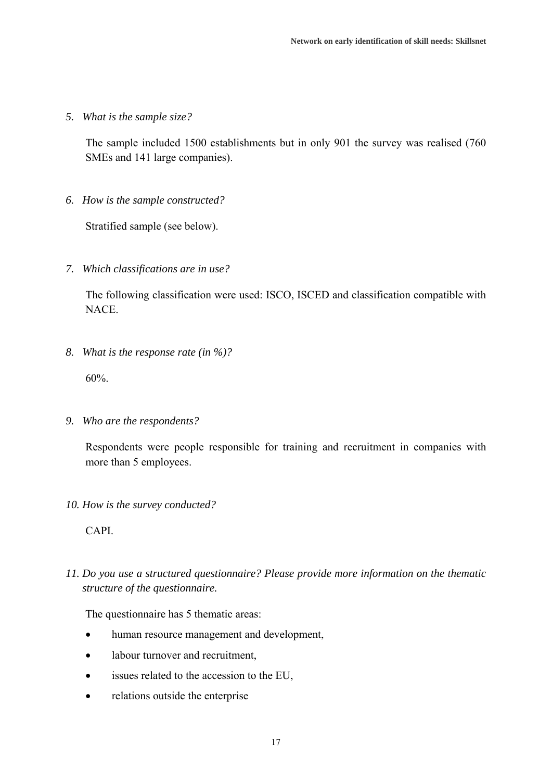*5. What is the sample size?* 

The sample included 1500 establishments but in only 901 the survey was realised (760 SMEs and 141 large companies).

*6. How is the sample constructed?* 

Stratified sample (see below).

*7. Which classifications are in use?* 

The following classification were used: ISCO, ISCED and classification compatible with NACE.

*8. What is the response rate (in %)?* 

60%.

*9. Who are the respondents?* 

Respondents were people responsible for training and recruitment in companies with more than 5 employees.

*10. How is the survey conducted?* 

CAPI.

*11. Do you use a structured questionnaire? Please provide more information on the thematic structure of the questionnaire.* 

The questionnaire has 5 thematic areas:

- human resource management and development,
- labour turnover and recruitment,
- issues related to the accession to the EU,
- relations outside the enterprise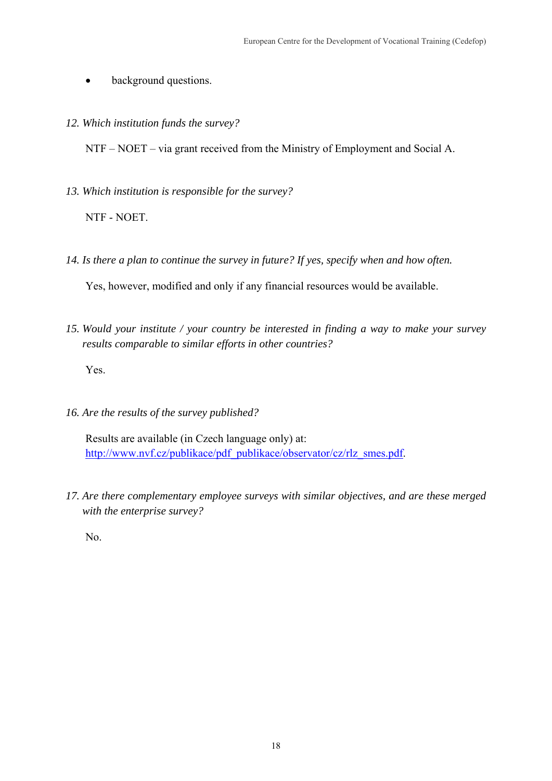- background questions.
- *12. Which institution funds the survey?*

NTF – NOET – via grant received from the Ministry of Employment and Social A.

*13. Which institution is responsible for the survey?* 

NTF - NOET.

*14. Is there a plan to continue the survey in future? If yes, specify when and how often.* 

Yes, however, modified and only if any financial resources would be available.

*15. Would your institute / your country be interested in finding a way to make your survey results comparable to similar efforts in other countries?* 

Yes.

*16. Are the results of the survey published?* 

Results are available (in Czech language only) at: http://www.nvf.cz/publikace/pdf\_publikace/observator/cz/rlz\_smes.pdf.

*17. Are there complementary employee surveys with similar objectives, and are these merged with the enterprise survey?* 

No.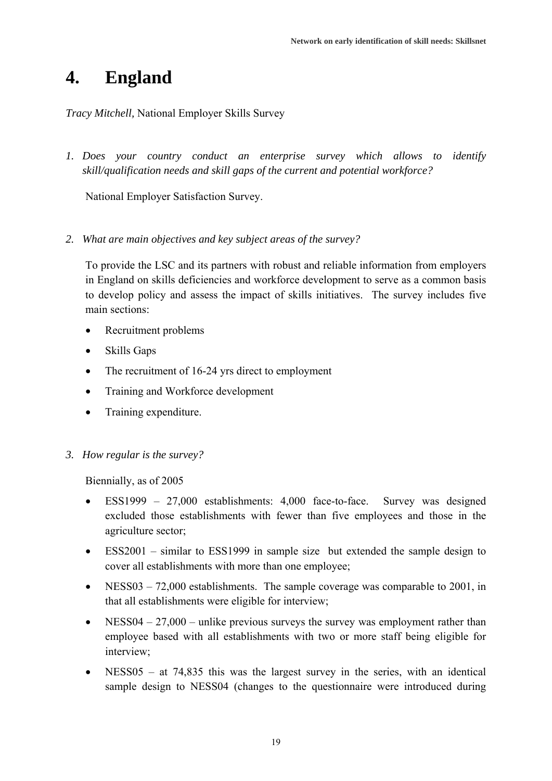## **4. England**

*Tracy Mitchell,* National Employer Skills Survey

*1. Does your country conduct an enterprise survey which allows to identify skill/qualification needs and skill gaps of the current and potential workforce?* 

National Employer Satisfaction Survey.

*2. What are main objectives and key subject areas of the survey?* 

To provide the LSC and its partners with robust and reliable information from employers in England on skills deficiencies and workforce development to serve as a common basis to develop policy and assess the impact of skills initiatives. The survey includes five main sections:

- Recruitment problems
- Skills Gaps
- The recruitment of 16-24 yrs direct to employment
- Training and Workforce development
- Training expenditure.
- *3. How regular is the survey?*

Biennially, as of 2005

- ESS1999 27,000 establishments: 4,000 face-to-face. Survey was designed excluded those establishments with fewer than five employees and those in the agriculture sector;
- ESS2001 similar to ESS1999 in sample size but extended the sample design to cover all establishments with more than one employee;
- NESS03 72,000 establishments. The sample coverage was comparable to 2001, in that all establishments were eligible for interview;
- NESS04  $27,000$  unlike previous surveys the survey was employment rather than employee based with all establishments with two or more staff being eligible for interview;
- $NESS05 at 74,835$  this was the largest survey in the series, with an identical sample design to NESS04 (changes to the questionnaire were introduced during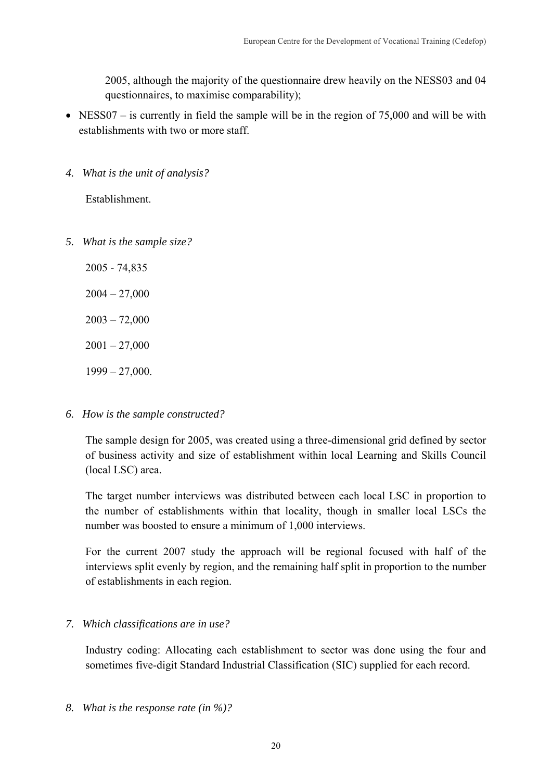2005, although the majority of the questionnaire drew heavily on the NESS03 and 04 questionnaires, to maximise comparability);

- NESS07 is currently in field the sample will be in the region of 75,000 and will be with establishments with two or more staff.
- *4. What is the unit of analysis?*

Establishment.

*5. What is the sample size?* 

2005 - 74,835  $2004 - 27,000$ 

 $2003 - 72,000$ 

 $2001 - 27,000$ 

1999 – 27,000.

*6. How is the sample constructed?* 

The sample design for 2005, was created using a three-dimensional grid defined by sector of business activity and size of establishment within local Learning and Skills Council (local LSC) area.

The target number interviews was distributed between each local LSC in proportion to the number of establishments within that locality, though in smaller local LSCs the number was boosted to ensure a minimum of 1,000 interviews.

For the current 2007 study the approach will be regional focused with half of the interviews split evenly by region, and the remaining half split in proportion to the number of establishments in each region.

### *7. Which classifications are in use?*

Industry coding: Allocating each establishment to sector was done using the four and sometimes five-digit Standard Industrial Classification (SIC) supplied for each record.

*8. What is the response rate (in %)?*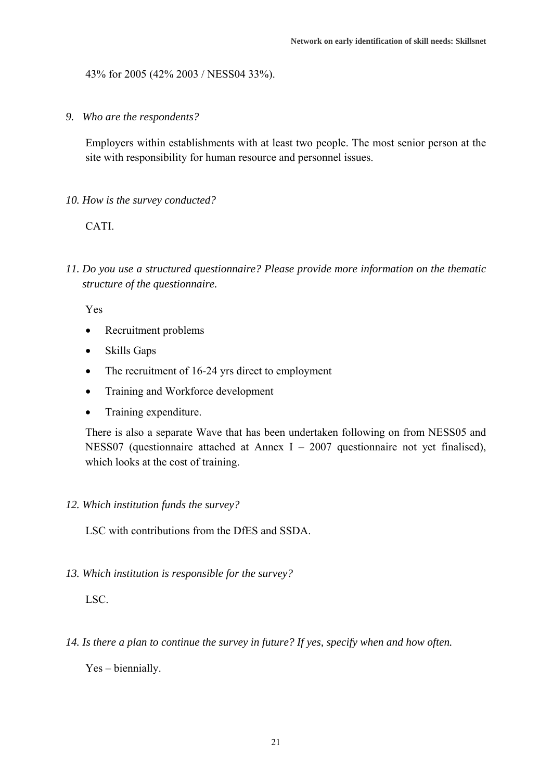43% for 2005 (42% 2003 / NESS04 33%).

*9. Who are the respondents?* 

Employers within establishments with at least two people. The most senior person at the site with responsibility for human resource and personnel issues.

*10. How is the survey conducted?* 

CATI.

*11. Do you use a structured questionnaire? Please provide more information on the thematic structure of the questionnaire.* 

Yes

- Recruitment problems
- Skills Gaps
- The recruitment of 16-24 yrs direct to employment
- Training and Workforce development
- Training expenditure.

There is also a separate Wave that has been undertaken following on from NESS05 and NESS07 (questionnaire attached at Annex I – 2007 questionnaire not yet finalised), which looks at the cost of training.

#### *12. Which institution funds the survey?*

LSC with contributions from the DfES and SSDA.

*13. Which institution is responsible for the survey?* 

LSC.

*14. Is there a plan to continue the survey in future? If yes, specify when and how often.* 

Yes – biennially.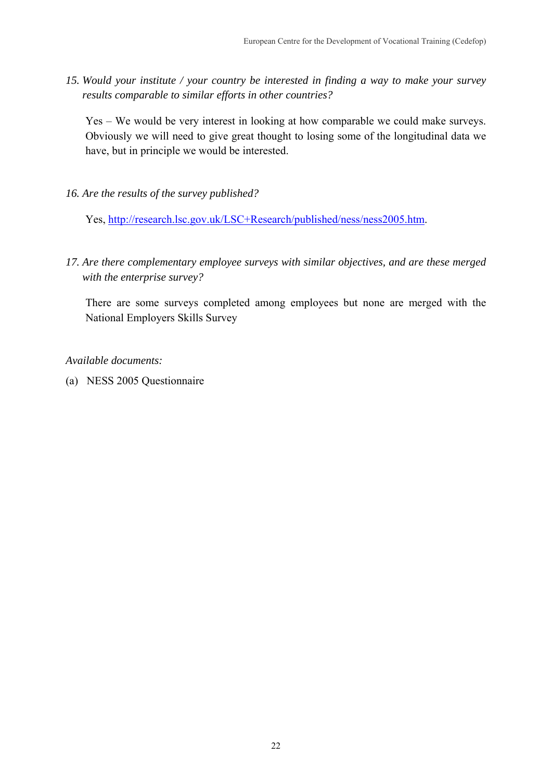*15. Would your institute / your country be interested in finding a way to make your survey results comparable to similar efforts in other countries?* 

Yes – We would be very interest in looking at how comparable we could make surveys. Obviously we will need to give great thought to losing some of the longitudinal data we have, but in principle we would be interested.

*16. Are the results of the survey published?* 

Yes, http://research.lsc.gov.uk/LSC+Research/published/ness/ness2005.htm.

*17. Are there complementary employee surveys with similar objectives, and are these merged with the enterprise survey?* 

There are some surveys completed among employees but none are merged with the National Employers Skills Survey

*Available documents:* 

(a) NESS 2005 Questionnaire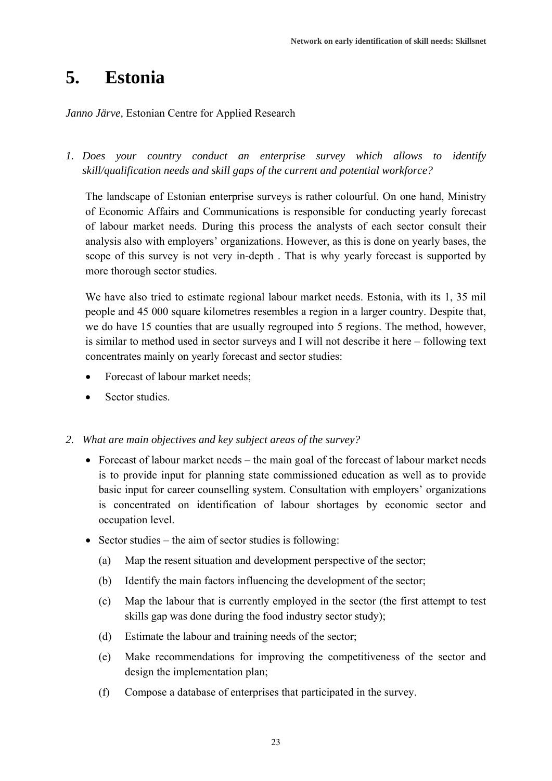### **5. Estonia**

#### *Janno Järve,* Estonian Centre for Applied Research

*1. Does your country conduct an enterprise survey which allows to identify skill/qualification needs and skill gaps of the current and potential workforce?* 

The landscape of Estonian enterprise surveys is rather colourful. On one hand, Ministry of Economic Affairs and Communications is responsible for conducting yearly forecast of labour market needs. During this process the analysts of each sector consult their analysis also with employers' organizations. However, as this is done on yearly bases, the scope of this survey is not very in-depth . That is why yearly forecast is supported by more thorough sector studies.

We have also tried to estimate regional labour market needs. Estonia, with its 1, 35 mil people and 45 000 square kilometres resembles a region in a larger country. Despite that, we do have 15 counties that are usually regrouped into 5 regions. The method, however, is similar to method used in sector surveys and I will not describe it here – following text concentrates mainly on yearly forecast and sector studies:

- Forecast of labour market needs;
- Sector studies.

*2. What are main objectives and key subject areas of the survey?* 

- Forecast of labour market needs the main goal of the forecast of labour market needs is to provide input for planning state commissioned education as well as to provide basic input for career counselling system. Consultation with employers' organizations is concentrated on identification of labour shortages by economic sector and occupation level.
- Sector studies the aim of sector studies is following:
	- (a) Map the resent situation and development perspective of the sector;
	- (b) Identify the main factors influencing the development of the sector;
	- (c) Map the labour that is currently employed in the sector (the first attempt to test skills gap was done during the food industry sector study);
	- (d) Estimate the labour and training needs of the sector;
	- (e) Make recommendations for improving the competitiveness of the sector and design the implementation plan;
	- (f) Compose a database of enterprises that participated in the survey.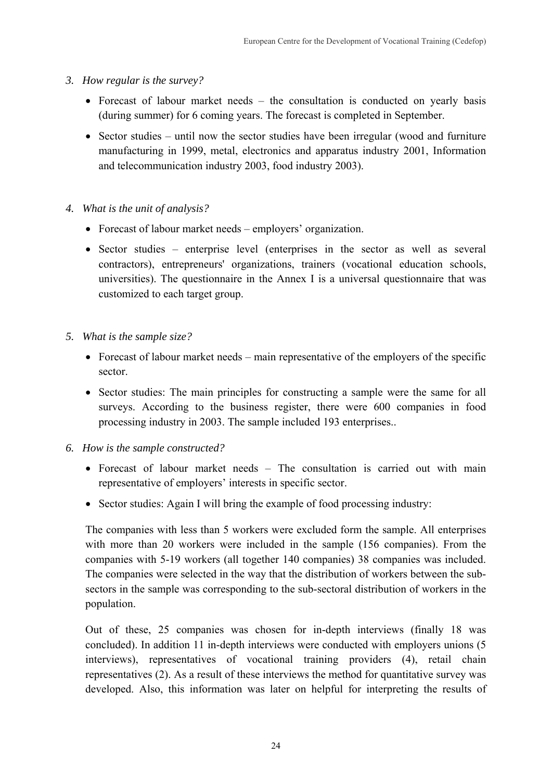- *3. How regular is the survey?* 
	- Forecast of labour market needs the consultation is conducted on yearly basis (during summer) for 6 coming years. The forecast is completed in September.
	- Sector studies until now the sector studies have been irregular (wood and furniture manufacturing in 1999, metal, electronics and apparatus industry 2001, Information and telecommunication industry 2003, food industry 2003).
- *4. What is the unit of analysis?* 
	- Forecast of labour market needs employers' organization.
	- Sector studies enterprise level (enterprises in the sector as well as several contractors), entrepreneurs' organizations, trainers (vocational education schools, universities). The questionnaire in the Annex I is a universal questionnaire that was customized to each target group.
- *5. What is the sample size?* 
	- Forecast of labour market needs main representative of the employers of the specific sector.
	- Sector studies: The main principles for constructing a sample were the same for all surveys. According to the business register, there were 600 companies in food processing industry in 2003. The sample included 193 enterprises..
- *6. How is the sample constructed?* 
	- Forecast of labour market needs The consultation is carried out with main representative of employers' interests in specific sector.
	- Sector studies: Again I will bring the example of food processing industry:

The companies with less than 5 workers were excluded form the sample. All enterprises with more than 20 workers were included in the sample (156 companies). From the companies with 5-19 workers (all together 140 companies) 38 companies was included. The companies were selected in the way that the distribution of workers between the subsectors in the sample was corresponding to the sub-sectoral distribution of workers in the population.

Out of these, 25 companies was chosen for in-depth interviews (finally 18 was concluded). In addition 11 in-depth interviews were conducted with employers unions (5 interviews), representatives of vocational training providers (4), retail chain representatives (2). As a result of these interviews the method for quantitative survey was developed. Also, this information was later on helpful for interpreting the results of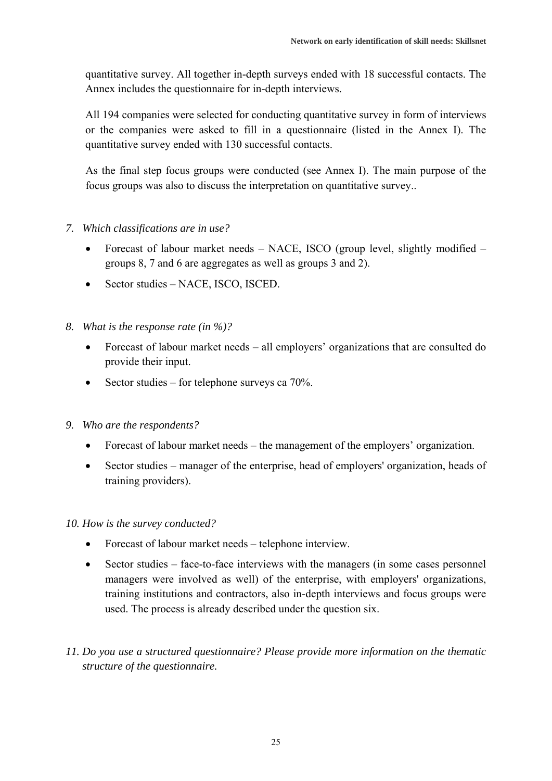quantitative survey. All together in-depth surveys ended with 18 successful contacts. The Annex includes the questionnaire for in-depth interviews.

All 194 companies were selected for conducting quantitative survey in form of interviews or the companies were asked to fill in a questionnaire (listed in the Annex I). The quantitative survey ended with 130 successful contacts.

As the final step focus groups were conducted (see Annex I). The main purpose of the focus groups was also to discuss the interpretation on quantitative survey..

### *7. Which classifications are in use?*

- Forecast of labour market needs NACE, ISCO (group level, slightly modified groups 8, 7 and 6 are aggregates as well as groups 3 and 2).
- Sector studies NACE, ISCO, ISCED.
- *8. What is the response rate (in %)?* 
	- Forecast of labour market needs all employers' organizations that are consulted do provide their input.
	- Sector studies for telephone surveys ca  $70\%$ .
- *9. Who are the respondents?* 
	- Forecast of labour market needs the management of the employers' organization.
	- Sector studies manager of the enterprise, head of employers' organization, heads of training providers).

*10. How is the survey conducted?* 

- Forecast of labour market needs telephone interview.
- Sector studies face-to-face interviews with the managers (in some cases personnel managers were involved as well) of the enterprise, with employers' organizations, training institutions and contractors, also in-depth interviews and focus groups were used. The process is already described under the question six.
- *11. Do you use a structured questionnaire? Please provide more information on the thematic structure of the questionnaire.*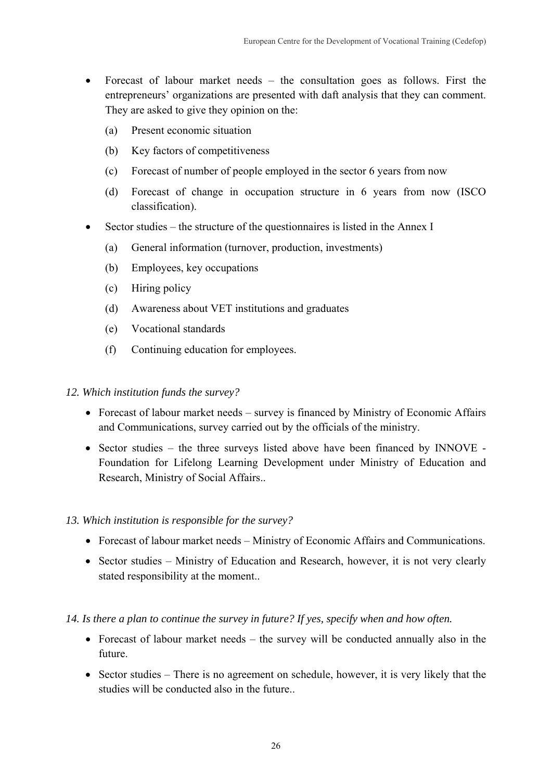- Forecast of labour market needs the consultation goes as follows. First the entrepreneurs' organizations are presented with daft analysis that they can comment. They are asked to give they opinion on the:
	- (a) Present economic situation
	- (b) Key factors of competitiveness
	- (c) Forecast of number of people employed in the sector 6 years from now
	- (d) Forecast of change in occupation structure in 6 years from now (ISCO classification).
- Sector studies the structure of the questionnaires is listed in the Annex I
	- (a) General information (turnover, production, investments)
	- (b) Employees, key occupations
	- (c) Hiring policy
	- (d) Awareness about VET institutions and graduates
	- (e) Vocational standards
	- (f) Continuing education for employees.

### *12. Which institution funds the survey?*

- Forecast of labour market needs survey is financed by Ministry of Economic Affairs and Communications, survey carried out by the officials of the ministry.
- Sector studies the three surveys listed above have been financed by INNOVE Foundation for Lifelong Learning Development under Ministry of Education and Research, Ministry of Social Affairs..
- *13. Which institution is responsible for the survey?* 
	- Forecast of labour market needs Ministry of Economic Affairs and Communications.
	- Sector studies Ministry of Education and Research, however, it is not very clearly stated responsibility at the moment..
- *14. Is there a plan to continue the survey in future? If yes, specify when and how often.* 
	- Forecast of labour market needs the survey will be conducted annually also in the future.
	- Sector studies There is no agreement on schedule, however, it is very likely that the studies will be conducted also in the future.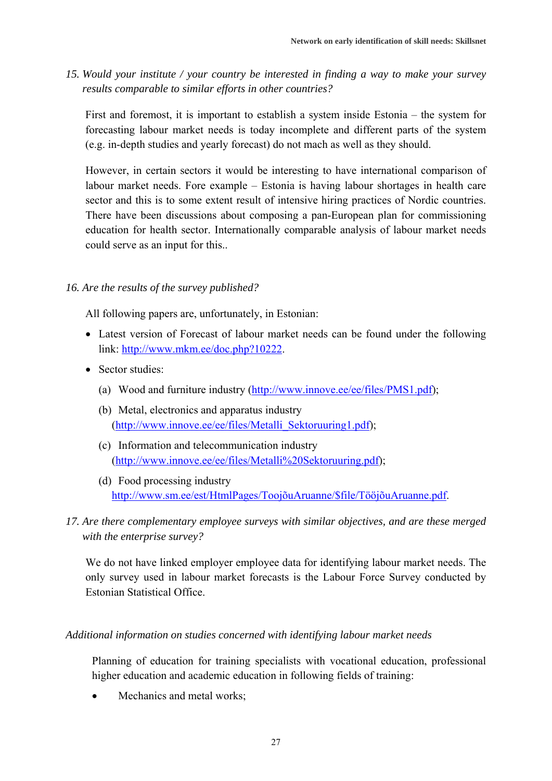*15. Would your institute / your country be interested in finding a way to make your survey results comparable to similar efforts in other countries?* 

First and foremost, it is important to establish a system inside Estonia – the system for forecasting labour market needs is today incomplete and different parts of the system (e.g. in-depth studies and yearly forecast) do not mach as well as they should.

However, in certain sectors it would be interesting to have international comparison of labour market needs. Fore example – Estonia is having labour shortages in health care sector and this is to some extent result of intensive hiring practices of Nordic countries. There have been discussions about composing a pan-European plan for commissioning education for health sector. Internationally comparable analysis of labour market needs could serve as an input for this..

### *16. Are the results of the survey published?*

All following papers are, unfortunately, in Estonian:

- Latest version of Forecast of labour market needs can be found under the following link: http://www.mkm.ee/doc.php?10222.
- Sector studies:
	- (a) Wood and furniture industry (http://www.innove.ee/ee/files/PMS1.pdf);
	- (b) Metal, electronics and apparatus industry (http://www.innove.ee/ee/files/Metalli\_Sektoruuring1.pdf);
	- (c) Information and telecommunication industry (http://www.innove.ee/ee/files/Metalli%20Sektoruuring.pdf);
	- (d) Food processing industry http://www.sm.ee/est/HtmlPages/ToojõuAruanne/\$file/TööjõuAruanne.pdf.
- *17. Are there complementary employee surveys with similar objectives, and are these merged with the enterprise survey?*

We do not have linked employer employee data for identifying labour market needs. The only survey used in labour market forecasts is the Labour Force Survey conducted by Estonian Statistical Office.

### *Additional information on studies concerned with identifying labour market needs*

Planning of education for training specialists with vocational education, professional higher education and academic education in following fields of training:

Mechanics and metal works: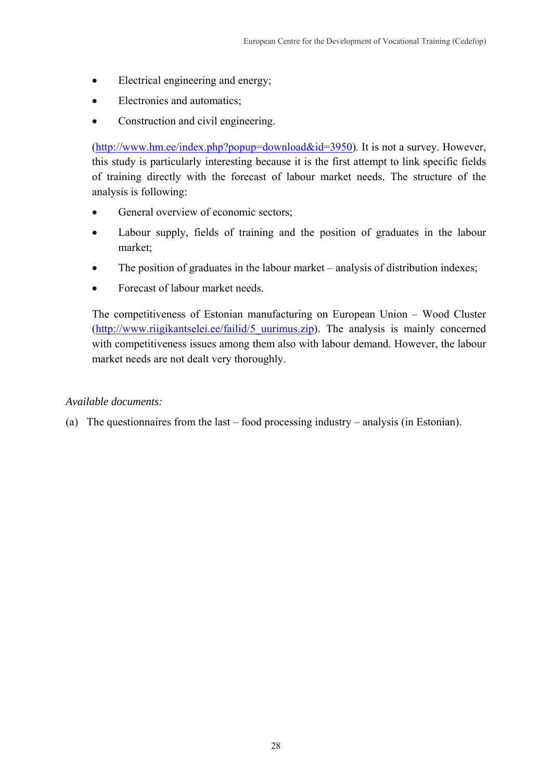- Electrical engineering and energy;
- Electronics and automatics;
- Construction and civil engineering.

(http://www.hm.ee/index.php?popup=download&id=3950). It is not a survey. However, this study is particularly interesting because it is the first attempt to link specific fields of training directly with the forecast of labour market needs. The structure of the analysis is following:

- General overview of economic sectors;
- Labour supply, fields of training and the position of graduates in the labour market;
- The position of graduates in the labour market analysis of distribution indexes;
- Forecast of labour market needs.

The competitiveness of Estonian manufacturing on European Union – Wood Cluster (http://www.riigikantselei.ee/failid/5 uurimus.zip). The analysis is mainly concerned with competitiveness issues among them also with labour demand. However, the labour market needs are not dealt very thoroughly.

### *Available documents:*

(a) The questionnaires from the last – food processing industry – analysis (in Estonian).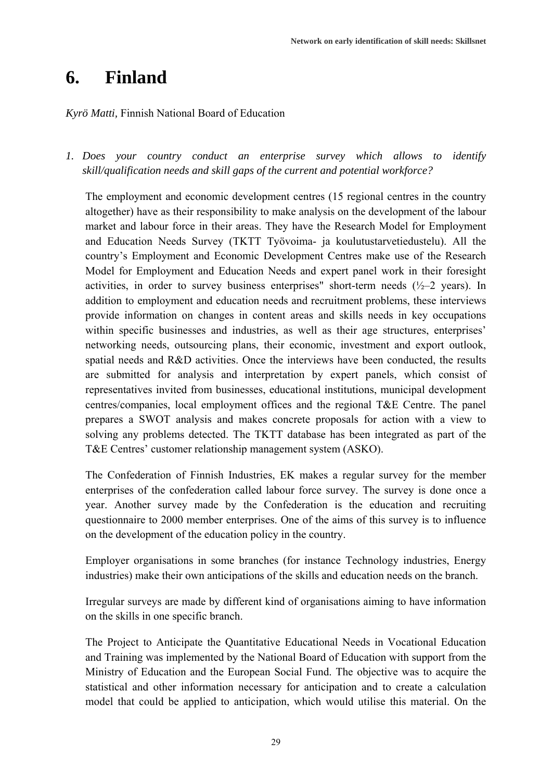## **6. Finland**

### *Kyrö Matti,* Finnish National Board of Education

*1. Does your country conduct an enterprise survey which allows to identify skill/qualification needs and skill gaps of the current and potential workforce?* 

The employment and economic development centres (15 regional centres in the country altogether) have as their responsibility to make analysis on the development of the labour market and labour force in their areas. They have the Research Model for Employment and Education Needs Survey (TKTT Työvoima- ja koulutustarvetiedustelu). All the country's Employment and Economic Development Centres make use of the Research Model for Employment and Education Needs and expert panel work in their foresight activities, in order to survey business enterprises" short-term needs  $(\frac{1}{2}-2 \text{ years})$ . In addition to employment and education needs and recruitment problems, these interviews provide information on changes in content areas and skills needs in key occupations within specific businesses and industries, as well as their age structures, enterprises' networking needs, outsourcing plans, their economic, investment and export outlook, spatial needs and R&D activities. Once the interviews have been conducted, the results are submitted for analysis and interpretation by expert panels, which consist of representatives invited from businesses, educational institutions, municipal development centres/companies, local employment offices and the regional T&E Centre. The panel prepares a SWOT analysis and makes concrete proposals for action with a view to solving any problems detected. The TKTT database has been integrated as part of the T&E Centres' customer relationship management system (ASKO).

The Confederation of Finnish Industries, EK makes a regular survey for the member enterprises of the confederation called labour force survey. The survey is done once a year. Another survey made by the Confederation is the education and recruiting questionnaire to 2000 member enterprises. One of the aims of this survey is to influence on the development of the education policy in the country.

Employer organisations in some branches (for instance Technology industries, Energy industries) make their own anticipations of the skills and education needs on the branch.

Irregular surveys are made by different kind of organisations aiming to have information on the skills in one specific branch.

The Project to Anticipate the Quantitative Educational Needs in Vocational Education and Training was implemented by the National Board of Education with support from the Ministry of Education and the European Social Fund. The objective was to acquire the statistical and other information necessary for anticipation and to create a calculation model that could be applied to anticipation, which would utilise this material. On the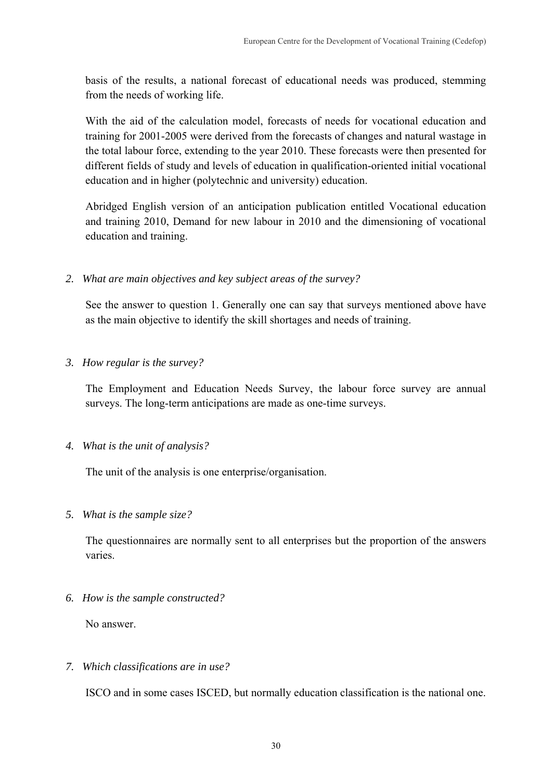basis of the results, a national forecast of educational needs was produced, stemming from the needs of working life.

With the aid of the calculation model, forecasts of needs for vocational education and training for 2001-2005 were derived from the forecasts of changes and natural wastage in the total labour force, extending to the year 2010. These forecasts were then presented for different fields of study and levels of education in qualification-oriented initial vocational education and in higher (polytechnic and university) education.

Abridged English version of an anticipation publication entitled Vocational education and training 2010, Demand for new labour in 2010 and the dimensioning of vocational education and training.

*2. What are main objectives and key subject areas of the survey?* 

See the answer to question 1. Generally one can say that surveys mentioned above have as the main objective to identify the skill shortages and needs of training.

*3. How regular is the survey?* 

The Employment and Education Needs Survey, the labour force survey are annual surveys. The long-term anticipations are made as one-time surveys.

*4. What is the unit of analysis?* 

The unit of the analysis is one enterprise/organisation.

*5. What is the sample size?* 

The questionnaires are normally sent to all enterprises but the proportion of the answers varies.

*6. How is the sample constructed?* 

No answer.

*7. Which classifications are in use?* 

ISCO and in some cases ISCED, but normally education classification is the national one.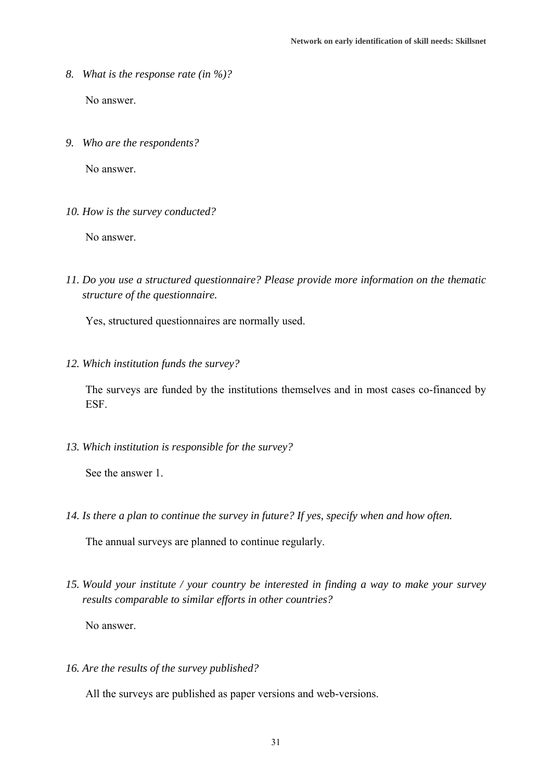- *8. What is the response rate (in %)?*  No answer.
- *9. Who are the respondents?*

No answer.

*10. How is the survey conducted?* 

No answer.

*11. Do you use a structured questionnaire? Please provide more information on the thematic structure of the questionnaire.* 

Yes, structured questionnaires are normally used.

*12. Which institution funds the survey?* 

The surveys are funded by the institutions themselves and in most cases co-financed by ESF.

*13. Which institution is responsible for the survey?* 

See the answer 1.

*14. Is there a plan to continue the survey in future? If yes, specify when and how often.* 

The annual surveys are planned to continue regularly.

*15. Would your institute / your country be interested in finding a way to make your survey results comparable to similar efforts in other countries?* 

No answer.

*16. Are the results of the survey published?* 

All the surveys are published as paper versions and web-versions.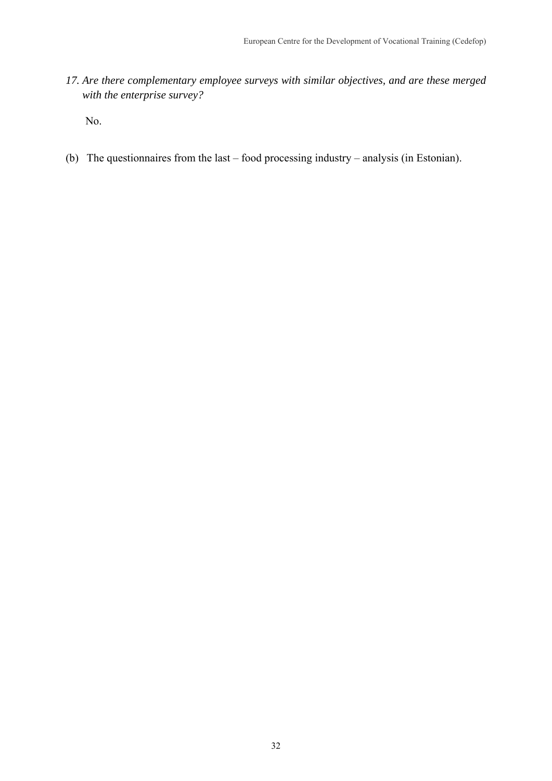*17. Are there complementary employee surveys with similar objectives, and are these merged with the enterprise survey?* 

No.

(b) The questionnaires from the last – food processing industry – analysis (in Estonian).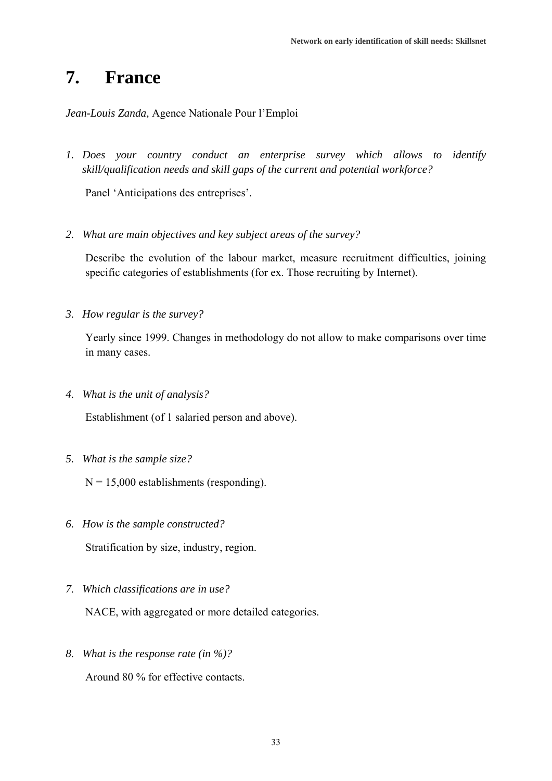### **7. France**

*Jean-Louis Zanda,* Agence Nationale Pour l'Emploi

*1. Does your country conduct an enterprise survey which allows to identify skill/qualification needs and skill gaps of the current and potential workforce?* 

Panel 'Anticipations des entreprises'.

*2. What are main objectives and key subject areas of the survey?* 

Describe the evolution of the labour market, measure recruitment difficulties, joining specific categories of establishments (for ex. Those recruiting by Internet).

*3. How regular is the survey?* 

Yearly since 1999. Changes in methodology do not allow to make comparisons over time in many cases.

*4. What is the unit of analysis?* 

Establishment (of 1 salaried person and above).

*5. What is the sample size?* 

 $N = 15,000$  establishments (responding).

*6. How is the sample constructed?* 

Stratification by size, industry, region.

*7. Which classifications are in use?* 

NACE, with aggregated or more detailed categories.

*8. What is the response rate (in %)?* 

Around 80 % for effective contacts.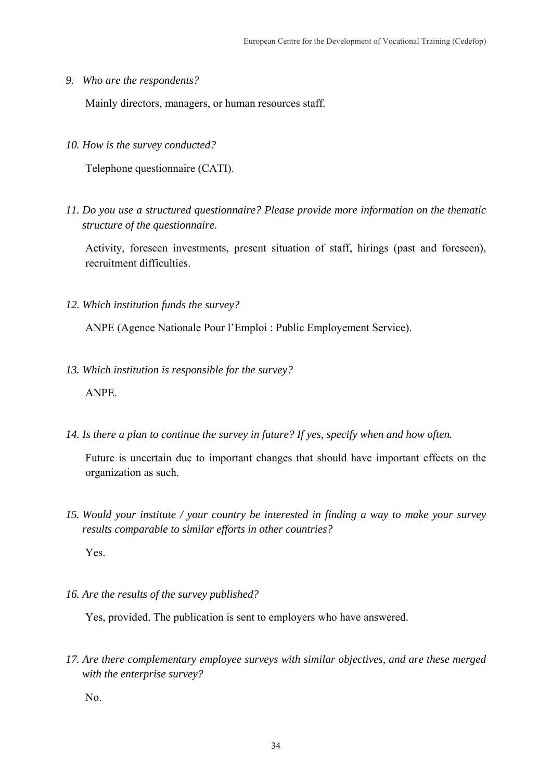*9. Who are the respondents?* 

Mainly directors, managers, or human resources staff.

*10. How is the survey conducted?* 

Telephone questionnaire (CATI).

*11. Do you use a structured questionnaire? Please provide more information on the thematic structure of the questionnaire.* 

Activity, foreseen investments, present situation of staff, hirings (past and foreseen), recruitment difficulties.

*12. Which institution funds the survey?* 

ANPE (Agence Nationale Pour l'Emploi : Public Employement Service).

- *13. Which institution is responsible for the survey?*  ANPE.
- *14. Is there a plan to continue the survey in future? If yes, specify when and how often.*

Future is uncertain due to important changes that should have important effects on the organization as such.

*15. Would your institute / your country be interested in finding a way to make your survey results comparable to similar efforts in other countries?* 

Yes.

*16. Are the results of the survey published?* 

Yes, provided. The publication is sent to employers who have answered.

*17. Are there complementary employee surveys with similar objectives, and are these merged with the enterprise survey?* 

No.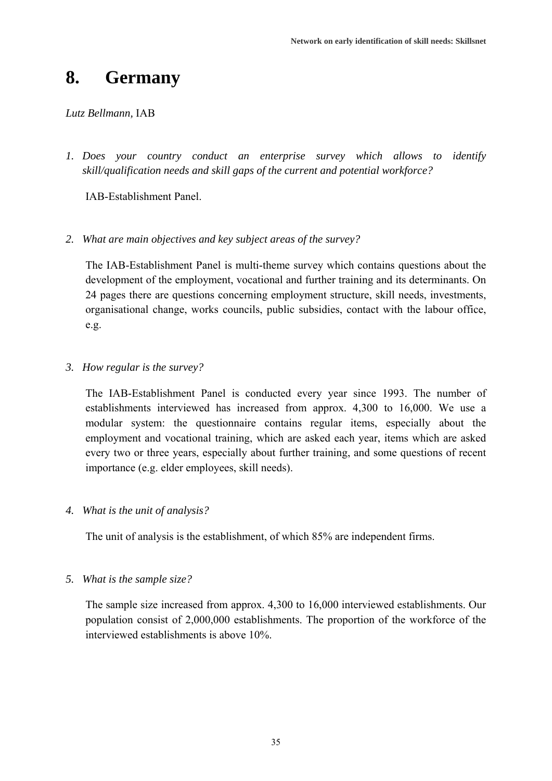### **8. Germany**

### *Lutz Bellmann,* IAB

*1. Does your country conduct an enterprise survey which allows to identify skill/qualification needs and skill gaps of the current and potential workforce?* 

IAB-Establishment Panel.

*2. What are main objectives and key subject areas of the survey?* 

The IAB-Establishment Panel is multi-theme survey which contains questions about the development of the employment, vocational and further training and its determinants. On 24 pages there are questions concerning employment structure, skill needs, investments, organisational change, works councils, public subsidies, contact with the labour office, e.g.

*3. How regular is the survey?* 

The IAB-Establishment Panel is conducted every year since 1993. The number of establishments interviewed has increased from approx. 4,300 to 16,000. We use a modular system: the questionnaire contains regular items, especially about the employment and vocational training, which are asked each year, items which are asked every two or three years, especially about further training, and some questions of recent importance (e.g. elder employees, skill needs).

*4. What is the unit of analysis?* 

The unit of analysis is the establishment, of which 85% are independent firms.

*5. What is the sample size?* 

The sample size increased from approx. 4,300 to 16,000 interviewed establishments. Our population consist of 2,000,000 establishments. The proportion of the workforce of the interviewed establishments is above 10%.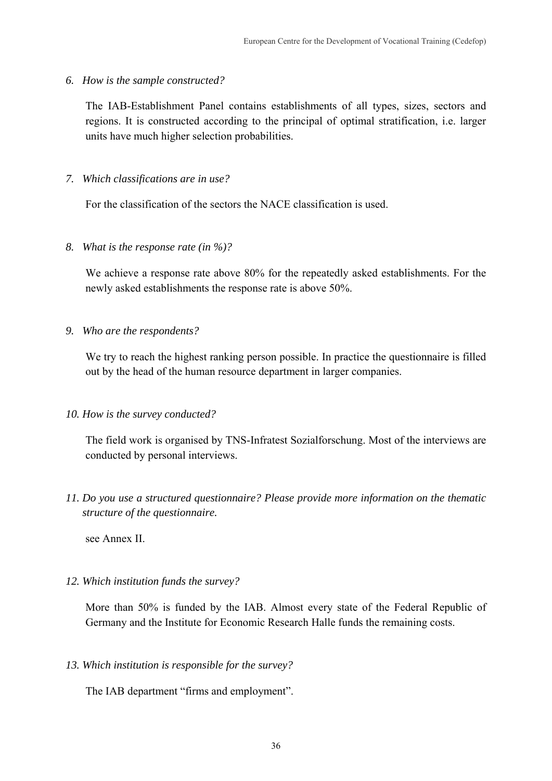*6. How is the sample constructed?* 

The IAB-Establishment Panel contains establishments of all types, sizes, sectors and regions. It is constructed according to the principal of optimal stratification, i.e. larger units have much higher selection probabilities.

*7. Which classifications are in use?* 

For the classification of the sectors the NACE classification is used.

*8. What is the response rate (in %)?* 

We achieve a response rate above 80% for the repeatedly asked establishments. For the newly asked establishments the response rate is above 50%.

*9. Who are the respondents?* 

We try to reach the highest ranking person possible. In practice the questionnaire is filled out by the head of the human resource department in larger companies.

*10. How is the survey conducted?* 

The field work is organised by TNS-Infratest Sozialforschung. Most of the interviews are conducted by personal interviews.

*11. Do you use a structured questionnaire? Please provide more information on the thematic structure of the questionnaire.* 

see Annex II.

*12. Which institution funds the survey?* 

More than 50% is funded by the IAB. Almost every state of the Federal Republic of Germany and the Institute for Economic Research Halle funds the remaining costs.

*13. Which institution is responsible for the survey?* 

The IAB department "firms and employment".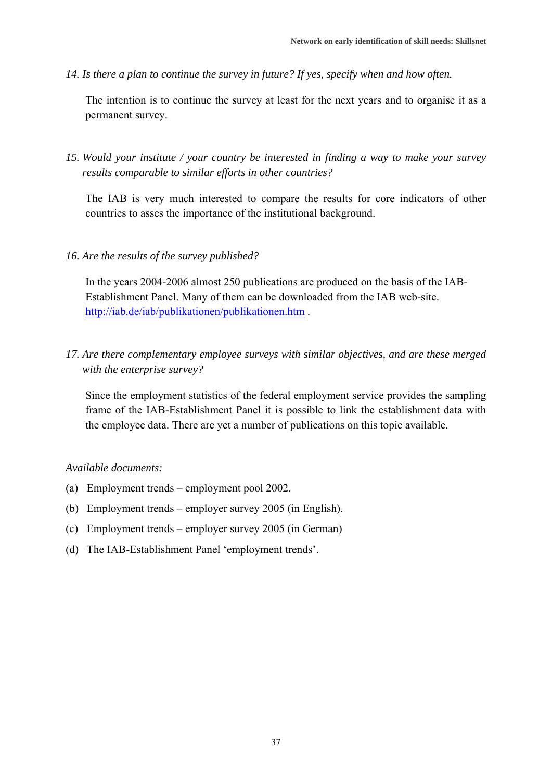*14. Is there a plan to continue the survey in future? If yes, specify when and how often.* 

The intention is to continue the survey at least for the next years and to organise it as a permanent survey.

*15. Would your institute / your country be interested in finding a way to make your survey results comparable to similar efforts in other countries?* 

The IAB is very much interested to compare the results for core indicators of other countries to asses the importance of the institutional background.

### *16. Are the results of the survey published?*

In the years 2004-2006 almost 250 publications are produced on the basis of the IAB-Establishment Panel. Many of them can be downloaded from the IAB web-site. http://iab.de/iab/publikationen/publikationen.htm .

*17. Are there complementary employee surveys with similar objectives, and are these merged with the enterprise survey?* 

Since the employment statistics of the federal employment service provides the sampling frame of the IAB-Establishment Panel it is possible to link the establishment data with the employee data. There are yet a number of publications on this topic available.

#### *Available documents:*

- (a) Employment trends employment pool 2002.
- (b) Employment trends employer survey 2005 (in English).
- (c) Employment trends employer survey 2005 (in German)
- (d) The IAB-Establishment Panel 'employment trends'.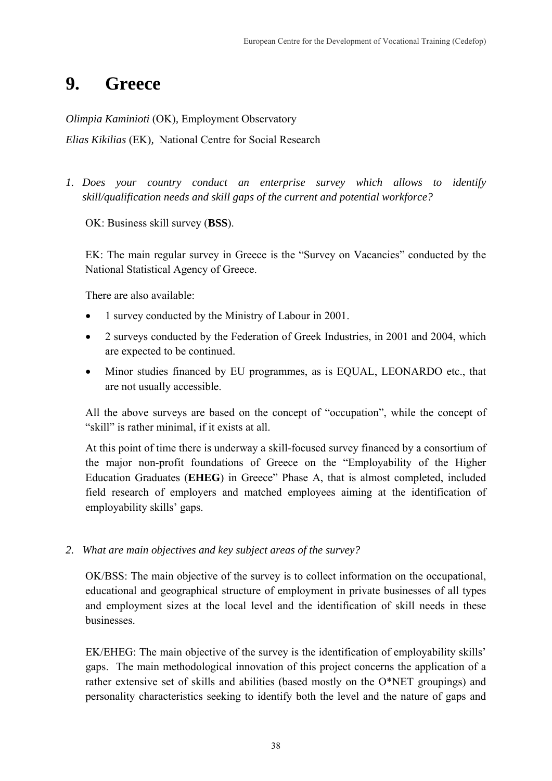# **9. Greece**

*Olimpia Kaminioti* (OK)*,* Employment Observatory

*Elias Kikilias* (EK)*,* National Centre for Social Research

*1. Does your country conduct an enterprise survey which allows to identify skill/qualification needs and skill gaps of the current and potential workforce?* 

OK: Business skill survey (**BSS**).

EK: The main regular survey in Greece is the "Survey on Vacancies" conducted by the National Statistical Agency of Greece.

There are also available:

- 1 survey conducted by the Ministry of Labour in 2001.
- 2 surveys conducted by the Federation of Greek Industries, in 2001 and 2004, which are expected to be continued.
- Minor studies financed by EU programmes, as is EQUAL, LEONARDO etc., that are not usually accessible.

All the above surveys are based on the concept of "occupation", while the concept of "skill" is rather minimal, if it exists at all.

At this point of time there is underway a skill-focused survey financed by a consortium of the major non-profit foundations of Greece on the "Employability of the Higher Education Graduates (**EHEG**) in Greece" Phase A, that is almost completed, included field research of employers and matched employees aiming at the identification of employability skills' gaps.

*2. What are main objectives and key subject areas of the survey?* 

OK/BSS: The main objective of the survey is to collect information on the occupational, educational and geographical structure of employment in private businesses of all types and employment sizes at the local level and the identification of skill needs in these businesses.

EK/EHEG: The main objective of the survey is the identification of employability skills' gaps. The main methodological innovation of this project concerns the application of a rather extensive set of skills and abilities (based mostly on the O\*NET groupings) and personality characteristics seeking to identify both the level and the nature of gaps and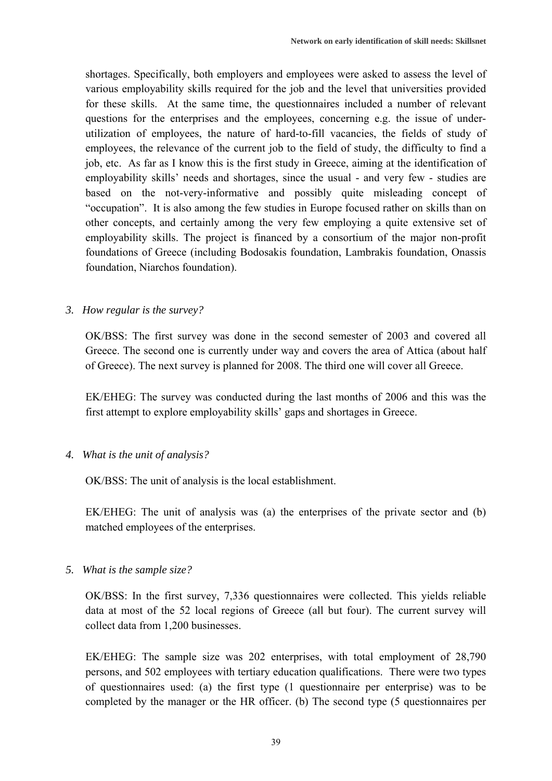shortages. Specifically, both employers and employees were asked to assess the level of various employability skills required for the job and the level that universities provided for these skills. At the same time, the questionnaires included a number of relevant questions for the enterprises and the employees, concerning e.g. the issue of underutilization of employees, the nature of hard-to-fill vacancies, the fields of study of employees, the relevance of the current job to the field of study, the difficulty to find a job, etc. As far as I know this is the first study in Greece, aiming at the identification of employability skills' needs and shortages, since the usual - and very few - studies are based on the not-very-informative and possibly quite misleading concept of "occupation". It is also among the few studies in Europe focused rather on skills than on other concepts, and certainly among the very few employing a quite extensive set of employability skills. The project is financed by a consortium of the major non-profit foundations of Greece (including Bodosakis foundation, Lambrakis foundation, Onassis foundation, Niarchos foundation).

### *3. How regular is the survey?*

OK/BSS: The first survey was done in the second semester of 2003 and covered all Greece. The second one is currently under way and covers the area of Attica (about half of Greece). The next survey is planned for 2008. The third one will cover all Greece.

EK/EHEG: The survey was conducted during the last months of 2006 and this was the first attempt to explore employability skills' gaps and shortages in Greece.

*4. What is the unit of analysis?* 

OK/BSS: The unit of analysis is the local establishment.

EK/EHEG: The unit of analysis was (a) the enterprises of the private sector and (b) matched employees of the enterprises.

*5. What is the sample size?* 

OK/BSS: In the first survey, 7,336 questionnaires were collected. This yields reliable data at most of the 52 local regions of Greece (all but four). The current survey will collect data from 1,200 businesses.

EK/EHEG: The sample size was 202 enterprises, with total employment of 28,790 persons, and 502 employees with tertiary education qualifications. There were two types of questionnaires used: (a) the first type (1 questionnaire per enterprise) was to be completed by the manager or the HR officer. (b) The second type (5 questionnaires per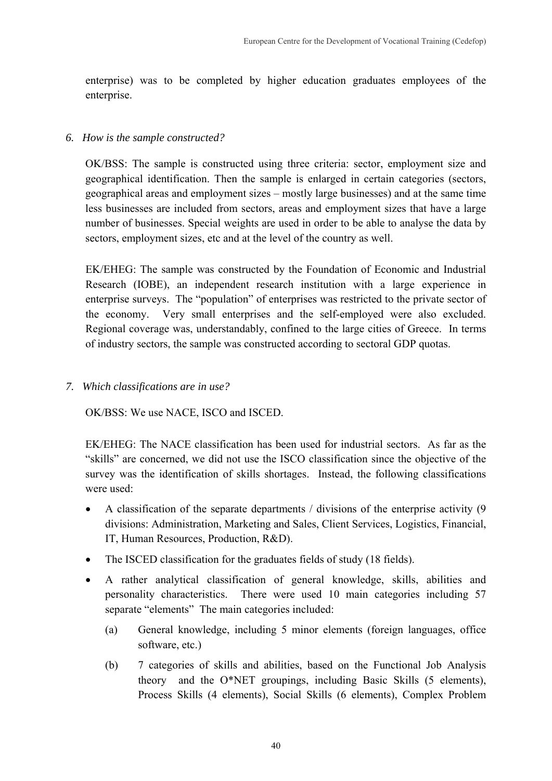enterprise) was to be completed by higher education graduates employees of the enterprise.

### *6. How is the sample constructed?*

OK/BSS: The sample is constructed using three criteria: sector, employment size and geographical identification. Then the sample is enlarged in certain categories (sectors, geographical areas and employment sizes – mostly large businesses) and at the same time less businesses are included from sectors, areas and employment sizes that have a large number of businesses. Special weights are used in order to be able to analyse the data by sectors, employment sizes, etc and at the level of the country as well.

EK/EHEG: The sample was constructed by the Foundation of Economic and Industrial Research (IOBE), an independent research institution with a large experience in enterprise surveys. The "population" of enterprises was restricted to the private sector of the economy. Very small enterprises and the self-employed were also excluded. Regional coverage was, understandably, confined to the large cities of Greece. In terms of industry sectors, the sample was constructed according to sectoral GDP quotas.

*7. Which classifications are in use?* 

OK/BSS: We use NACE, ISCO and ISCED.

EK/EHEG: The NACE classification has been used for industrial sectors. As far as the "skills" are concerned, we did not use the ISCO classification since the objective of the survey was the identification of skills shortages. Instead, the following classifications were used:

- A classification of the separate departments / divisions of the enterprise activity (9 divisions: Administration, Marketing and Sales, Client Services, Logistics, Financial, IT, Human Resources, Production, R&D).
- The ISCED classification for the graduates fields of study (18 fields).
- A rather analytical classification of general knowledge, skills, abilities and personality characteristics. There were used 10 main categories including 57 separate "elements" The main categories included:
	- (a) General knowledge, including 5 minor elements (foreign languages, office software, etc.)
	- (b) 7 categories of skills and abilities, based on the Functional Job Analysis theory and the O\*NET groupings, including Basic Skills (5 elements), Process Skills (4 elements), Social Skills (6 elements), Complex Problem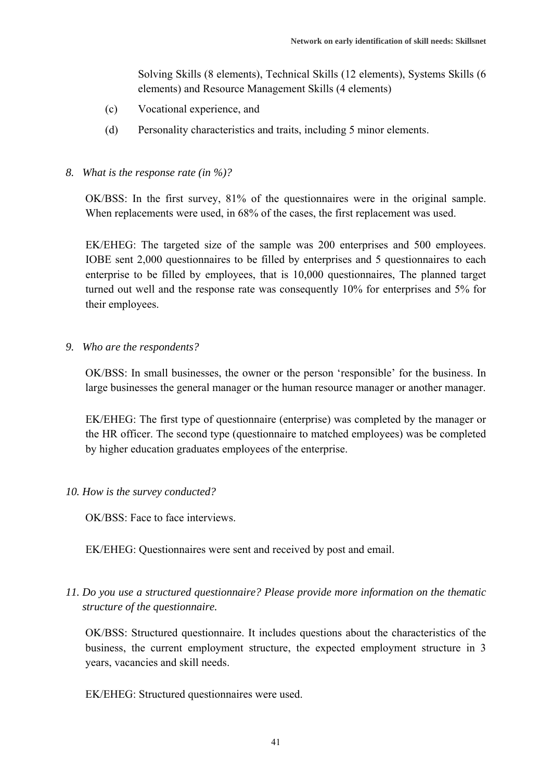Solving Skills (8 elements), Technical Skills (12 elements), Systems Skills (6 elements) and Resource Management Skills (4 elements)

- (c) Vocational experience, and
- (d) Personality characteristics and traits, including 5 minor elements.

### *8. What is the response rate (in %)?*

OK/BSS: In the first survey, 81% of the questionnaires were in the original sample. When replacements were used, in 68% of the cases, the first replacement was used.

EK/EHEG: The targeted size of the sample was 200 enterprises and 500 employees. IOBE sent 2,000 questionnaires to be filled by enterprises and 5 questionnaires to each enterprise to be filled by employees, that is 10,000 questionnaires, The planned target turned out well and the response rate was consequently 10% for enterprises and 5% for their employees.

*9. Who are the respondents?* 

OK/BSS: In small businesses, the owner or the person 'responsible' for the business. In large businesses the general manager or the human resource manager or another manager.

EK/EHEG: The first type of questionnaire (enterprise) was completed by the manager or the HR officer. The second type (questionnaire to matched employees) was be completed by higher education graduates employees of the enterprise.

## *10. How is the survey conducted?*

OK/BSS: Face to face interviews.

EK/EHEG: Questionnaires were sent and received by post and email.

*11. Do you use a structured questionnaire? Please provide more information on the thematic structure of the questionnaire.* 

OK/BSS: Structured questionnaire. It includes questions about the characteristics of the business, the current employment structure, the expected employment structure in 3 years, vacancies and skill needs.

EK/EHEG: Structured questionnaires were used.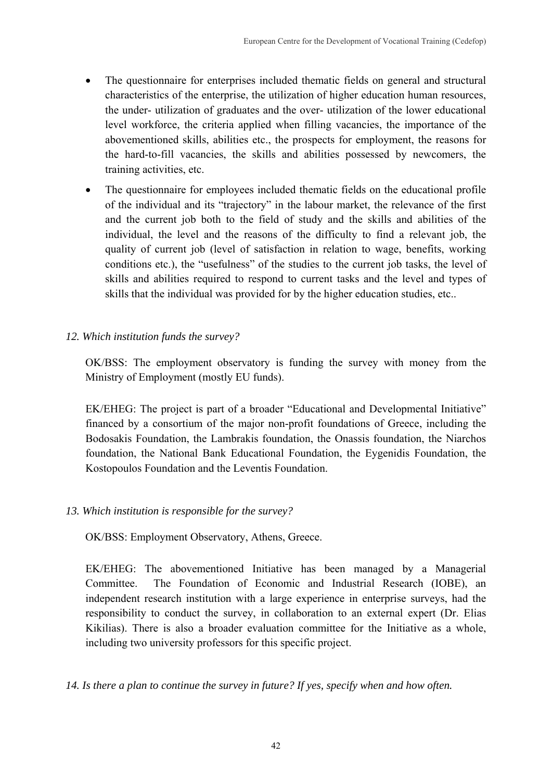- The questionnaire for enterprises included thematic fields on general and structural characteristics of the enterprise, the utilization of higher education human resources, the under- utilization of graduates and the over- utilization of the lower educational level workforce, the criteria applied when filling vacancies, the importance of the abovementioned skills, abilities etc., the prospects for employment, the reasons for the hard-to-fill vacancies, the skills and abilities possessed by newcomers, the training activities, etc.
- The questionnaire for employees included thematic fields on the educational profile of the individual and its "trajectory" in the labour market, the relevance of the first and the current job both to the field of study and the skills and abilities of the individual, the level and the reasons of the difficulty to find a relevant job, the quality of current job (level of satisfaction in relation to wage, benefits, working conditions etc.), the "usefulness" of the studies to the current job tasks, the level of skills and abilities required to respond to current tasks and the level and types of skills that the individual was provided for by the higher education studies, etc..
- *12. Which institution funds the survey?*

OK/BSS: The employment observatory is funding the survey with money from the Ministry of Employment (mostly EU funds).

EK/EHEG: The project is part of a broader "Educational and Developmental Initiative" financed by a consortium of the major non-profit foundations of Greece, including the Bodosakis Foundation, the Lambrakis foundation, the Onassis foundation, the Niarchos foundation, the National Bank Educational Foundation, the Eygenidis Foundation, the Kostopoulos Foundation and the Leventis Foundation.

# *13. Which institution is responsible for the survey?*

OK/BSS: Employment Observatory, Athens, Greece.

EK/EHEG: The abovementioned Initiative has been managed by a Managerial Committee. The Foundation of Economic and Industrial Research (IOBE), an independent research institution with a large experience in enterprise surveys, had the responsibility to conduct the survey, in collaboration to an external expert (Dr. Elias Kikilias). There is also a broader evaluation committee for the Initiative as a whole, including two university professors for this specific project.

*14. Is there a plan to continue the survey in future? If yes, specify when and how often.*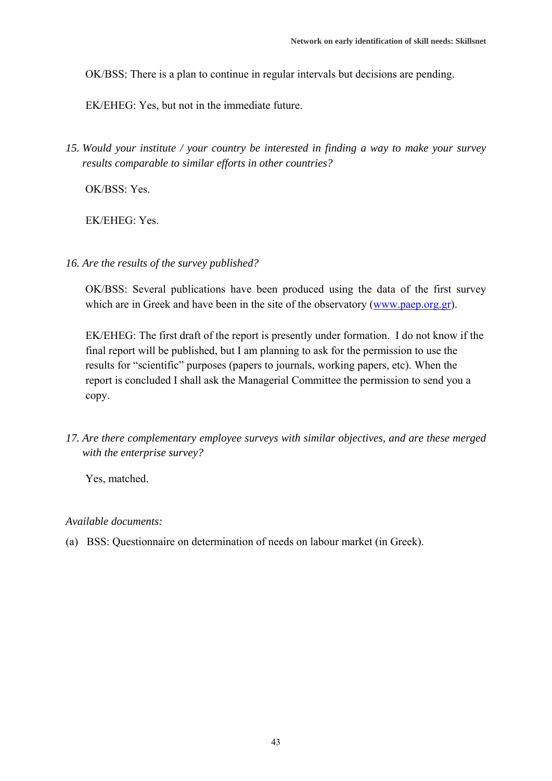OK/BSS: There is a plan to continue in regular intervals but decisions are pending.

EK/EHEG: Yes, but not in the immediate future.

*15. Would your institute / your country be interested in finding a way to make your survey results comparable to similar efforts in other countries?* 

OK/BSS: Yes.

EK/EHEG: Yes.

*16. Are the results of the survey published?* 

OK/BSS: Several publications have been produced using the data of the first survey which are in Greek and have been in the site of the observatory (www.paep.org.gr).

EK/EHEG: The first draft of the report is presently under formation. I do not know if the final report will be published, but I am planning to ask for the permission to use the results for "scientific" purposes (papers to journals, working papers, etc). When the report is concluded I shall ask the Managerial Committee the permission to send you a copy.

*17. Are there complementary employee surveys with similar objectives, and are these merged with the enterprise survey?* 

Yes, matched.

#### *Available documents:*

(a) BSS: Questionnaire on determination of needs on labour market (in Greek).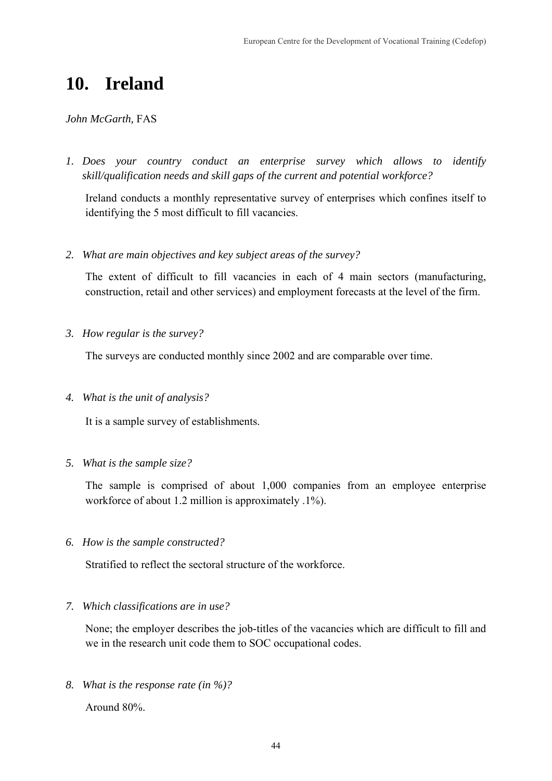# **10. Ireland**

### *John McGarth,* FAS

*1. Does your country conduct an enterprise survey which allows to identify skill/qualification needs and skill gaps of the current and potential workforce?* 

Ireland conducts a monthly representative survey of enterprises which confines itself to identifying the 5 most difficult to fill vacancies.

*2. What are main objectives and key subject areas of the survey?* 

The extent of difficult to fill vacancies in each of 4 main sectors (manufacturing, construction, retail and other services) and employment forecasts at the level of the firm.

*3. How regular is the survey?* 

The surveys are conducted monthly since 2002 and are comparable over time.

*4. What is the unit of analysis?* 

It is a sample survey of establishments.

*5. What is the sample size?* 

The sample is comprised of about 1,000 companies from an employee enterprise workforce of about 1.2 million is approximately .1%).

*6. How is the sample constructed?* 

Stratified to reflect the sectoral structure of the workforce.

*7. Which classifications are in use?* 

None; the employer describes the job-titles of the vacancies which are difficult to fill and we in the research unit code them to SOC occupational codes.

*8. What is the response rate (in %)?* 

Around 80%.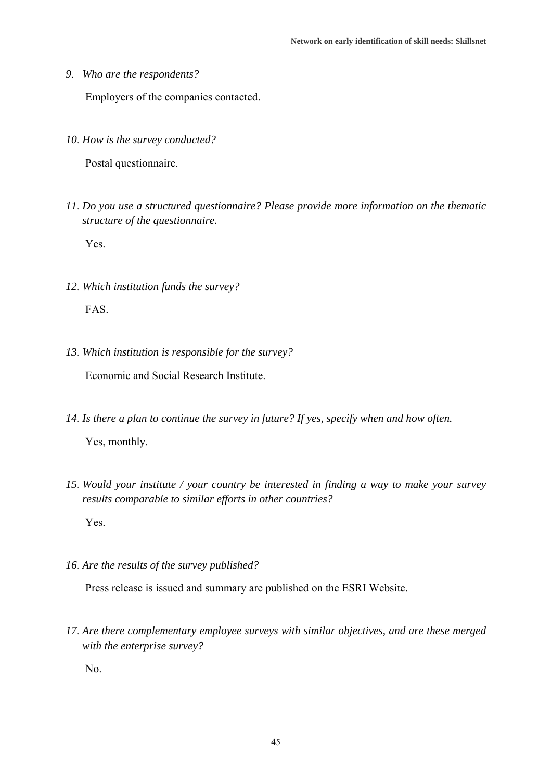*9. Who are the respondents?* 

Employers of the companies contacted.

*10. How is the survey conducted?* 

Postal questionnaire.

*11. Do you use a structured questionnaire? Please provide more information on the thematic structure of the questionnaire.* 

Yes.

*12. Which institution funds the survey?* 

FAS.

*13. Which institution is responsible for the survey?* 

Economic and Social Research Institute.

- *14. Is there a plan to continue the survey in future? If yes, specify when and how often.*  Yes, monthly.
- *15. Would your institute / your country be interested in finding a way to make your survey results comparable to similar efforts in other countries?*

Yes.

*16. Are the results of the survey published?* 

Press release is issued and summary are published on the ESRI Website.

*17. Are there complementary employee surveys with similar objectives, and are these merged with the enterprise survey?* 

No.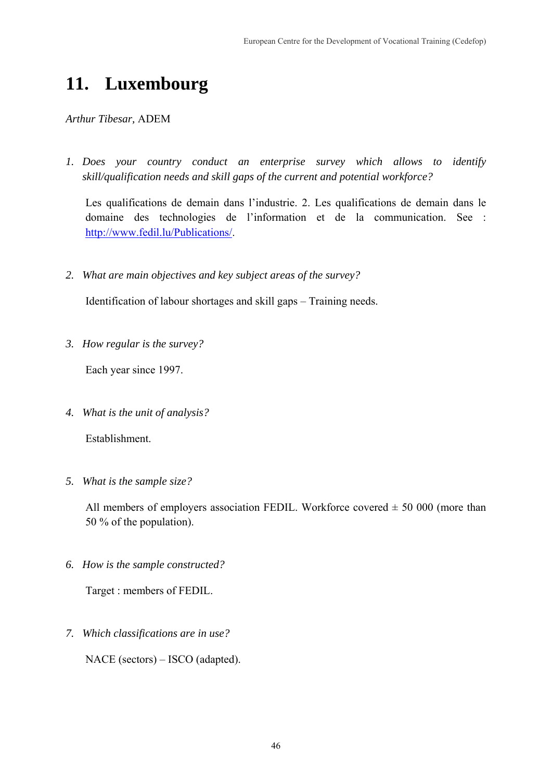# **11. Luxembourg**

*Arthur Tibesar,* ADEM

*1. Does your country conduct an enterprise survey which allows to identify skill/qualification needs and skill gaps of the current and potential workforce?* 

Les qualifications de demain dans l'industrie. 2. Les qualifications de demain dans le domaine des technologies de l'information et de la communication. See : http://www.fedil.lu/Publications/.

*2. What are main objectives and key subject areas of the survey?* 

Identification of labour shortages and skill gaps – Training needs.

*3. How regular is the survey?* 

Each year since 1997.

*4. What is the unit of analysis?* 

Establishment.

*5. What is the sample size?* 

All members of employers association FEDIL. Workforce covered  $\pm$  50 000 (more than 50 % of the population).

*6. How is the sample constructed?* 

Target : members of FEDIL.

*7. Which classifications are in use?* 

NACE (sectors) – ISCO (adapted).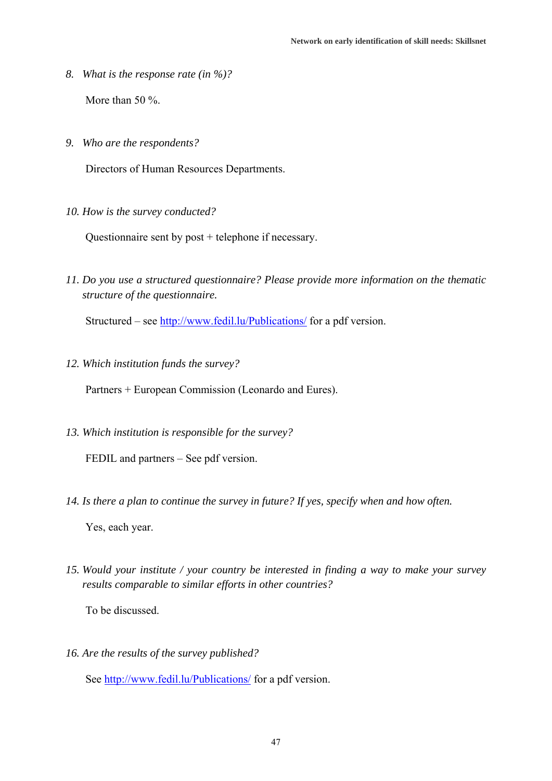*8. What is the response rate (in %)?* 

More than 50 %.

*9. Who are the respondents?* 

Directors of Human Resources Departments.

*10. How is the survey conducted?* 

Questionnaire sent by post + telephone if necessary.

*11. Do you use a structured questionnaire? Please provide more information on the thematic structure of the questionnaire.* 

Structured – see http://www.fedil.lu/Publications/ for a pdf version.

*12. Which institution funds the survey?* 

Partners + European Commission (Leonardo and Eures).

*13. Which institution is responsible for the survey?* 

FEDIL and partners – See pdf version.

*14. Is there a plan to continue the survey in future? If yes, specify when and how often.* 

Yes, each year.

*15. Would your institute / your country be interested in finding a way to make your survey results comparable to similar efforts in other countries?* 

To be discussed.

*16. Are the results of the survey published?* 

See http://www.fedil.lu/Publications/ for a pdf version.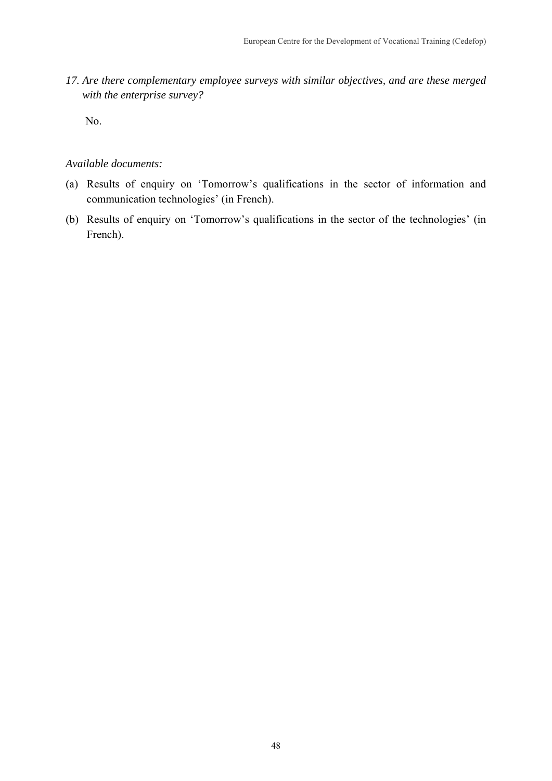*17. Are there complementary employee surveys with similar objectives, and are these merged with the enterprise survey?* 

No.

## *Available documents:*

- (a) Results of enquiry on 'Tomorrow's qualifications in the sector of information and communication technologies' (in French).
- (b) Results of enquiry on 'Tomorrow's qualifications in the sector of the technologies' (in French).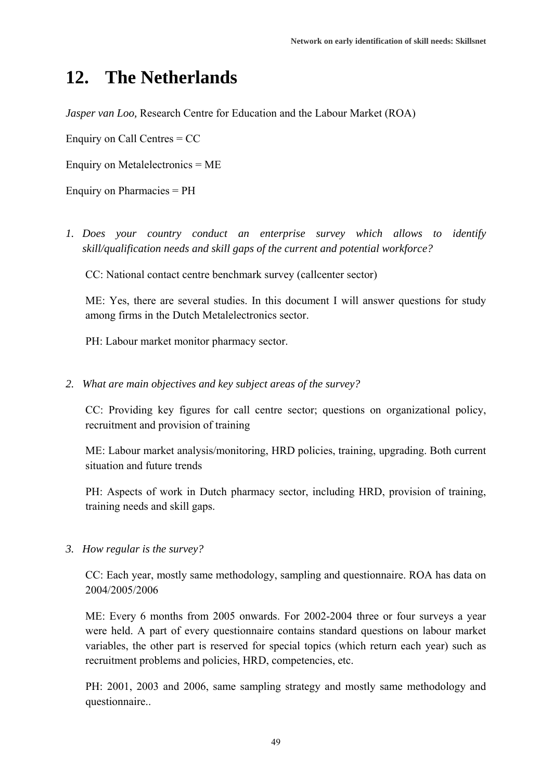# **12. The Netherlands**

*Jasper van Loo,* Research Centre for Education and the Labour Market (ROA)

Enquiry on Call Centres = CC

Enquiry on Metalelectronics = ME

Enquiry on Pharmacies = PH

*1. Does your country conduct an enterprise survey which allows to identify skill/qualification needs and skill gaps of the current and potential workforce?* 

CC: National contact centre benchmark survey (callcenter sector)

ME: Yes, there are several studies. In this document I will answer questions for study among firms in the Dutch Metalelectronics sector.

PH: Labour market monitor pharmacy sector.

*2. What are main objectives and key subject areas of the survey?* 

CC: Providing key figures for call centre sector; questions on organizational policy, recruitment and provision of training

ME: Labour market analysis/monitoring, HRD policies, training, upgrading. Both current situation and future trends

PH: Aspects of work in Dutch pharmacy sector, including HRD, provision of training, training needs and skill gaps.

*3. How regular is the survey?* 

CC: Each year, mostly same methodology, sampling and questionnaire. ROA has data on 2004/2005/2006

ME: Every 6 months from 2005 onwards. For 2002-2004 three or four surveys a year were held. A part of every questionnaire contains standard questions on labour market variables, the other part is reserved for special topics (which return each year) such as recruitment problems and policies, HRD, competencies, etc.

PH: 2001, 2003 and 2006, same sampling strategy and mostly same methodology and questionnaire..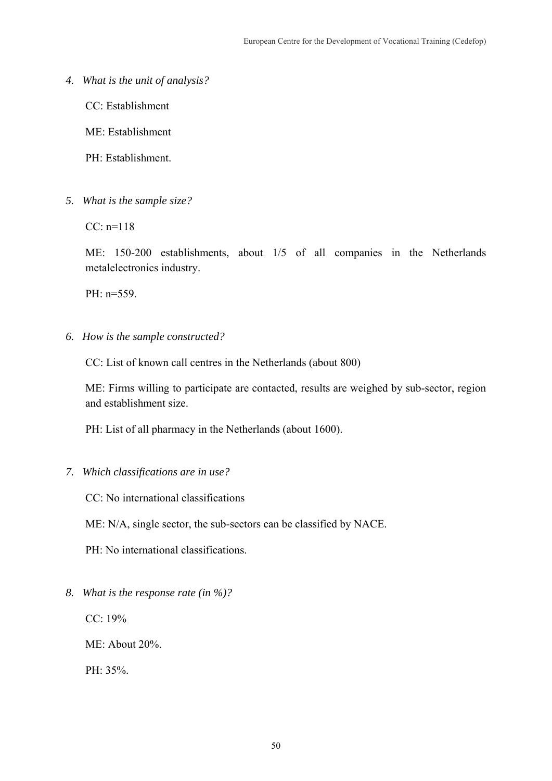*4. What is the unit of analysis?* 

CC: Establishment

ME: Establishment

PH: Establishment.

*5. What is the sample size?* 

 $CC: n=118$ 

ME: 150-200 establishments, about 1/5 of all companies in the Netherlands metalelectronics industry.

PH: n=559.

*6. How is the sample constructed?* 

CC: List of known call centres in the Netherlands (about 800)

ME: Firms willing to participate are contacted, results are weighed by sub-sector, region and establishment size.

PH: List of all pharmacy in the Netherlands (about 1600).

*7. Which classifications are in use?* 

CC: No international classifications

ME: N/A, single sector, the sub-sectors can be classified by NACE.

PH: No international classifications.

*8. What is the response rate (in %)?* 

CC: 19%

ME: About 20%.

PH: 35%.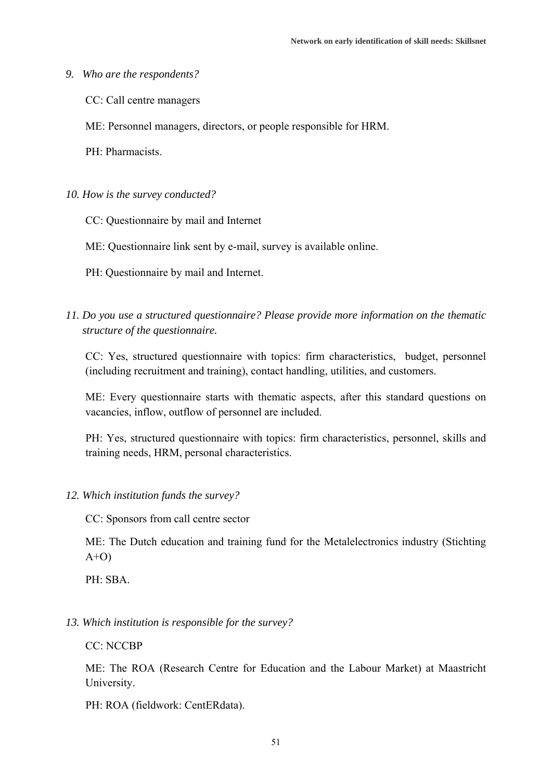#### *9. Who are the respondents?*

- CC: Call centre managers
- ME: Personnel managers, directors, or people responsible for HRM.
- PH: Pharmacists.
- *10. How is the survey conducted?* 
	- CC: Questionnaire by mail and Internet
	- ME: Questionnaire link sent by e-mail, survey is available online.
	- PH: Questionnaire by mail and Internet.
- *11. Do you use a structured questionnaire? Please provide more information on the thematic structure of the questionnaire.*

CC: Yes, structured questionnaire with topics: firm characteristics, budget, personnel (including recruitment and training), contact handling, utilities, and customers.

ME: Every questionnaire starts with thematic aspects, after this standard questions on vacancies, inflow, outflow of personnel are included.

PH: Yes, structured questionnaire with topics: firm characteristics, personnel, skills and training needs, HRM, personal characteristics.

- *12. Which institution funds the survey?* 
	- CC: Sponsors from call centre sector

ME: The Dutch education and training fund for the Metalelectronics industry (Stichting  $A+O$ 

PH: SBA.

*13. Which institution is responsible for the survey?* 

CC: NCCBP

ME: The ROA (Research Centre for Education and the Labour Market) at Maastricht University.

PH: ROA (fieldwork: CentERdata).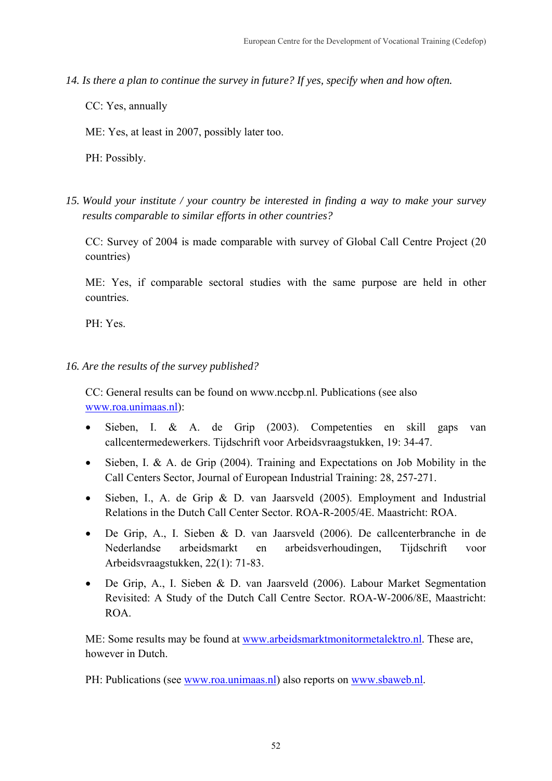- *14. Is there a plan to continue the survey in future? If yes, specify when and how often.* 
	- CC: Yes, annually
	- ME: Yes, at least in 2007, possibly later too.
	- PH: Possibly.
- *15. Would your institute / your country be interested in finding a way to make your survey results comparable to similar efforts in other countries?*

CC: Survey of 2004 is made comparable with survey of Global Call Centre Project (20 countries)

ME: Yes, if comparable sectoral studies with the same purpose are held in other countries.

PH: Yes.

## *16. Are the results of the survey published?*

CC: General results can be found on www.nccbp.nl. Publications (see also www.roa.unimaas.nl):

- Sieben, I. & A. de Grip (2003). Competenties en skill gaps van callcentermedewerkers. Tijdschrift voor Arbeidsvraagstukken, 19: 34-47.
- Sieben, I. & A. de Grip (2004). Training and Expectations on Job Mobility in the Call Centers Sector, Journal of European Industrial Training: 28, 257-271.
- Sieben, I., A. de Grip & D. van Jaarsveld (2005). Employment and Industrial Relations in the Dutch Call Center Sector. ROA-R-2005/4E. Maastricht: ROA.
- De Grip, A., I. Sieben & D. van Jaarsveld (2006). De callcenterbranche in de Nederlandse arbeidsmarkt en arbeidsverhoudingen, Tijdschrift voor Arbeidsvraagstukken, 22(1): 71-83.
- De Grip, A., I. Sieben & D. van Jaarsveld (2006). Labour Market Segmentation Revisited: A Study of the Dutch Call Centre Sector. ROA-W-2006/8E, Maastricht: ROA.

ME: Some results may be found at www.arbeidsmarktmonitormetalektro.nl. These are, however in Dutch.

PH: Publications (see www.roa.unimaas.nl) also reports on www.sbaweb.nl.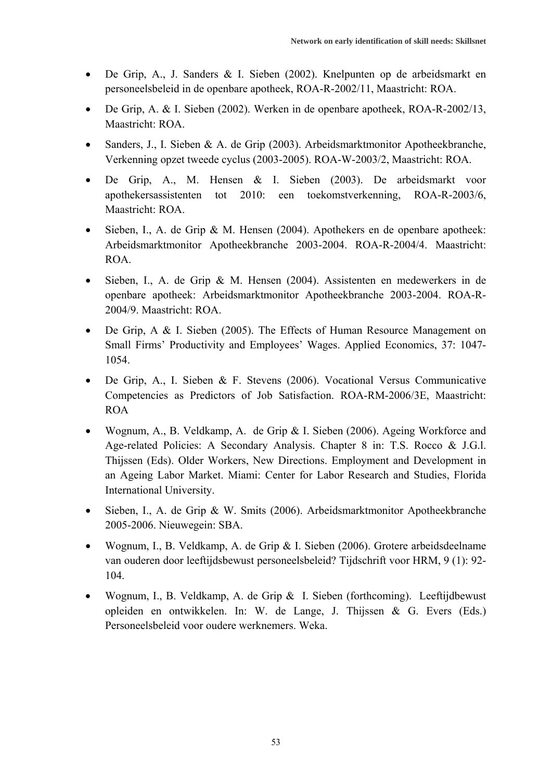- De Grip, A., J. Sanders & I. Sieben (2002). Knelpunten op de arbeidsmarkt en personeelsbeleid in de openbare apotheek, ROA-R-2002/11, Maastricht: ROA.
- De Grip, A. & I. Sieben (2002). Werken in de openbare apotheek, ROA-R-2002/13, Maastricht: ROA.
- Sanders, J., I. Sieben & A. de Grip (2003). Arbeidsmarktmonitor Apotheekbranche, Verkenning opzet tweede cyclus (2003-2005). ROA-W-2003/2, Maastricht: ROA.
- De Grip, A., M. Hensen & I. Sieben (2003). De arbeidsmarkt voor apothekersassistenten tot 2010: een toekomstverkenning, ROA-R-2003/6, Maastricht: ROA.
- Sieben, I., A. de Grip & M. Hensen (2004). Apothekers en de openbare apotheek: Arbeidsmarktmonitor Apotheekbranche 2003-2004. ROA-R-2004/4. Maastricht: ROA.
- Sieben, I., A. de Grip & M. Hensen (2004). Assistenten en medewerkers in de openbare apotheek: Arbeidsmarktmonitor Apotheekbranche 2003-2004. ROA-R-2004/9. Maastricht: ROA.
- De Grip, A & I. Sieben (2005). The Effects of Human Resource Management on Small Firms' Productivity and Employees' Wages. Applied Economics, 37: 1047- 1054.
- De Grip, A., I. Sieben & F. Stevens (2006). Vocational Versus Communicative Competencies as Predictors of Job Satisfaction. ROA-RM-2006/3E, Maastricht: ROA
- Wognum, A., B. Veldkamp, A. de Grip & I. Sieben (2006). Ageing Workforce and Age-related Policies: A Secondary Analysis. Chapter 8 in: T.S. Rocco & J.G.l. Thijssen (Eds). Older Workers, New Directions. Employment and Development in an Ageing Labor Market. Miami: Center for Labor Research and Studies, Florida International University.
- Sieben, I., A. de Grip & W. Smits (2006). Arbeidsmarktmonitor Apotheekbranche 2005-2006. Nieuwegein: SBA.
- Wognum, I., B. Veldkamp, A. de Grip & I. Sieben (2006). Grotere arbeidsdeelname van ouderen door leeftijdsbewust personeelsbeleid? Tijdschrift voor HRM, 9 (1): 92- 104.
- Wognum, I., B. Veldkamp, A. de Grip & I. Sieben (forthcoming). Leeftijdbewust opleiden en ontwikkelen. In: W. de Lange, J. Thijssen & G. Evers (Eds.) Personeelsbeleid voor oudere werknemers. Weka.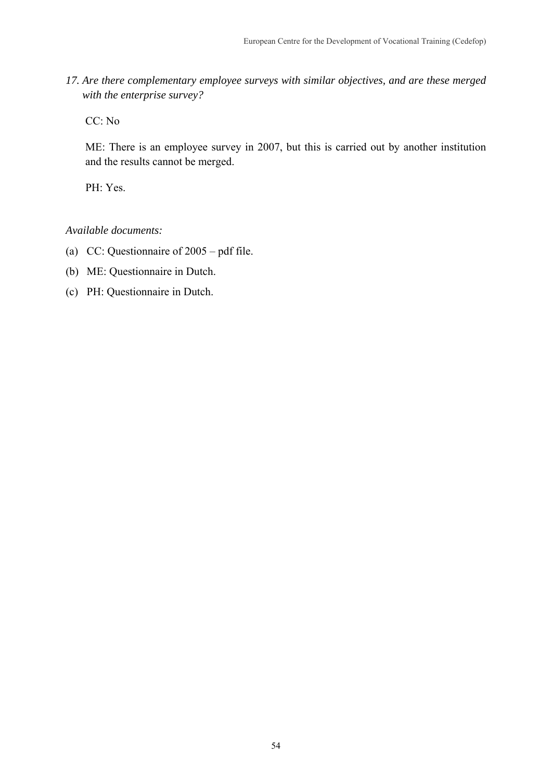*17. Are there complementary employee surveys with similar objectives, and are these merged with the enterprise survey?* 

CC: No

ME: There is an employee survey in 2007, but this is carried out by another institution and the results cannot be merged.

PH: Yes.

*Available documents:* 

- (a) CC: Questionnaire of 2005 pdf file.
- (b) ME: Questionnaire in Dutch.
- (c) PH: Questionnaire in Dutch.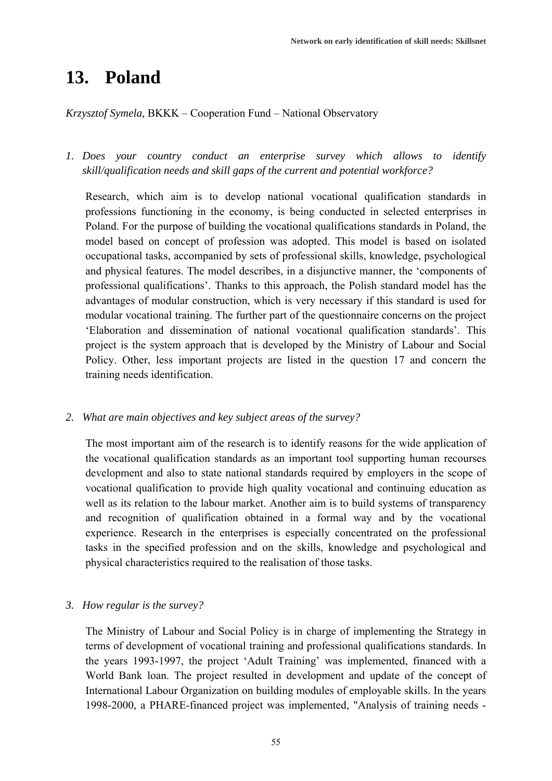# **13. Poland**

## *Krzysztof Symela,* BKKK – Cooperation Fund – National Observatory

*1. Does your country conduct an enterprise survey which allows to identify skill/qualification needs and skill gaps of the current and potential workforce?* 

Research, which aim is to develop national vocational qualification standards in professions functioning in the economy, is being conducted in selected enterprises in Poland. For the purpose of building the vocational qualifications standards in Poland, the model based on concept of profession was adopted. This model is based on isolated occupational tasks, accompanied by sets of professional skills, knowledge, psychological and physical features. The model describes, in a disjunctive manner, the 'components of professional qualifications'. Thanks to this approach, the Polish standard model has the advantages of modular construction, which is very necessary if this standard is used for modular vocational training. The further part of the questionnaire concerns on the project 'Elaboration and dissemination of national vocational qualification standards'. This project is the system approach that is developed by the Ministry of Labour and Social Policy. Other, less important projects are listed in the question 17 and concern the training needs identification.

### *2. What are main objectives and key subject areas of the survey?*

The most important aim of the research is to identify reasons for the wide application of the vocational qualification standards as an important tool supporting human recourses development and also to state national standards required by employers in the scope of vocational qualification to provide high quality vocational and continuing education as well as its relation to the labour market. Another aim is to build systems of transparency and recognition of qualification obtained in a formal way and by the vocational experience. Research in the enterprises is especially concentrated on the professional tasks in the specified profession and on the skills, knowledge and psychological and physical characteristics required to the realisation of those tasks.

### *3. How regular is the survey?*

The Ministry of Labour and Social Policy is in charge of implementing the Strategy in terms of development of vocational training and professional qualifications standards. In the years 1993-1997, the project 'Adult Training' was implemented, financed with a World Bank loan. The project resulted in development and update of the concept of International Labour Organization on building modules of employable skills. In the years 1998-2000, a PHARE-financed project was implemented, "Analysis of training needs -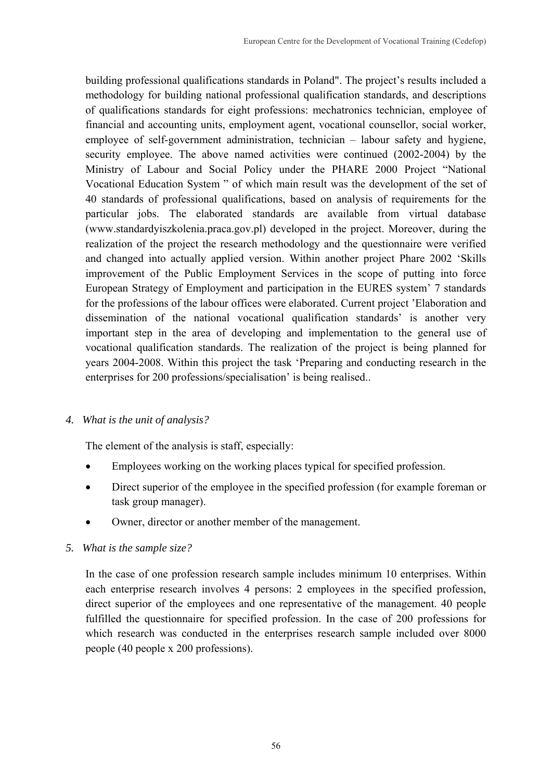building professional qualifications standards in Poland". The project's results included a methodology for building national professional qualification standards, and descriptions of qualifications standards for eight professions: mechatronics technician, employee of financial and accounting units, employment agent, vocational counsellor, social worker, employee of self-government administration, technician – labour safety and hygiene, security employee. The above named activities were continued (2002-2004) by the Ministry of Labour and Social Policy under the PHARE 2000 Project "National Vocational Education System " of which main result was the development of the set of 40 standards of professional qualifications, based on analysis of requirements for the particular jobs. The elaborated standards are available from virtual database (www.standardyiszkolenia.praca.gov.pl) developed in the project. Moreover, during the realization of the project the research methodology and the questionnaire were verified and changed into actually applied version. Within another project Phare 2002 'Skills improvement of the Public Employment Services in the scope of putting into force European Strategy of Employment and participation in the EURES system' 7 standards for the professions of the labour offices were elaborated. Current project 'Elaboration and dissemination of the national vocational qualification standards' is another very important step in the area of developing and implementation to the general use of vocational qualification standards. The realization of the project is being planned for years 2004-2008. Within this project the task 'Preparing and conducting research in the enterprises for 200 professions/specialisation' is being realised..

## *4. What is the unit of analysis?*

The element of the analysis is staff, especially:

- Employees working on the working places typical for specified profession.
- Direct superior of the employee in the specified profession (for example foreman or task group manager).
- Owner, director or another member of the management.

# *5. What is the sample size?*

In the case of one profession research sample includes minimum 10 enterprises. Within each enterprise research involves 4 persons: 2 employees in the specified profession, direct superior of the employees and one representative of the management. 40 people fulfilled the questionnaire for specified profession. In the case of 200 professions for which research was conducted in the enterprises research sample included over 8000 people (40 people x 200 professions).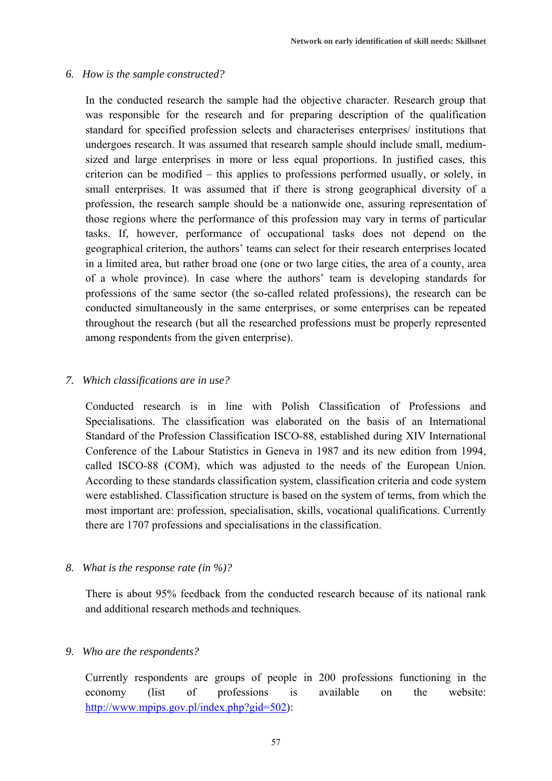## *6. How is the sample constructed?*

In the conducted research the sample had the objective character. Research group that was responsible for the research and for preparing description of the qualification standard for specified profession selects and characterises enterprises/ institutions that undergoes research. It was assumed that research sample should include small, mediumsized and large enterprises in more or less equal proportions. In justified cases, this criterion can be modified – this applies to professions performed usually, or solely, in small enterprises. It was assumed that if there is strong geographical diversity of a profession, the research sample should be a nationwide one, assuring representation of those regions where the performance of this profession may vary in terms of particular tasks. If, however, performance of occupational tasks does not depend on the geographical criterion, the authors' teams can select for their research enterprises located in a limited area, but rather broad one (one or two large cities, the area of a county, area of a whole province). In case where the authors' team is developing standards for professions of the same sector (the so-called related professions), the research can be conducted simultaneously in the same enterprises, or some enterprises can be repeated throughout the research (but all the researched professions must be properly represented among respondents from the given enterprise).

## *7. Which classifications are in use?*

Conducted research is in line with Polish Classification of Professions and Specialisations. The classification was elaborated on the basis of an International Standard of the Profession Classification ISCO-88, established during XIV International Conference of the Labour Statistics in Geneva in 1987 and its new edition from 1994, called ISCO-88 (COM), which was adjusted to the needs of the European Union. According to these standards classification system, classification criteria and code system were established. Classification structure is based on the system of terms, from which the most important are: profession, specialisation, skills, vocational qualifications. Currently there are 1707 professions and specialisations in the classification.

### *8. What is the response rate (in %)?*

There is about 95% feedback from the conducted research because of its national rank and additional research methods and techniques.

## *9. Who are the respondents?*

Currently respondents are groups of people in 200 professions functioning in the economy (list of professions is available on the website: http://www.mpips.gov.pl/index.php?gid=502):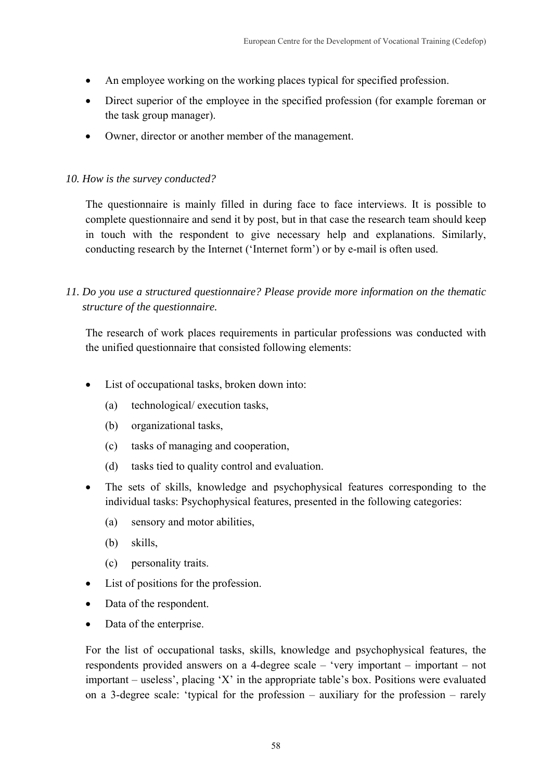- An employee working on the working places typical for specified profession.
- Direct superior of the employee in the specified profession (for example foreman or the task group manager).
- Owner, director or another member of the management.

## *10. How is the survey conducted?*

The questionnaire is mainly filled in during face to face interviews. It is possible to complete questionnaire and send it by post, but in that case the research team should keep in touch with the respondent to give necessary help and explanations. Similarly, conducting research by the Internet ('Internet form') or by e-mail is often used.

*11. Do you use a structured questionnaire? Please provide more information on the thematic structure of the questionnaire.* 

The research of work places requirements in particular professions was conducted with the unified questionnaire that consisted following elements:

- List of occupational tasks, broken down into:
	- (a) technological/ execution tasks,
	- (b) organizational tasks,
	- (c) tasks of managing and cooperation,
	- (d) tasks tied to quality control and evaluation.
- The sets of skills, knowledge and psychophysical features corresponding to the individual tasks: Psychophysical features, presented in the following categories:
	- (a) sensory and motor abilities,
	- (b) skills,
	- (c) personality traits.
- List of positions for the profession.
- Data of the respondent.
- Data of the enterprise.

For the list of occupational tasks, skills, knowledge and psychophysical features, the respondents provided answers on a 4-degree scale – 'very important – important – not important – useless', placing 'X' in the appropriate table's box. Positions were evaluated on a 3-degree scale: 'typical for the profession – auxiliary for the profession – rarely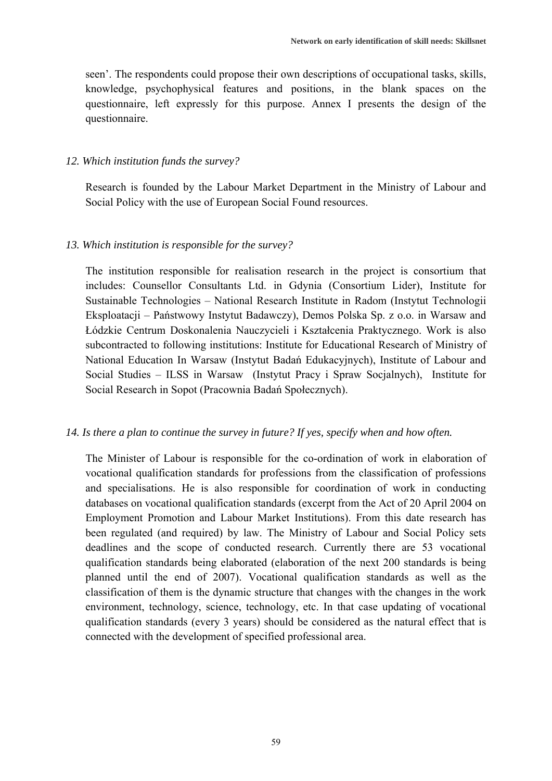seen'. The respondents could propose their own descriptions of occupational tasks, skills, knowledge, psychophysical features and positions, in the blank spaces on the questionnaire, left expressly for this purpose. Annex I presents the design of the questionnaire.

#### *12. Which institution funds the survey?*

Research is founded by the Labour Market Department in the Ministry of Labour and Social Policy with the use of European Social Found resources.

### *13. Which institution is responsible for the survey?*

The institution responsible for realisation research in the project is consortium that includes: Counsellor Consultants Ltd. in Gdynia (Consortium Lider), Institute for Sustainable Technologies – National Research Institute in Radom (Instytut Technologii Eksploatacji – Państwowy Instytut Badawczy), Demos Polska Sp. z o.o. in Warsaw and Łódzkie Centrum Doskonalenia Nauczycieli i Kształcenia Praktycznego. Work is also subcontracted to following institutions: Institute for Educational Research of Ministry of National Education In Warsaw (Instytut Badań Edukacyjnych), Institute of Labour and Social Studies – ILSS in Warsaw (Instytut Pracy i Spraw Socjalnych), Institute for Social Research in Sopot (Pracownia Badań Społecznych).

### *14. Is there a plan to continue the survey in future? If yes, specify when and how often.*

The Minister of Labour is responsible for the co-ordination of work in elaboration of vocational qualification standards for professions from the classification of professions and specialisations. He is also responsible for coordination of work in conducting databases on vocational qualification standards (excerpt from the Act of 20 April 2004 on Employment Promotion and Labour Market Institutions). From this date research has been regulated (and required) by law. The Ministry of Labour and Social Policy sets deadlines and the scope of conducted research. Currently there are 53 vocational qualification standards being elaborated (elaboration of the next 200 standards is being planned until the end of 2007). Vocational qualification standards as well as the classification of them is the dynamic structure that changes with the changes in the work environment, technology, science, technology, etc. In that case updating of vocational qualification standards (every 3 years) should be considered as the natural effect that is connected with the development of specified professional area.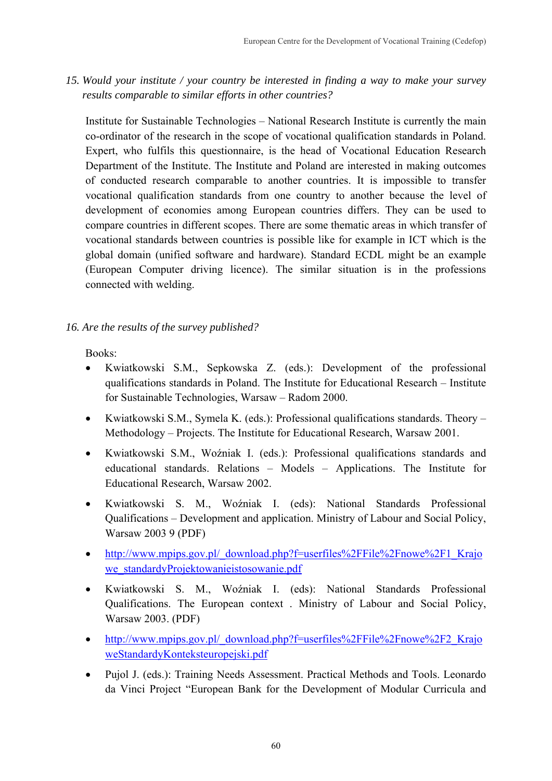*15. Would your institute / your country be interested in finding a way to make your survey results comparable to similar efforts in other countries?* 

Institute for Sustainable Technologies – National Research Institute is currently the main co-ordinator of the research in the scope of vocational qualification standards in Poland. Expert, who fulfils this questionnaire, is the head of Vocational Education Research Department of the Institute. The Institute and Poland are interested in making outcomes of conducted research comparable to another countries. It is impossible to transfer vocational qualification standards from one country to another because the level of development of economies among European countries differs. They can be used to compare countries in different scopes. There are some thematic areas in which transfer of vocational standards between countries is possible like for example in ICT which is the global domain (unified software and hardware). Standard ECDL might be an example (European Computer driving licence). The similar situation is in the professions connected with welding.

# *16. Are the results of the survey published?*

Books:

- Kwiatkowski S.M., Sepkowska Z. (eds.): Development of the professional qualifications standards in Poland. The Institute for Educational Research – Institute for Sustainable Technologies, Warsaw – Radom 2000.
- Kwiatkowski S.M., Symela K. (eds.): Professional qualifications standards. Theory Methodology – Projects. The Institute for Educational Research, Warsaw 2001.
- Kwiatkowski S.M., Woźniak I. (eds.): Professional qualifications standards and educational standards. Relations – Models – Applications. The Institute for Educational Research, Warsaw 2002.
- Kwiatkowski S. M., Woźniak I. (eds): National Standards Professional Qualifications – Development and application. Ministry of Labour and Social Policy, Warsaw 2003 9 (PDF)
- http://www.mpips.gov.pl/\_download.php?f=userfiles%2FFile%2Fnowe%2F1\_Krajo we\_standardyProjektowanieistosowanie.pdf
- Kwiatkowski S. M., Woźniak I. (eds): National Standards Professional Qualifications. The European context . Ministry of Labour and Social Policy, Warsaw 2003. (PDF)
- http://www.mpips.gov.pl/\_download.php?f=userfiles%2FFile%2Fnowe%2F2\_Krajo weStandardyKonteksteuropejski.pdf
- Pujol J. (eds.): Training Needs Assessment. Practical Methods and Tools. Leonardo da Vinci Project "European Bank for the Development of Modular Curricula and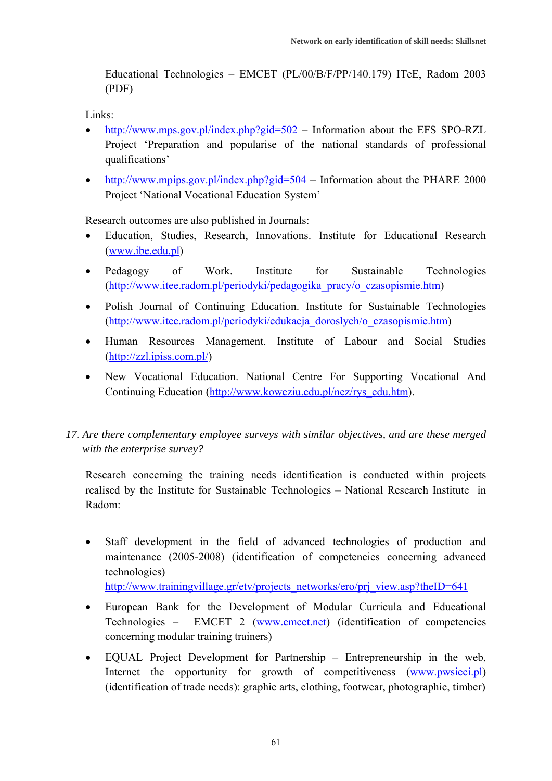Educational Technologies – EMCET (PL/00/B/F/PP/140.179) ITeE, Radom 2003 (PDF)

Links:

- http://www.mps.gov.pl/index.php?gid=502 Information about the EFS SPO-RZL Project 'Preparation and popularise of the national standards of professional qualifications'
- http://www.mpips.gov.pl/index.php?gid=504 Information about the PHARE 2000 Project 'National Vocational Education System'

Research outcomes are also published in Journals:

- Education, Studies, Research, Innovations. Institute for Educational Research (www.ibe.edu.pl)
- Pedagogy of Work. Institute for Sustainable Technologies (http://www.itee.radom.pl/periodyki/pedagogika\_pracy/o\_czasopismie.htm)
- Polish Journal of Continuing Education. Institute for Sustainable Technologies (http://www.itee.radom.pl/periodyki/edukacja\_doroslych/o\_czasopismie.htm)
- Human Resources Management. Institute of Labour and Social Studies (http://zzl.ipiss.com.pl/)
- New Vocational Education. National Centre For Supporting Vocational And Continuing Education (http://www.koweziu.edu.pl/nez/rys\_edu.htm).

# *17. Are there complementary employee surveys with similar objectives, and are these merged with the enterprise survey?*

Research concerning the training needs identification is conducted within projects realised by the Institute for Sustainable Technologies – National Research Institute in Radom:

Staff development in the field of advanced technologies of production and maintenance (2005-2008) (identification of competencies concerning advanced technologies)

http://www.trainingvillage.gr/etv/projects\_networks/ero/prj\_view.asp?theID=641

- European Bank for the Development of Modular Curricula and Educational Technologies – EMCET 2 (www.emcet.net) (identification of competencies concerning modular training trainers)
- EQUAL Project Development for Partnership Entrepreneurship in the web, Internet the opportunity for growth of competitiveness (www.pwsieci.pl) (identification of trade needs): graphic arts, clothing, footwear, photographic, timber)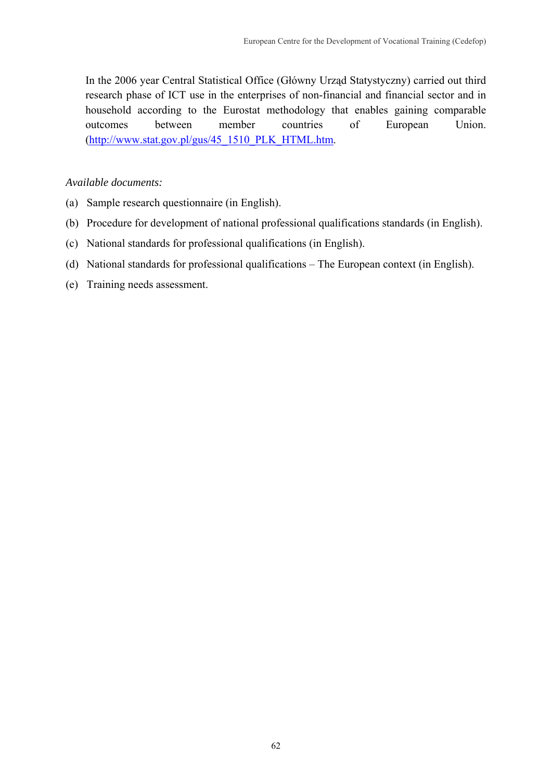In the 2006 year Central Statistical Office (Główny Urząd Statystyczny) carried out third research phase of ICT use in the enterprises of non-financial and financial sector and in household according to the Eurostat methodology that enables gaining comparable outcomes between member countries of European Union. (http://www.stat.gov.pl/gus/45\_1510\_PLK\_HTML.htm.

### *Available documents:*

- (a) Sample research questionnaire (in English).
- (b) Procedure for development of national professional qualifications standards (in English).
- (c) National standards for professional qualifications (in English).
- (d) National standards for professional qualifications The European context (in English).
- (e) Training needs assessment.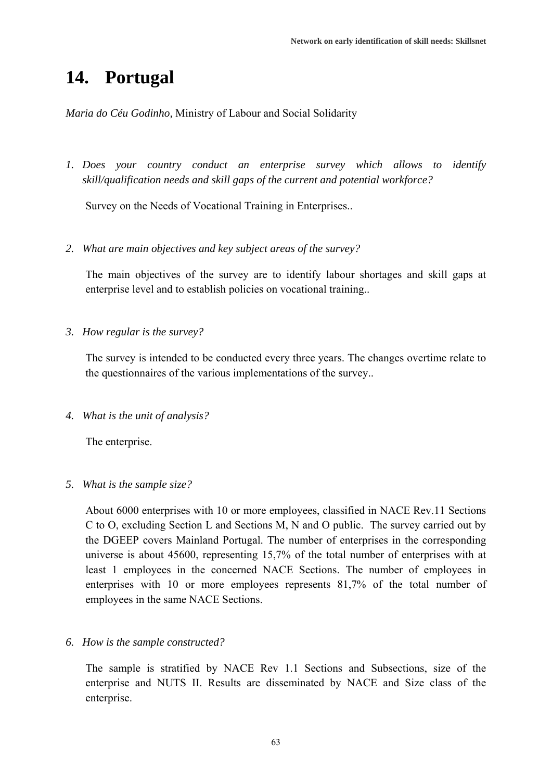# **14. Portugal**

*Maria do Céu Godinho,* Ministry of Labour and Social Solidarity

*1. Does your country conduct an enterprise survey which allows to identify skill/qualification needs and skill gaps of the current and potential workforce?* 

Survey on the Needs of Vocational Training in Enterprises..

*2. What are main objectives and key subject areas of the survey?* 

The main objectives of the survey are to identify labour shortages and skill gaps at enterprise level and to establish policies on vocational training..

*3. How regular is the survey?* 

The survey is intended to be conducted every three years. The changes overtime relate to the questionnaires of the various implementations of the survey..

*4. What is the unit of analysis?* 

The enterprise.

#### *5. What is the sample size?*

About 6000 enterprises with 10 or more employees, classified in NACE Rev.11 Sections C to O, excluding Section L and Sections M, N and O public. The survey carried out by the DGEEP covers Mainland Portugal. The number of enterprises in the corresponding universe is about 45600, representing 15,7% of the total number of enterprises with at least 1 employees in the concerned NACE Sections. The number of employees in enterprises with 10 or more employees represents 81,7% of the total number of employees in the same NACE Sections.

*6. How is the sample constructed?* 

The sample is stratified by NACE Rev 1.1 Sections and Subsections, size of the enterprise and NUTS II. Results are disseminated by NACE and Size class of the enterprise.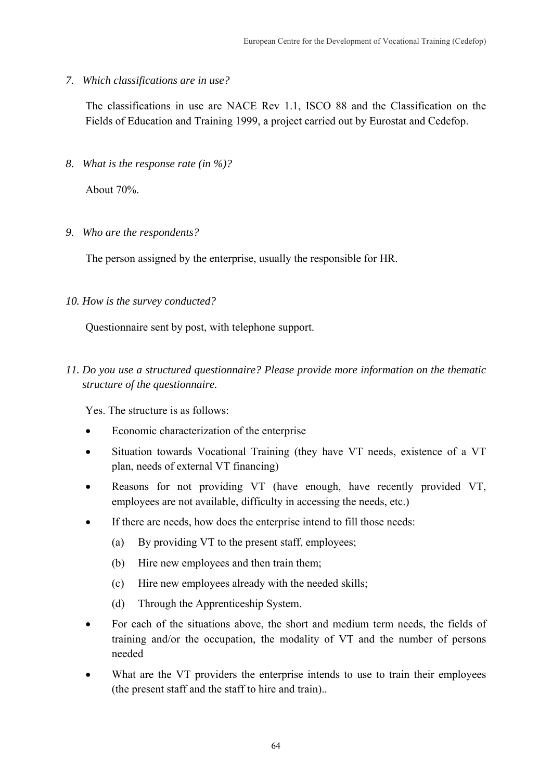*7. Which classifications are in use?* 

The classifications in use are NACE Rev 1.1, ISCO 88 and the Classification on the Fields of Education and Training 1999, a project carried out by Eurostat and Cedefop.

*8. What is the response rate (in %)?* 

About 70%.

*9. Who are the respondents?* 

The person assigned by the enterprise, usually the responsible for HR.

*10. How is the survey conducted?* 

Questionnaire sent by post, with telephone support.

*11. Do you use a structured questionnaire? Please provide more information on the thematic structure of the questionnaire.* 

Yes. The structure is as follows:

- Economic characterization of the enterprise
- Situation towards Vocational Training (they have VT needs, existence of a VT plan, needs of external VT financing)
- Reasons for not providing VT (have enough, have recently provided VT, employees are not available, difficulty in accessing the needs, etc.)
- If there are needs, how does the enterprise intend to fill those needs:
	- (a) By providing VT to the present staff, employees;
	- (b) Hire new employees and then train them;
	- (c) Hire new employees already with the needed skills;
	- (d) Through the Apprenticeship System.
- For each of the situations above, the short and medium term needs, the fields of training and/or the occupation, the modality of VT and the number of persons needed
- What are the VT providers the enterprise intends to use to train their employees (the present staff and the staff to hire and train)..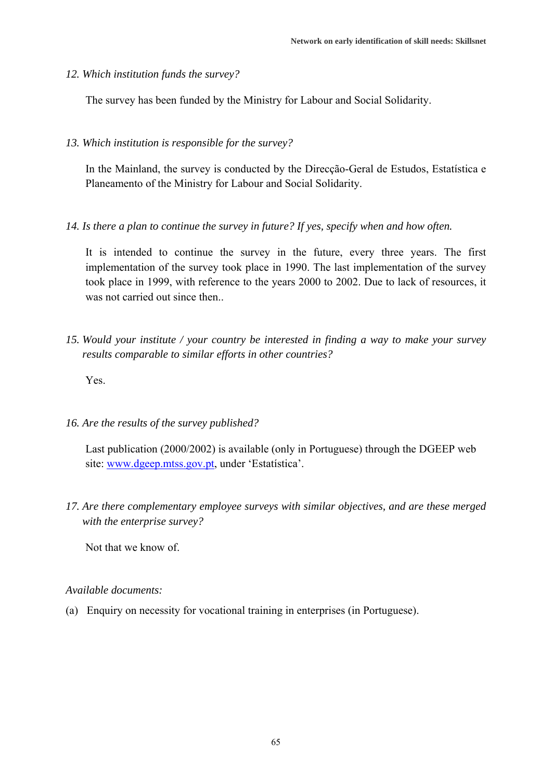*12. Which institution funds the survey?* 

The survey has been funded by the Ministry for Labour and Social Solidarity.

*13. Which institution is responsible for the survey?* 

In the Mainland, the survey is conducted by the Direcção-Geral de Estudos, Estatística e Planeamento of the Ministry for Labour and Social Solidarity.

*14. Is there a plan to continue the survey in future? If yes, specify when and how often.* 

It is intended to continue the survey in the future, every three years. The first implementation of the survey took place in 1990. The last implementation of the survey took place in 1999, with reference to the years 2000 to 2002. Due to lack of resources, it was not carried out since then..

*15. Would your institute / your country be interested in finding a way to make your survey results comparable to similar efforts in other countries?* 

Yes.

*16. Are the results of the survey published?* 

Last publication (2000/2002) is available (only in Portuguese) through the DGEEP web site: www.dgeep.mtss.gov.pt, under 'Estatística'.

*17. Are there complementary employee surveys with similar objectives, and are these merged with the enterprise survey?* 

Not that we know of.

#### *Available documents:*

(a) Enquiry on necessity for vocational training in enterprises (in Portuguese).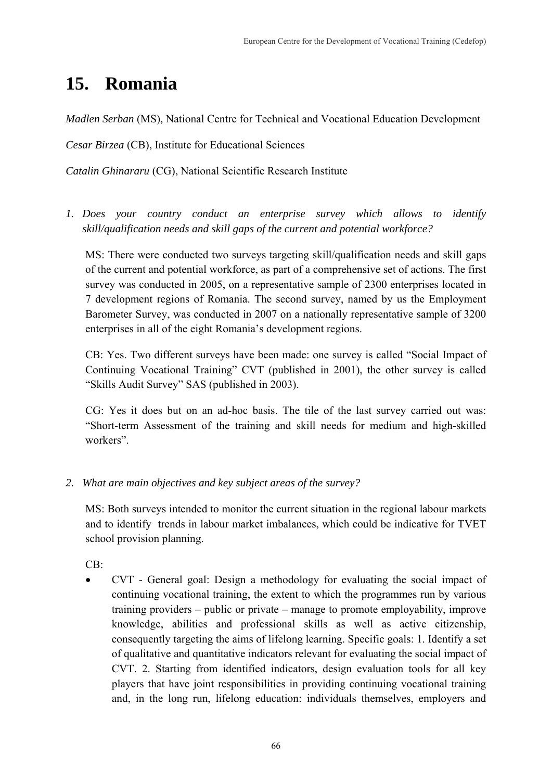# **15. Romania**

*Madlen Serban* (MS)*,* National Centre for Technical and Vocational Education Development

*Cesar Birzea* (CB), Institute for Educational Sciences

*Catalin Ghinararu* (CG), National Scientific Research Institute

*1. Does your country conduct an enterprise survey which allows to identify skill/qualification needs and skill gaps of the current and potential workforce?* 

MS: There were conducted two surveys targeting skill/qualification needs and skill gaps of the current and potential workforce, as part of a comprehensive set of actions. The first survey was conducted in 2005, on a representative sample of 2300 enterprises located in 7 development regions of Romania. The second survey, named by us the Employment Barometer Survey, was conducted in 2007 on a nationally representative sample of 3200 enterprises in all of the eight Romania's development regions.

CB: Yes. Two different surveys have been made: one survey is called "Social Impact of Continuing Vocational Training" CVT (published in 2001), the other survey is called "Skills Audit Survey" SAS (published in 2003).

CG: Yes it does but on an ad-hoc basis. The tile of the last survey carried out was: "Short-term Assessment of the training and skill needs for medium and high-skilled workers".

*2. What are main objectives and key subject areas of the survey?* 

MS: Both surveys intended to monitor the current situation in the regional labour markets and to identify trends in labour market imbalances, which could be indicative for TVET school provision planning.

 $CB$ 

• CVT - General goal: Design a methodology for evaluating the social impact of continuing vocational training, the extent to which the programmes run by various training providers – public or private – manage to promote employability, improve knowledge, abilities and professional skills as well as active citizenship, consequently targeting the aims of lifelong learning. Specific goals: 1. Identify a set of qualitative and quantitative indicators relevant for evaluating the social impact of CVT. 2. Starting from identified indicators, design evaluation tools for all key players that have joint responsibilities in providing continuing vocational training and, in the long run, lifelong education: individuals themselves, employers and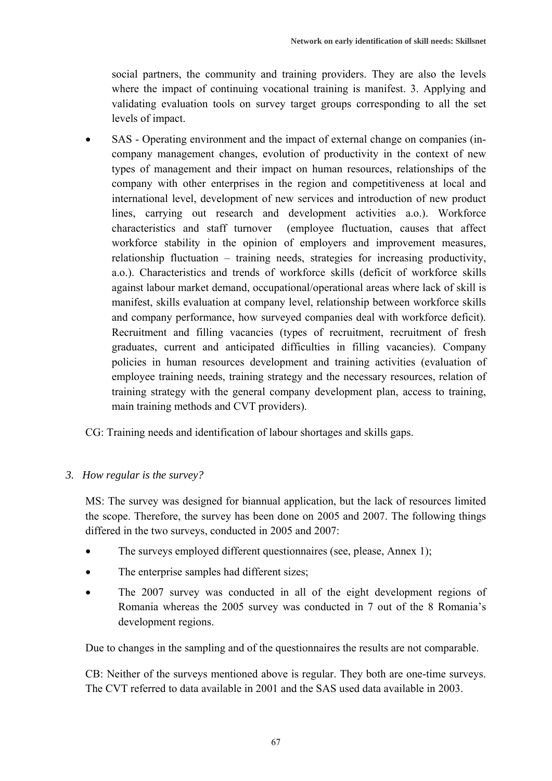social partners, the community and training providers. They are also the levels where the impact of continuing vocational training is manifest. 3. Applying and validating evaluation tools on survey target groups corresponding to all the set levels of impact.

SAS - Operating environment and the impact of external change on companies (incompany management changes, evolution of productivity in the context of new types of management and their impact on human resources, relationships of the company with other enterprises in the region and competitiveness at local and international level, development of new services and introduction of new product lines, carrying out research and development activities a.o.). Workforce characteristics and staff turnover (employee fluctuation, causes that affect workforce stability in the opinion of employers and improvement measures, relationship fluctuation – training needs, strategies for increasing productivity, a.o.). Characteristics and trends of workforce skills (deficit of workforce skills against labour market demand, occupational/operational areas where lack of skill is manifest, skills evaluation at company level, relationship between workforce skills and company performance, how surveyed companies deal with workforce deficit). Recruitment and filling vacancies (types of recruitment, recruitment of fresh graduates, current and anticipated difficulties in filling vacancies). Company policies in human resources development and training activities (evaluation of employee training needs, training strategy and the necessary resources, relation of training strategy with the general company development plan, access to training, main training methods and CVT providers).

CG: Training needs and identification of labour shortages and skills gaps.

# *3. How regular is the survey?*

MS: The survey was designed for biannual application, but the lack of resources limited the scope. Therefore, the survey has been done on 2005 and 2007. The following things differed in the two surveys, conducted in 2005 and 2007:

- The surveys employed different questionnaires (see, please, Annex 1);
- The enterprise samples had different sizes;
- The 2007 survey was conducted in all of the eight development regions of Romania whereas the 2005 survey was conducted in 7 out of the 8 Romania's development regions.

Due to changes in the sampling and of the questionnaires the results are not comparable.

CB: Neither of the surveys mentioned above is regular. They both are one-time surveys. The CVT referred to data available in 2001 and the SAS used data available in 2003.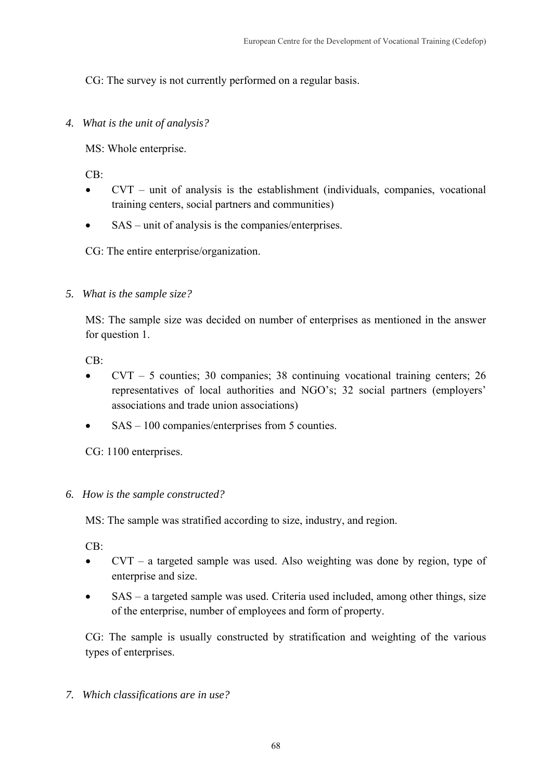CG: The survey is not currently performed on a regular basis.

*4. What is the unit of analysis?* 

MS: Whole enterprise.

 $CB^{\cdot}$ 

- $CVT$  unit of analysis is the establishment (individuals, companies, vocational training centers, social partners and communities)
- SAS unit of analysis is the companies/enterprises.

CG: The entire enterprise/organization.

*5. What is the sample size?* 

MS: The sample size was decided on number of enterprises as mentioned in the answer for question 1.

CB:

- CVT 5 counties; 30 companies; 38 continuing vocational training centers; 26 representatives of local authorities and NGO's; 32 social partners (employers' associations and trade union associations)
- SAS 100 companies/enterprises from 5 counties.

CG: 1100 enterprises.

# *6. How is the sample constructed?*

MS: The sample was stratified according to size, industry, and region.

CB:

- CVT a targeted sample was used. Also weighting was done by region, type of enterprise and size.
- SAS a targeted sample was used. Criteria used included, among other things, size of the enterprise, number of employees and form of property.

CG: The sample is usually constructed by stratification and weighting of the various types of enterprises.

*7. Which classifications are in use?*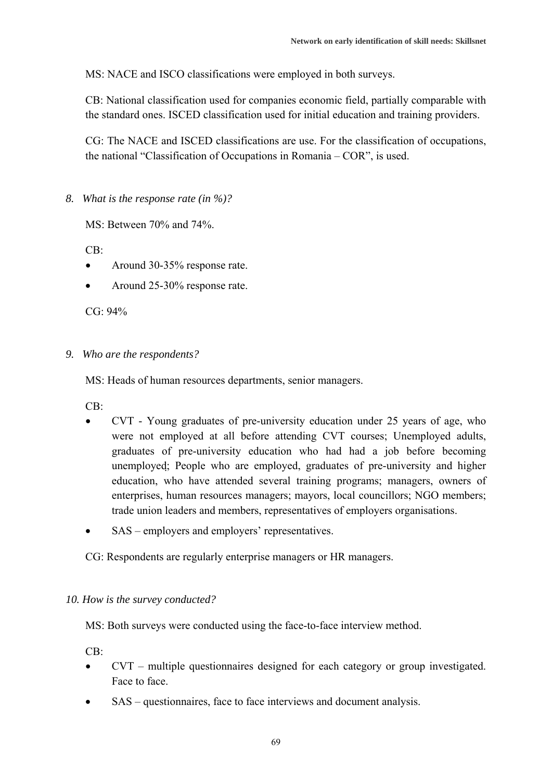MS: NACE and ISCO classifications were employed in both surveys.

CB: National classification used for companies economic field, partially comparable with the standard ones. ISCED classification used for initial education and training providers.

CG: The NACE and ISCED classifications are use. For the classification of occupations, the national "Classification of Occupations in Romania – COR", is used.

*8. What is the response rate (in %)?* 

MS: Between 70% and 74%.

 $CR$ 

- Around 30-35% response rate.
- Around 25-30% response rate.

 $CG: 94%$ 

*9. Who are the respondents?* 

MS: Heads of human resources departments, senior managers.

CB:

- CVT Young graduates of pre-university education under 25 years of age, who were not employed at all before attending CVT courses; Unemployed adults, graduates of pre-university education who had had a job before becoming unemployed; People who are employed, graduates of pre-university and higher education, who have attended several training programs; managers, owners of enterprises, human resources managers; mayors, local councillors; NGO members; trade union leaders and members, representatives of employers organisations.
- SAS employers and employers' representatives.

CG: Respondents are regularly enterprise managers or HR managers.

## *10. How is the survey conducted?*

MS: Both surveys were conducted using the face-to-face interview method.

CB:

- CVT multiple questionnaires designed for each category or group investigated. Face to face.
- SAS questionnaires, face to face interviews and document analysis.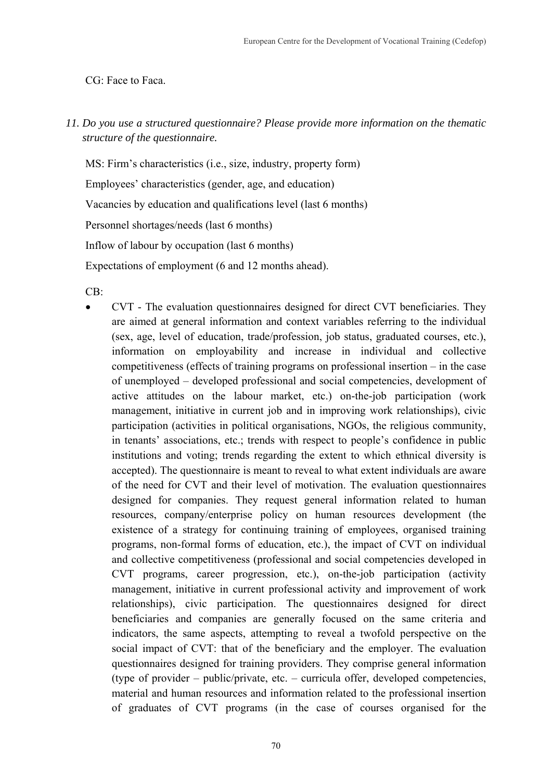## CG: Face to Faca.

*11. Do you use a structured questionnaire? Please provide more information on the thematic structure of the questionnaire.* 

MS: Firm's characteristics (i.e., size, industry, property form) Employees' characteristics (gender, age, and education) Vacancies by education and qualifications level (last 6 months) Personnel shortages/needs (last 6 months)

Inflow of labour by occupation (last 6 months)

Expectations of employment (6 and 12 months ahead).

 $CB$ 

• CVT - The evaluation questionnaires designed for direct CVT beneficiaries. They are aimed at general information and context variables referring to the individual (sex, age, level of education, trade/profession, job status, graduated courses, etc.), information on employability and increase in individual and collective competitiveness (effects of training programs on professional insertion – in the case of unemployed – developed professional and social competencies, development of active attitudes on the labour market, etc.) on-the-job participation (work management, initiative in current job and in improving work relationships), civic participation (activities in political organisations, NGOs, the religious community, in tenants' associations, etc.; trends with respect to people's confidence in public institutions and voting; trends regarding the extent to which ethnical diversity is accepted). The questionnaire is meant to reveal to what extent individuals are aware of the need for CVT and their level of motivation. The evaluation questionnaires designed for companies. They request general information related to human resources, company/enterprise policy on human resources development (the existence of a strategy for continuing training of employees, organised training programs, non-formal forms of education, etc.), the impact of CVT on individual and collective competitiveness (professional and social competencies developed in CVT programs, career progression, etc.), on-the-job participation (activity management, initiative in current professional activity and improvement of work relationships), civic participation. The questionnaires designed for direct beneficiaries and companies are generally focused on the same criteria and indicators, the same aspects, attempting to reveal a twofold perspective on the social impact of CVT: that of the beneficiary and the employer. The evaluation questionnaires designed for training providers. They comprise general information (type of provider – public/private, etc. – curricula offer, developed competencies, material and human resources and information related to the professional insertion of graduates of CVT programs (in the case of courses organised for the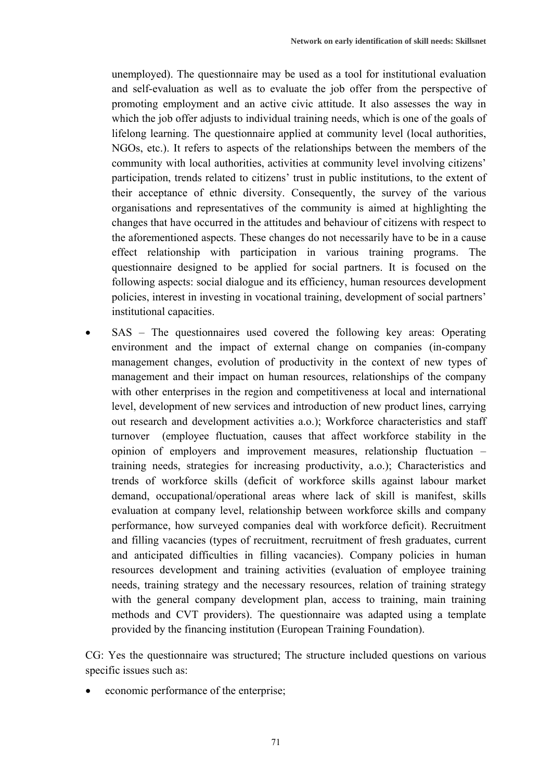unemployed). The questionnaire may be used as a tool for institutional evaluation and self-evaluation as well as to evaluate the job offer from the perspective of promoting employment and an active civic attitude. It also assesses the way in which the job offer adjusts to individual training needs, which is one of the goals of lifelong learning. The questionnaire applied at community level (local authorities, NGOs, etc.). It refers to aspects of the relationships between the members of the community with local authorities, activities at community level involving citizens' participation, trends related to citizens' trust in public institutions, to the extent of their acceptance of ethnic diversity. Consequently, the survey of the various organisations and representatives of the community is aimed at highlighting the changes that have occurred in the attitudes and behaviour of citizens with respect to the aforementioned aspects. These changes do not necessarily have to be in a cause effect relationship with participation in various training programs. The questionnaire designed to be applied for social partners. It is focused on the following aspects: social dialogue and its efficiency, human resources development policies, interest in investing in vocational training, development of social partners' institutional capacities.

SAS – The questionnaires used covered the following key areas: Operating environment and the impact of external change on companies (in-company management changes, evolution of productivity in the context of new types of management and their impact on human resources, relationships of the company with other enterprises in the region and competitiveness at local and international level, development of new services and introduction of new product lines, carrying out research and development activities a.o.); Workforce characteristics and staff turnover (employee fluctuation, causes that affect workforce stability in the opinion of employers and improvement measures, relationship fluctuation – training needs, strategies for increasing productivity, a.o.); Characteristics and trends of workforce skills (deficit of workforce skills against labour market demand, occupational/operational areas where lack of skill is manifest, skills evaluation at company level, relationship between workforce skills and company performance, how surveyed companies deal with workforce deficit). Recruitment and filling vacancies (types of recruitment, recruitment of fresh graduates, current and anticipated difficulties in filling vacancies). Company policies in human resources development and training activities (evaluation of employee training needs, training strategy and the necessary resources, relation of training strategy with the general company development plan, access to training, main training methods and CVT providers). The questionnaire was adapted using a template provided by the financing institution (European Training Foundation).

CG: Yes the questionnaire was structured; The structure included questions on various specific issues such as:

economic performance of the enterprise;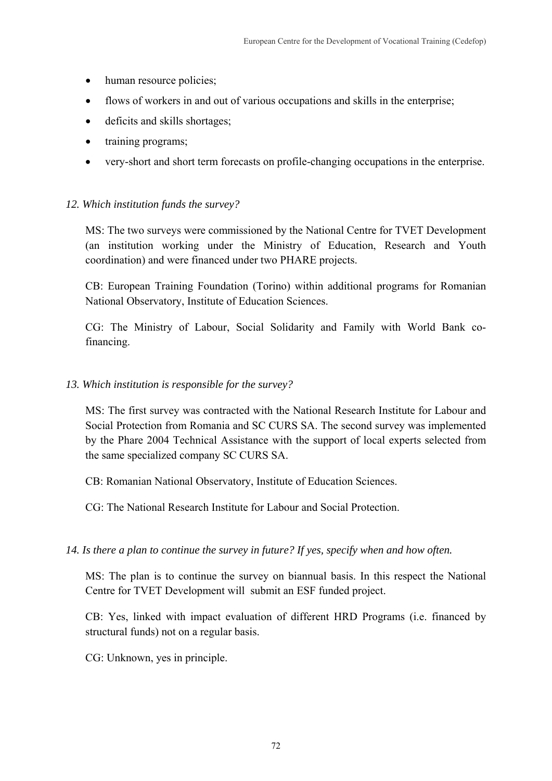- human resource policies;
- flows of workers in and out of various occupations and skills in the enterprise;
- deficits and skills shortages;
- training programs;
- very-short and short term forecasts on profile-changing occupations in the enterprise.

# *12. Which institution funds the survey?*

MS: The two surveys were commissioned by the National Centre for TVET Development (an institution working under the Ministry of Education, Research and Youth coordination) and were financed under two PHARE projects.

CB: European Training Foundation (Torino) within additional programs for Romanian National Observatory, Institute of Education Sciences.

CG: The Ministry of Labour, Social Solidarity and Family with World Bank cofinancing.

# *13. Which institution is responsible for the survey?*

MS: The first survey was contracted with the National Research Institute for Labour and Social Protection from Romania and SC CURS SA. The second survey was implemented by the Phare 2004 Technical Assistance with the support of local experts selected from the same specialized company SC CURS SA.

CB: Romanian National Observatory, Institute of Education Sciences.

CG: The National Research Institute for Labour and Social Protection.

*14. Is there a plan to continue the survey in future? If yes, specify when and how often.* 

MS: The plan is to continue the survey on biannual basis. In this respect the National Centre for TVET Development will submit an ESF funded project.

CB: Yes, linked with impact evaluation of different HRD Programs (i.e. financed by structural funds) not on a regular basis.

CG: Unknown, yes in principle.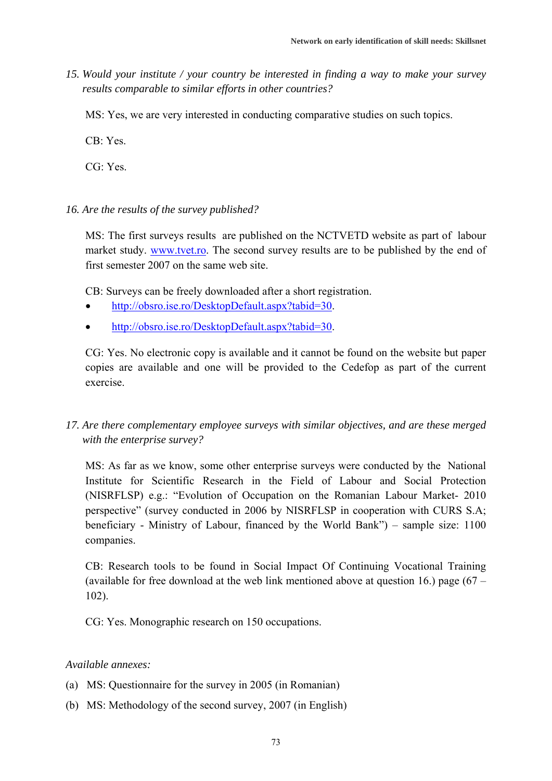*15. Would your institute / your country be interested in finding a way to make your survey results comparable to similar efforts in other countries?* 

MS: Yes, we are very interested in conducting comparative studies on such topics.

 $CR \cdot Yes$ 

CG: Yes.

#### *16. Are the results of the survey published?*

MS: The first surveys results are published on the NCTVETD website as part of labour market study. www.tvet.ro. The second survey results are to be published by the end of first semester 2007 on the same web site.

CB: Surveys can be freely downloaded after a short registration.

- http://obsro.ise.ro/DesktopDefault.aspx?tabid=30.
- http://obsro.ise.ro/DesktopDefault.aspx?tabid=30.

CG: Yes. No electronic copy is available and it cannot be found on the website but paper copies are available and one will be provided to the Cedefop as part of the current exercise.

### *17. Are there complementary employee surveys with similar objectives, and are these merged with the enterprise survey?*

MS: As far as we know, some other enterprise surveys were conducted by the National Institute for Scientific Research in the Field of Labour and Social Protection (NISRFLSP) e.g.: "Evolution of Occupation on the Romanian Labour Market- 2010 perspective" (survey conducted in 2006 by NISRFLSP in cooperation with CURS S.A; beneficiary - Ministry of Labour, financed by the World Bank") – sample size: 1100 companies.

CB: Research tools to be found in Social Impact Of Continuing Vocational Training (available for free download at the web link mentioned above at question 16.) page (67 – 102).

CG: Yes. Monographic research on 150 occupations.

#### *Available annexes:*

- (a) MS: Questionnaire for the survey in 2005 (in Romanian)
- (b) MS: Methodology of the second survey, 2007 (in English)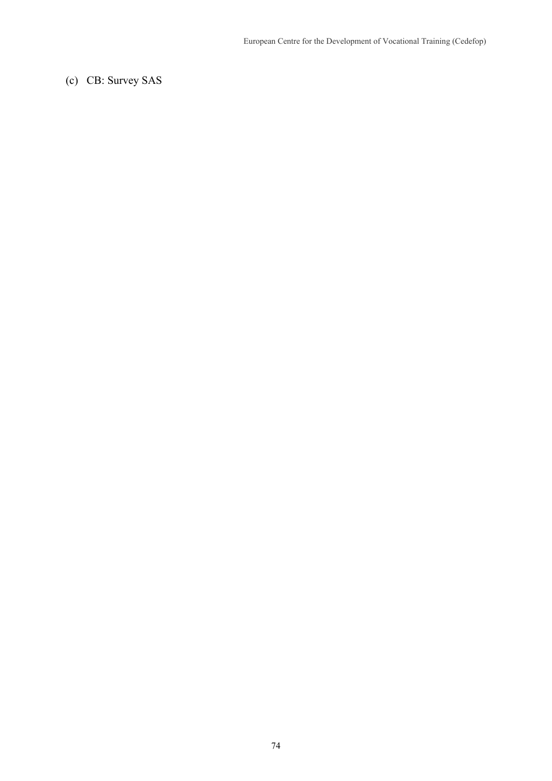(c) CB: Survey SAS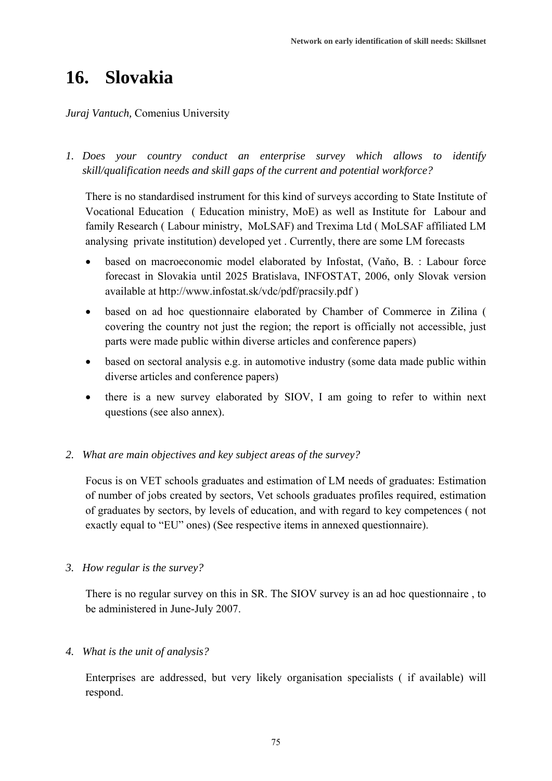# **16. Slovakia**

#### *Juraj Vantuch,* Comenius University

*1. Does your country conduct an enterprise survey which allows to identify skill/qualification needs and skill gaps of the current and potential workforce?* 

There is no standardised instrument for this kind of surveys according to State Institute of Vocational Education ( Education ministry, MoE) as well as Institute for Labour and family Research ( Labour ministry, MoLSAF) and Trexima Ltd ( MoLSAF affiliated LM analysing private institution) developed yet . Currently, there are some LM forecasts

- based on macroeconomic model elaborated by Infostat, (Vaňo, B. : Labour force forecast in Slovakia until 2025 Bratislava, INFOSTAT, 2006, only Slovak version available at http://www.infostat.sk/vdc/pdf/pracsily.pdf )
- based on ad hoc questionnaire elaborated by Chamber of Commerce in Zilina ( covering the country not just the region; the report is officially not accessible, just parts were made public within diverse articles and conference papers)
- based on sectoral analysis e.g. in automotive industry (some data made public within diverse articles and conference papers)
- there is a new survey elaborated by SIOV, I am going to refer to within next questions (see also annex).

#### *2. What are main objectives and key subject areas of the survey?*

Focus is on VET schools graduates and estimation of LM needs of graduates: Estimation of number of jobs created by sectors, Vet schools graduates profiles required, estimation of graduates by sectors, by levels of education, and with regard to key competences ( not exactly equal to "EU" ones) (See respective items in annexed questionnaire).

*3. How regular is the survey?* 

There is no regular survey on this in SR. The SIOV survey is an ad hoc questionnaire , to be administered in June-July 2007.

#### *4. What is the unit of analysis?*

Enterprises are addressed, but very likely organisation specialists ( if available) will respond.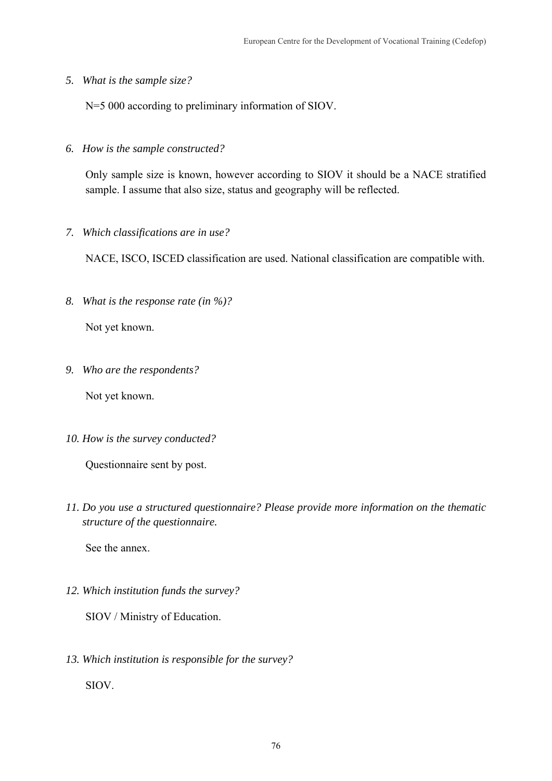*5. What is the sample size?* 

N=5 000 according to preliminary information of SIOV.

*6. How is the sample constructed?* 

Only sample size is known, however according to SIOV it should be a NACE stratified sample. I assume that also size, status and geography will be reflected.

*7. Which classifications are in use?* 

NACE, ISCO, ISCED classification are used. National classification are compatible with.

*8. What is the response rate (in %)?* 

Not yet known.

*9. Who are the respondents?* 

Not yet known.

*10. How is the survey conducted?* 

Questionnaire sent by post.

*11. Do you use a structured questionnaire? Please provide more information on the thematic structure of the questionnaire.* 

See the annex.

*12. Which institution funds the survey?* 

SIOV / Ministry of Education.

*13. Which institution is responsible for the survey?*  SIOV.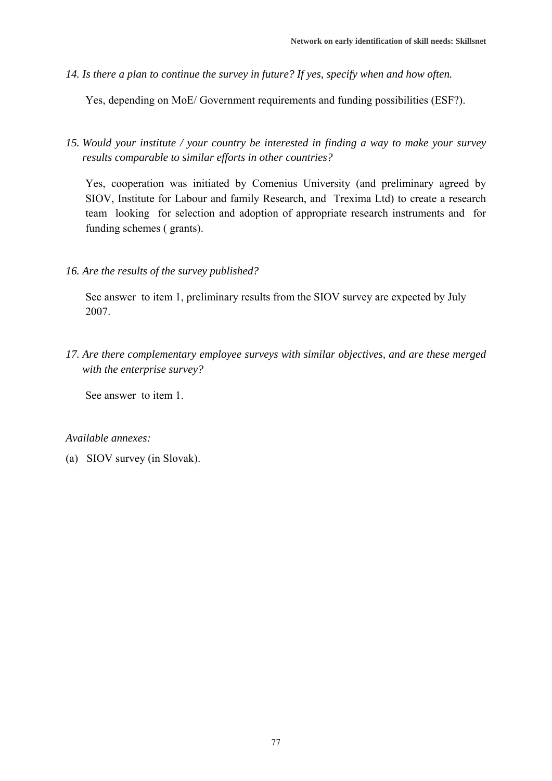*14. Is there a plan to continue the survey in future? If yes, specify when and how often.* 

Yes, depending on MoE/ Government requirements and funding possibilities (ESF?).

*15. Would your institute / your country be interested in finding a way to make your survey results comparable to similar efforts in other countries?* 

Yes, cooperation was initiated by Comenius University (and preliminary agreed by SIOV, Institute for Labour and family Research, and Trexima Ltd) to create a research team looking for selection and adoption of appropriate research instruments and for funding schemes ( grants).

*16. Are the results of the survey published?* 

See answer to item 1, preliminary results from the SIOV survey are expected by July 2007.

*17. Are there complementary employee surveys with similar objectives, and are these merged with the enterprise survey?* 

See answer to item 1.

*Available annexes:* 

(a) SIOV survey (in Slovak).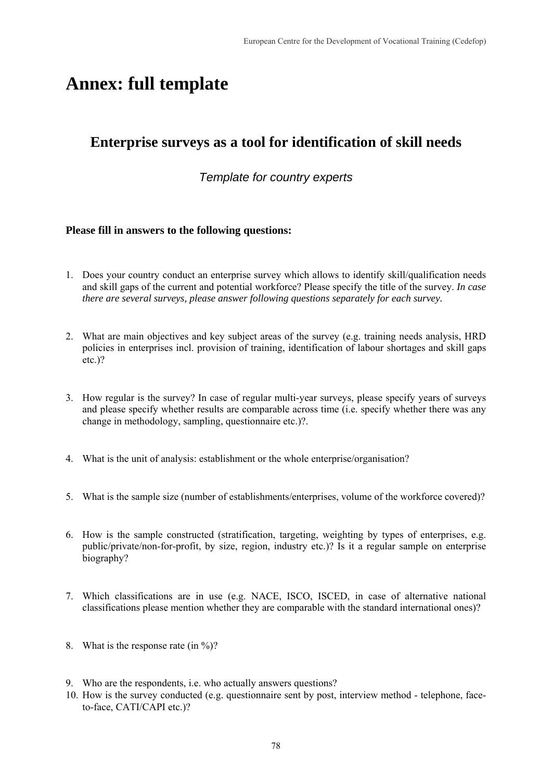# **Annex: full template**

## **Enterprise surveys as a tool for identification of skill needs**

### *Template for country experts*

#### **Please fill in answers to the following questions:**

- 1. Does your country conduct an enterprise survey which allows to identify skill/qualification needs and skill gaps of the current and potential workforce? Please specify the title of the survey. *In case there are several surveys, please answer following questions separately for each survey.*
- 2. What are main objectives and key subject areas of the survey (e.g. training needs analysis, HRD policies in enterprises incl. provision of training, identification of labour shortages and skill gaps etc.)?
- 3. How regular is the survey? In case of regular multi-year surveys, please specify years of surveys and please specify whether results are comparable across time (i.e. specify whether there was any change in methodology, sampling, questionnaire etc.)?.
- 4. What is the unit of analysis: establishment or the whole enterprise/organisation?
- 5. What is the sample size (number of establishments/enterprises, volume of the workforce covered)?
- 6. How is the sample constructed (stratification, targeting, weighting by types of enterprises, e.g. public/private/non-for-profit, by size, region, industry etc.)? Is it a regular sample on enterprise biography?
- 7. Which classifications are in use (e.g. NACE, ISCO, ISCED, in case of alternative national classifications please mention whether they are comparable with the standard international ones)?
- 8. What is the response rate (in  $\frac{6}{2}$ )?
- 9. Who are the respondents, i.e. who actually answers questions?
- 10. How is the survey conducted (e.g. questionnaire sent by post, interview method telephone, faceto-face, CATI/CAPI etc.)?